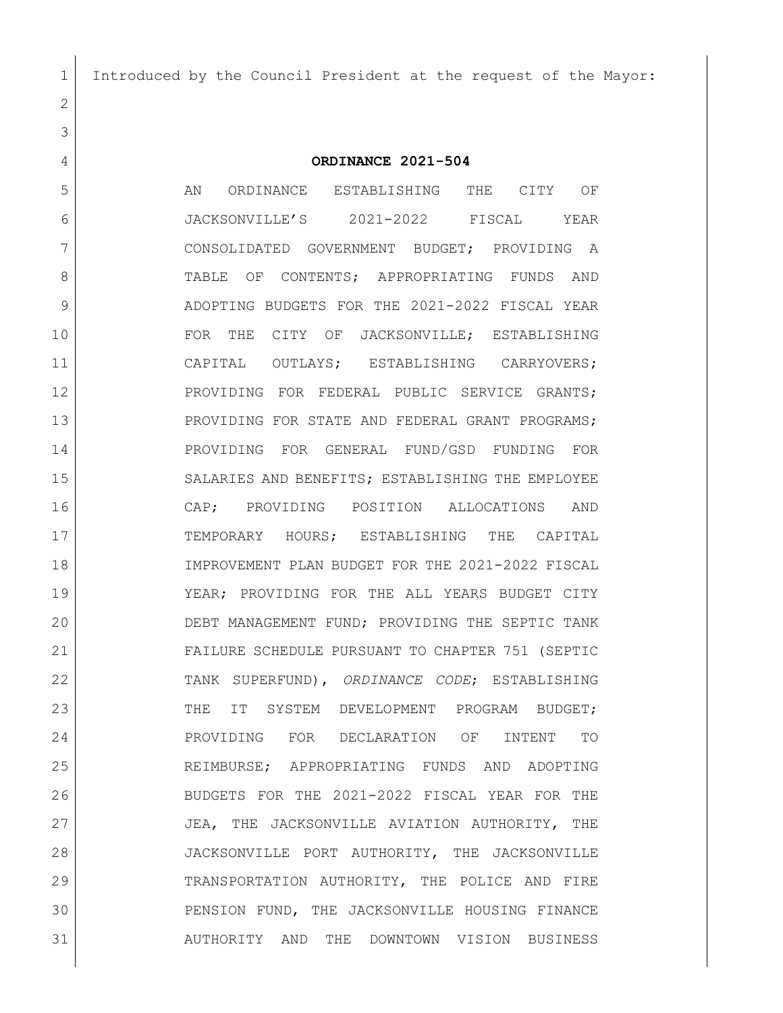Introduced by the Council President at the request of the Mayor:

### **ORDINANCE 2021-504**

 AN ORDINANCE ESTABLISHING THE CITY OF JACKSONVILLE'S 2021-2022 FISCAL YEAR CONSOLIDATED GOVERNMENT BUDGET; PROVIDING A 8 | TABLE OF CONTENTS; APPROPRIATING FUNDS AND ADOPTING BUDGETS FOR THE 2021-2022 FISCAL YEAR 10 FOR THE CITY OF JACKSONVILLE; ESTABLISHING CAPITAL OUTLAYS; ESTABLISHING CARRYOVERS; PROVIDING FOR FEDERAL PUBLIC SERVICE GRANTS; 13 PROVIDING FOR STATE AND FEDERAL GRANT PROGRAMS; PROVIDING FOR GENERAL FUND/GSD FUNDING FOR SALARIES AND BENEFITS; ESTABLISHING THE EMPLOYEE CAP; PROVIDING POSITION ALLOCATIONS AND 17 | TEMPORARY HOURS; ESTABLISHING THE CAPITAL IMPROVEMENT PLAN BUDGET FOR THE 2021-2022 FISCAL YEAR; PROVIDING FOR THE ALL YEARS BUDGET CITY DEBT MANAGEMENT FUND; PROVIDING THE SEPTIC TANK FAILURE SCHEDULE PURSUANT TO CHAPTER 751 (SEPTIC TANK SUPERFUND), *ORDINANCE CODE*; ESTABLISHING 23 THE IT SYSTEM DEVELOPMENT PROGRAM BUDGET; PROVIDING FOR DECLARATION OF INTENT TO REIMBURSE; APPROPRIATING FUNDS AND ADOPTING BUDGETS FOR THE 2021-2022 FISCAL YEAR FOR THE JEA, THE JACKSONVILLE AVIATION AUTHORITY, THE JACKSONVILLE PORT AUTHORITY, THE JACKSONVILLE TRANSPORTATION AUTHORITY, THE POLICE AND FIRE PENSION FUND, THE JACKSONVILLE HOUSING FINANCE AUTHORITY AND THE DOWNTOWN VISION BUSINESS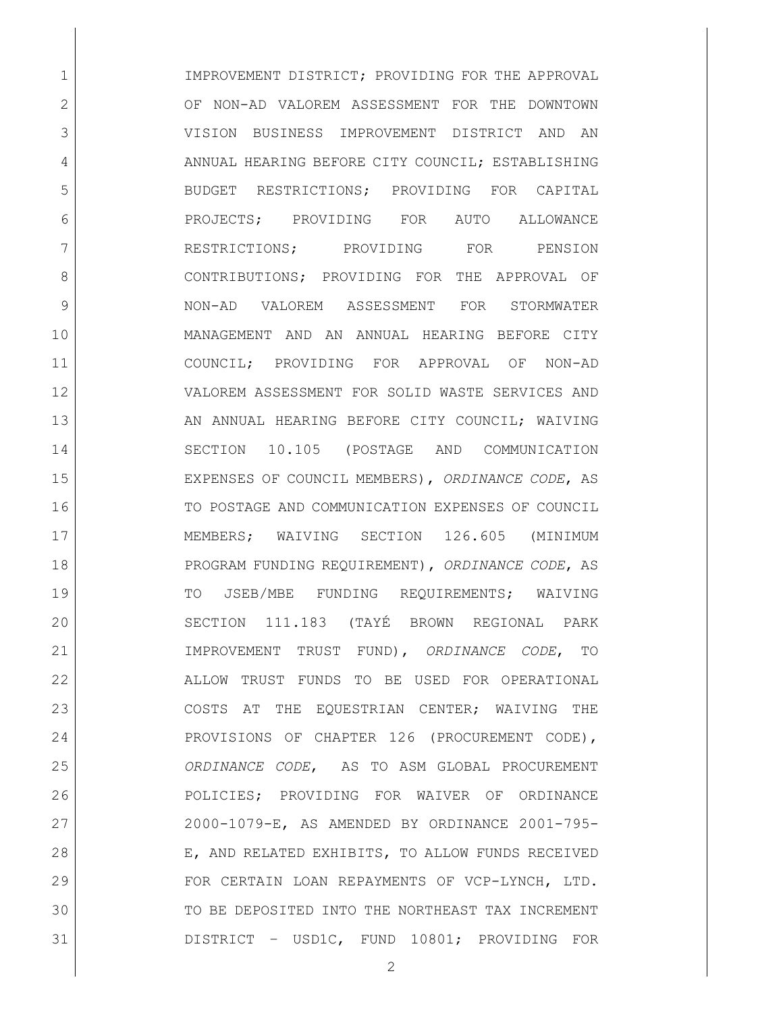1 IMPROVEMENT DISTRICT: PROVIDING FOR THE APPROVAL 2 OF NON-AD VALOREM ASSESSMENT FOR THE DOWNTOWN VISION BUSINESS IMPROVEMENT DISTRICT AND AN 4 ANNUAL HEARING BEFORE CITY COUNCIL; ESTABLISHING BUDGET RESTRICTIONS; PROVIDING FOR CAPITAL PROJECTS; PROVIDING FOR AUTO ALLOWANCE 7 RESTRICTIONS; PROVIDING FOR PENSION CONTRIBUTIONS; PROVIDING FOR THE APPROVAL OF NON-AD VALOREM ASSESSMENT FOR STORMWATER MANAGEMENT AND AN ANNUAL HEARING BEFORE CITY COUNCIL; PROVIDING FOR APPROVAL OF NON-AD VALOREM ASSESSMENT FOR SOLID WASTE SERVICES AND 13 AN ANNUAL HEARING BEFORE CITY COUNCIL; WAIVING SECTION 10.105 (POSTAGE AND COMMUNICATION EXPENSES OF COUNCIL MEMBERS), *ORDINANCE CODE*, AS 16 TO POSTAGE AND COMMUNICATION EXPENSES OF COUNCIL MEMBERS; WAIVING SECTION 126.605 (MINIMUM PROGRAM FUNDING REQUIREMENT), *ORDINANCE CODE*, AS 19 TO JSEB/MBE FUNDING REOUIREMENTS; WAIVING SECTION 111.183 (TAYÉ BROWN REGIONAL PARK IMPROVEMENT TRUST FUND), *ORDINANCE CODE*, TO ALLOW TRUST FUNDS TO BE USED FOR OPERATIONAL COSTS AT THE EQUESTRIAN CENTER; WAIVING THE PROVISIONS OF CHAPTER 126 (PROCUREMENT CODE), *ORDINANCE CODE*, AS TO ASM GLOBAL PROCUREMENT POLICIES; PROVIDING FOR WAIVER OF ORDINANCE 2000-1079-E, AS AMENDED BY ORDINANCE 2001-795- 28 E, AND RELATED EXHIBITS, TO ALLOW FUNDS RECEIVED FOR CERTAIN LOAN REPAYMENTS OF VCP-LYNCH, LTD. TO BE DEPOSITED INTO THE NORTHEAST TAX INCREMENT DISTRICT – USD1C, FUND 10801; PROVIDING FOR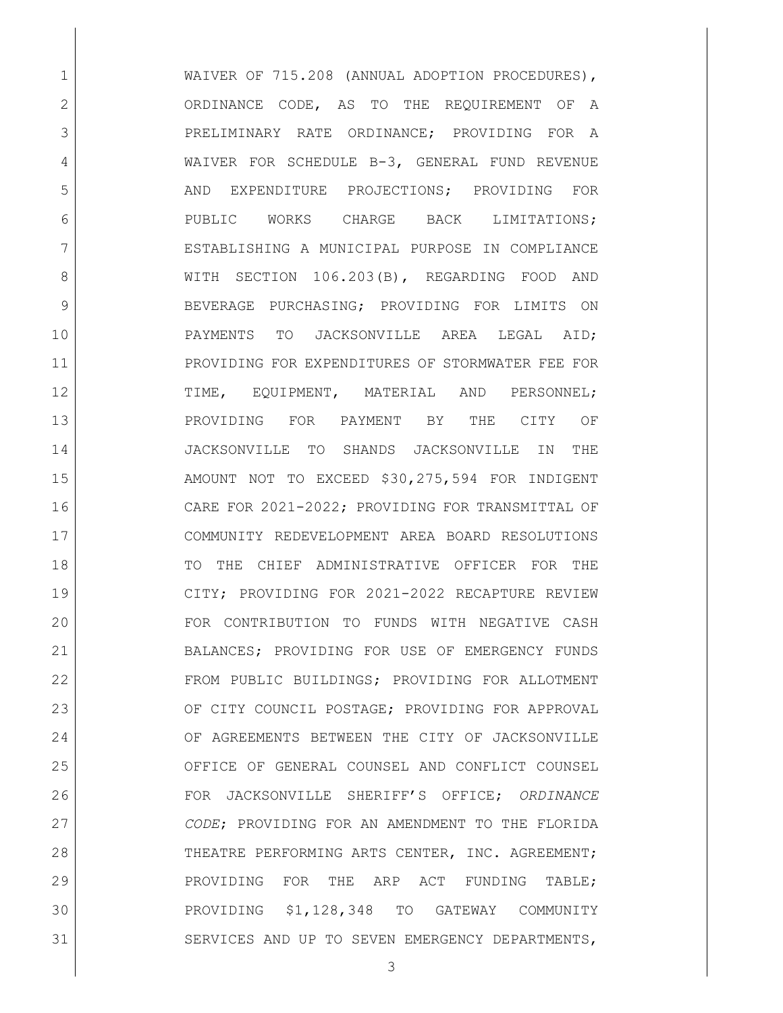1 WAIVER OF 715.208 (ANNUAL ADOPTION PROCEDURES), 2 ORDINANCE CODE, AS TO THE REOUIREMENT OF A 3 RELIMINARY RATE ORDINANCE; PROVIDING FOR A 4 WAIVER FOR SCHEDULE B-3, GENERAL FUND REVENUE 5 AND EXPENDITURE PROJECTIONS; PROVIDING FOR 6 PUBLIC WORKS CHARGE BACK LIMITATIONS; 7 ESTABLISHING A MUNICIPAL PURPOSE IN COMPLIANCE 8 WITH SECTION 106.203(B), REGARDING FOOD AND 9 BEVERAGE PURCHASING; PROVIDING FOR LIMITS ON 10 PAYMENTS TO JACKSONVILLE AREA LEGAL AID; 11 PROVIDING FOR EXPENDITURES OF STORMWATER FEE FOR 12 TIME, EQUIPMENT, MATERIAL AND PERSONNEL; 13 PROVIDING FOR PAYMENT BY THE CITY OF 14 JACKSONVILLE TO SHANDS JACKSONVILLE IN THE 15 AMOUNT NOT TO EXCEED \$30,275,594 FOR INDIGENT 16 CARE FOR 2021-2022; PROVIDING FOR TRANSMITTAL OF 17 COMMUNITY REDEVELOPMENT AREA BOARD RESOLUTIONS 18 TO THE CHIEF ADMINISTRATIVE OFFICER FOR THE 19 CITY; PROVIDING FOR 2021-2022 RECAPTURE REVIEW 20 FOR CONTRIBUTION TO FUNDS WITH NEGATIVE CASH 21 BALANCES; PROVIDING FOR USE OF EMERGENCY FUNDS 22 FROM PUBLIC BUILDINGS; PROVIDING FOR ALLOTMENT 23 OF CITY COUNCIL POSTAGE; PROVIDING FOR APPROVAL 24 OF AGREEMENTS BETWEEN THE CITY OF JACKSONVILLE 25 OFFICE OF GENERAL COUNSEL AND CONFLICT COUNSEL 26 FOR JACKSONVILLE SHERIFF'S OFFICE; *ORDINANCE*  27 *CODE*; PROVIDING FOR AN AMENDMENT TO THE FLORIDA 28 THEATRE PERFORMING ARTS CENTER, INC. AGREEMENT; 29 PROVIDING FOR THE ARP ACT FUNDING TABLE: 30 PROVIDING \$1,128,348 TO GATEWAY COMMUNITY 31 SERVICES AND UP TO SEVEN EMERGENCY DEPARTMENTS,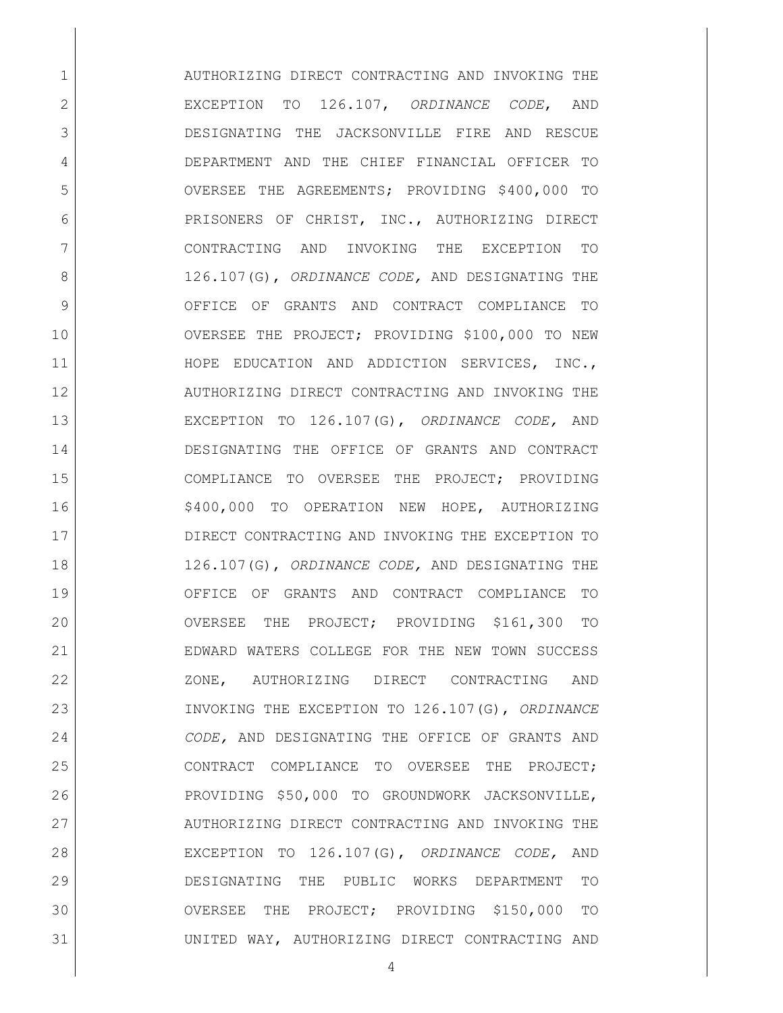1 AUTHORIZING DIRECT CONTRACTING AND INVOKING THE EXCEPTION TO 126.107, *ORDINANCE CODE*, AND DESIGNATING THE JACKSONVILLE FIRE AND RESCUE DEPARTMENT AND THE CHIEF FINANCIAL OFFICER TO OVERSEE THE AGREEMENTS; PROVIDING \$400,000 TO PRISONERS OF CHRIST, INC., AUTHORIZING DIRECT CONTRACTING AND INVOKING THE EXCEPTION TO 126.107(G), *ORDINANCE CODE,* AND DESIGNATING THE OFFICE OF GRANTS AND CONTRACT COMPLIANCE TO OVERSEE THE PROJECT; PROVIDING \$100,000 TO NEW HOPE EDUCATION AND ADDICTION SERVICES, INC., 12 AUTHORIZING DIRECT CONTRACTING AND INVOKING THE EXCEPTION TO 126.107(G), *ORDINANCE CODE,* AND DESIGNATING THE OFFICE OF GRANTS AND CONTRACT COMPLIANCE TO OVERSEE THE PROJECT; PROVIDING 16 | \$400,000 TO OPERATION NEW HOPE, AUTHORIZING DIRECT CONTRACTING AND INVOKING THE EXCEPTION TO 126.107(G), *ORDINANCE CODE,* AND DESIGNATING THE OFFICE OF GRANTS AND CONTRACT COMPLIANCE TO OVERSEE THE PROJECT; PROVIDING \$161,300 TO EDWARD WATERS COLLEGE FOR THE NEW TOWN SUCCESS 22 ZONE, AUTHORIZING DIRECT CONTRACTING AND INVOKING THE EXCEPTION TO 126.107(G), *ORDINANCE CODE,* AND DESIGNATING THE OFFICE OF GRANTS AND CONTRACT COMPLIANCE TO OVERSEE THE PROJECT; PROVIDING \$50,000 TO GROUNDWORK JACKSONVILLE, 27 AUTHORIZING DIRECT CONTRACTING AND INVOKING THE EXCEPTION TO 126.107(G), *ORDINANCE CODE,* AND DESIGNATING THE PUBLIC WORKS DEPARTMENT TO OVERSEE THE PROJECT; PROVIDING \$150,000 TO UNITED WAY, AUTHORIZING DIRECT CONTRACTING AND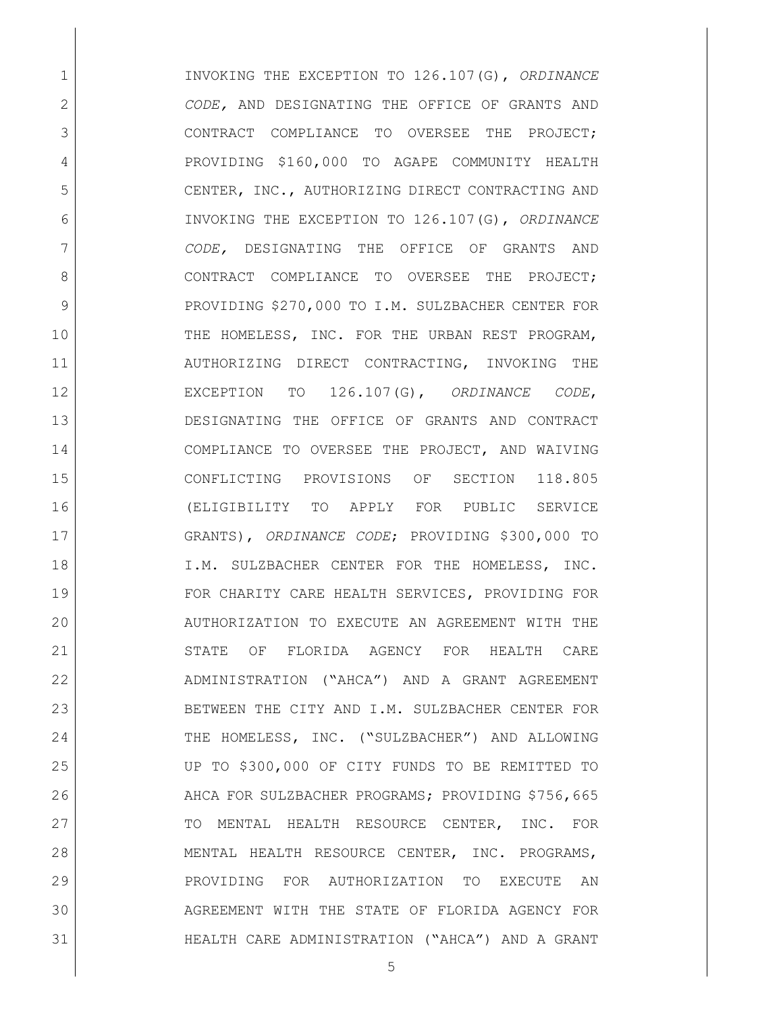INVOKING THE EXCEPTION TO 126.107(G), *ORDINANCE CODE,* AND DESIGNATING THE OFFICE OF GRANTS AND 3 CONTRACT COMPLIANCE TO OVERSEE THE PROJECT; PROVIDING \$160,000 TO AGAPE COMMUNITY HEALTH 5 CENTER, INC., AUTHORIZING DIRECT CONTRACTING AND INVOKING THE EXCEPTION TO 126.107(G), *ORDINANCE CODE,* DESIGNATING THE OFFICE OF GRANTS AND 8 CONTRACT COMPLIANCE TO OVERSEE THE PROJECT: 9 PROVIDING \$270,000 TO I.M. SULZBACHER CENTER FOR 10 THE HOMELESS, INC. FOR THE URBAN REST PROGRAM, AUTHORIZING DIRECT CONTRACTING, INVOKING THE EXCEPTION TO 126.107(G), *ORDINANCE CODE*, DESIGNATING THE OFFICE OF GRANTS AND CONTRACT 14 COMPLIANCE TO OVERSEE THE PROJECT, AND WAIVING CONFLICTING PROVISIONS OF SECTION 118.805 (ELIGIBILITY TO APPLY FOR PUBLIC SERVICE GRANTS), *ORDINANCE CODE*; PROVIDING \$300,000 TO 18 | I.M. SULZBACHER CENTER FOR THE HOMELESS, INC. FOR CHARITY CARE HEALTH SERVICES, PROVIDING FOR AUTHORIZATION TO EXECUTE AN AGREEMENT WITH THE STATE OF FLORIDA AGENCY FOR HEALTH CARE ADMINISTRATION ("AHCA") AND A GRANT AGREEMENT BETWEEN THE CITY AND I.M. SULZBACHER CENTER FOR THE HOMELESS, INC. ("SULZBACHER") AND ALLOWING UP TO \$300,000 OF CITY FUNDS TO BE REMITTED TO 26 AHCA FOR SULZBACHER PROGRAMS; PROVIDING \$756,665 27 TO MENTAL HEALTH RESOURCE CENTER, INC. FOR MENTAL HEALTH RESOURCE CENTER, INC. PROGRAMS, PROVIDING FOR AUTHORIZATION TO EXECUTE AN AGREEMENT WITH THE STATE OF FLORIDA AGENCY FOR HEALTH CARE ADMINISTRATION ("AHCA") AND A GRANT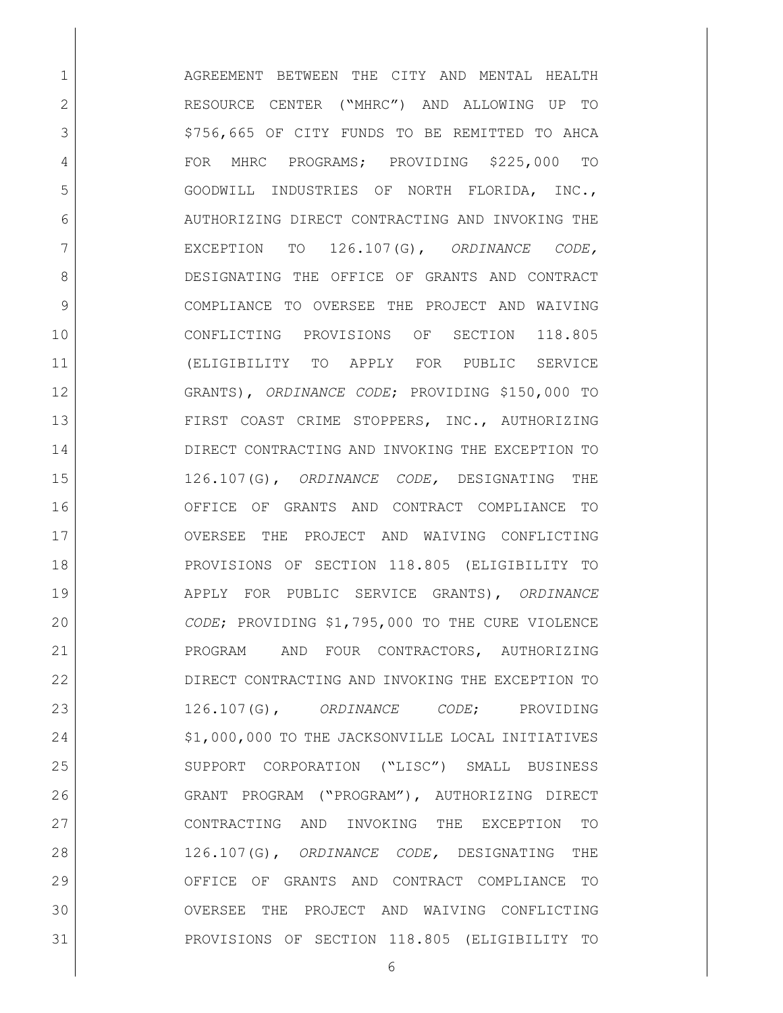**AGREEMENT BETWEEN THE CITY AND MENTAL HEALTH**  RESOURCE CENTER ("MHRC") AND ALLOWING UP TO 3 | \$756,665 OF CITY FUNDS TO BE REMITTED TO AHCA 4 FOR MHRC PROGRAMS; PROVIDING \$225,000 TO GOODWILL INDUSTRIES OF NORTH FLORIDA, INC., 6 AUTHORIZING DIRECT CONTRACTING AND INVOKING THE EXCEPTION TO 126.107(G), *ORDINANCE CODE,*  DESIGNATING THE OFFICE OF GRANTS AND CONTRACT COMPLIANCE TO OVERSEE THE PROJECT AND WAIVING CONFLICTING PROVISIONS OF SECTION 118.805 (ELIGIBILITY TO APPLY FOR PUBLIC SERVICE GRANTS), *ORDINANCE CODE*; PROVIDING \$150,000 TO FIRST COAST CRIME STOPPERS, INC., AUTHORIZING DIRECT CONTRACTING AND INVOKING THE EXCEPTION TO 126.107(G), *ORDINANCE CODE,* DESIGNATING THE OFFICE OF GRANTS AND CONTRACT COMPLIANCE TO OVERSEE THE PROJECT AND WAIVING CONFLICTING PROVISIONS OF SECTION 118.805 (ELIGIBILITY TO APPLY FOR PUBLIC SERVICE GRANTS), *ORDINANCE CODE*; PROVIDING \$1,795,000 TO THE CURE VIOLENCE PROGRAM AND FOUR CONTRACTORS, AUTHORIZING DIRECT CONTRACTING AND INVOKING THE EXCEPTION TO 126.107(G), *ORDINANCE CODE*; PROVIDING 24 | \$1,000,000 TO THE JACKSONVILLE LOCAL INITIATIVES SUPPORT CORPORATION ("LISC") SMALL BUSINESS GRANT PROGRAM ("PROGRAM"), AUTHORIZING DIRECT CONTRACTING AND INVOKING THE EXCEPTION TO 126.107(G), *ORDINANCE CODE,* DESIGNATING THE OFFICE OF GRANTS AND CONTRACT COMPLIANCE TO OVERSEE THE PROJECT AND WAIVING CONFLICTING PROVISIONS OF SECTION 118.805 (ELIGIBILITY TO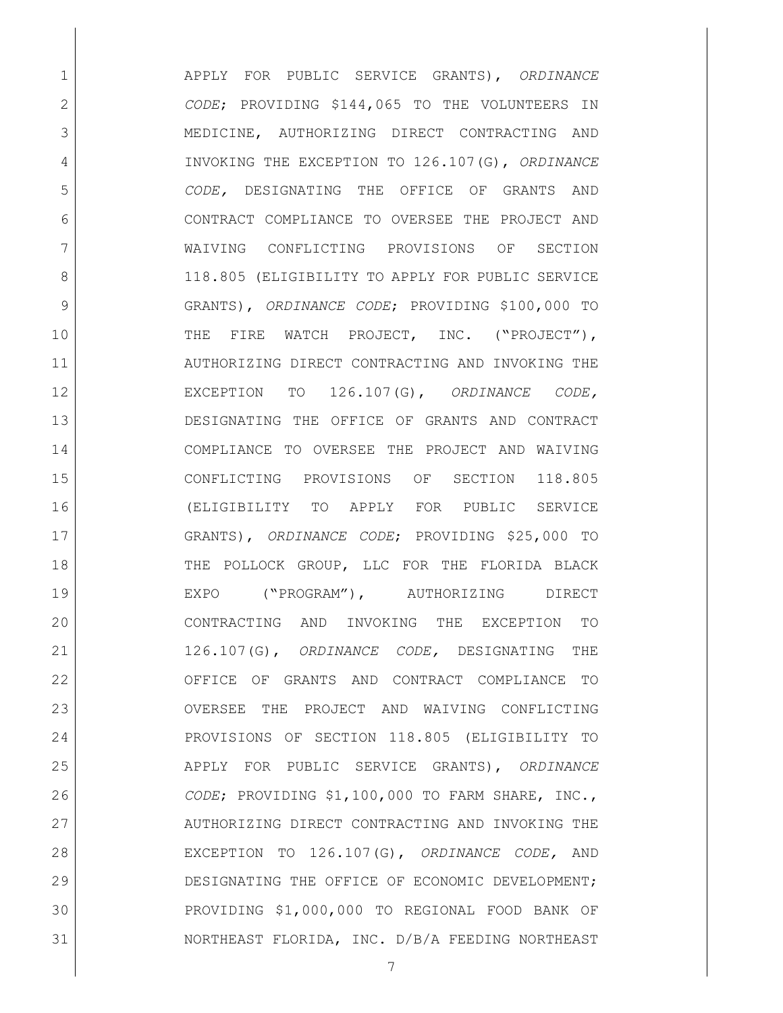APPLY FOR PUBLIC SERVICE GRANTS), *ORDINANCE CODE*; PROVIDING \$144,065 TO THE VOLUNTEERS IN MEDICINE, AUTHORIZING DIRECT CONTRACTING AND INVOKING THE EXCEPTION TO 126.107(G), *ORDINANCE CODE,* DESIGNATING THE OFFICE OF GRANTS AND CONTRACT COMPLIANCE TO OVERSEE THE PROJECT AND WAIVING CONFLICTING PROVISIONS OF SECTION 8 118.805 (ELIGIBILITY TO APPLY FOR PUBLIC SERVICE GRANTS), *ORDINANCE CODE*; PROVIDING \$100,000 TO 10 THE FIRE WATCH PROJECT, INC. ("PROJECT"), AUTHORIZING DIRECT CONTRACTING AND INVOKING THE EXCEPTION TO 126.107(G), *ORDINANCE CODE,* DESIGNATING THE OFFICE OF GRANTS AND CONTRACT COMPLIANCE TO OVERSEE THE PROJECT AND WAIVING CONFLICTING PROVISIONS OF SECTION 118.805 (ELIGIBILITY TO APPLY FOR PUBLIC SERVICE GRANTS), *ORDINANCE CODE*; PROVIDING \$25,000 TO 18 THE POLLOCK GROUP, LLC FOR THE FLORIDA BLACK EXPO ("PROGRAM"), AUTHORIZING DIRECT CONTRACTING AND INVOKING THE EXCEPTION TO 126.107(G), *ORDINANCE CODE,* DESIGNATING THE OFFICE OF GRANTS AND CONTRACT COMPLIANCE TO 23 | OVERSEE THE PROJECT AND WAIVING CONFLICTING PROVISIONS OF SECTION 118.805 (ELIGIBILITY TO APPLY FOR PUBLIC SERVICE GRANTS), *ORDINANCE CODE*; PROVIDING \$1,100,000 TO FARM SHARE, INC., 27 AUTHORIZING DIRECT CONTRACTING AND INVOKING THE EXCEPTION TO 126.107(G), *ORDINANCE CODE,* AND 29 DESIGNATING THE OFFICE OF ECONOMIC DEVELOPMENT; PROVIDING \$1,000,000 TO REGIONAL FOOD BANK OF NORTHEAST FLORIDA, INC. D/B/A FEEDING NORTHEAST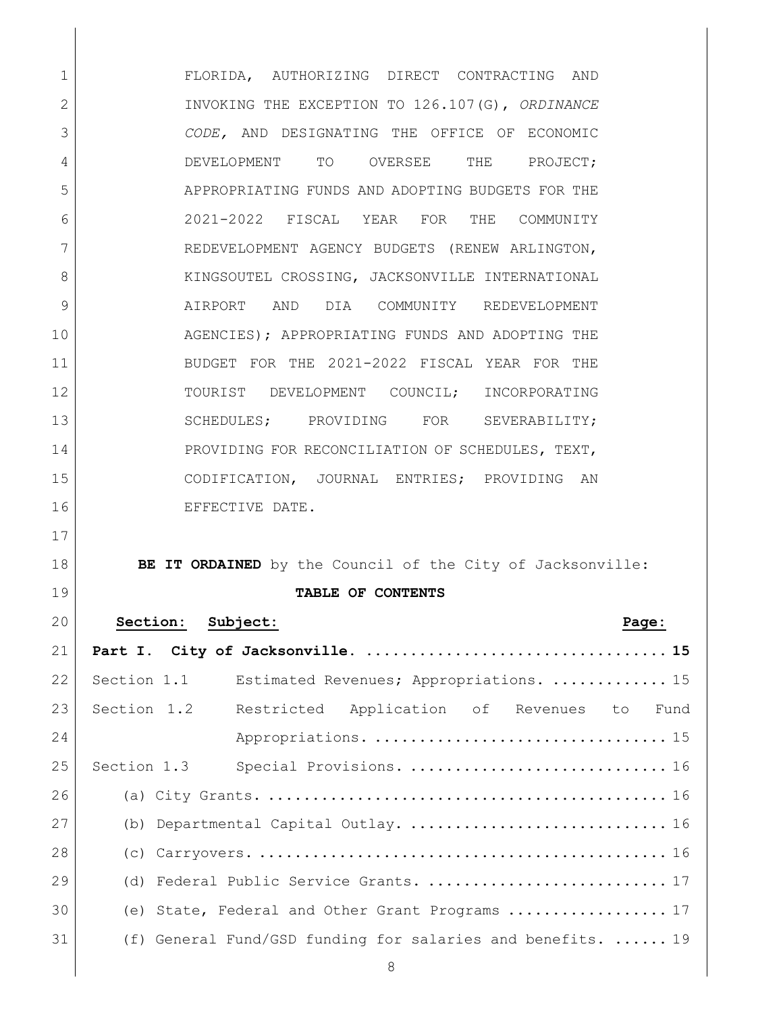FLORIDA, AUTHORIZING DIRECT CONTRACTING AND INVOKING THE EXCEPTION TO 126.107(G), *ORDINANCE CODE,* AND DESIGNATING THE OFFICE OF ECONOMIC 4 DEVELOPMENT TO OVERSEE THE PROJECT; APPROPRIATING FUNDS AND ADOPTING BUDGETS FOR THE 2021-2022 FISCAL YEAR FOR THE COMMUNITY REDEVELOPMENT AGENCY BUDGETS (RENEW ARLINGTON, 8 KINGSOUTEL CROSSING, JACKSONVILLE INTERNATIONAL AIRPORT AND DIA COMMUNITY REDEVELOPMENT AGENCIES); APPROPRIATING FUNDS AND ADOPTING THE BUDGET FOR THE 2021-2022 FISCAL YEAR FOR THE TOURIST DEVELOPMENT COUNCIL; INCORPORATING 13 SCHEDULES; PROVIDING FOR SEVERABILITY; 14 PROVIDING FOR RECONCILIATION OF SCHEDULES, TEXT, CODIFICATION, JOURNAL ENTRIES; PROVIDING AN 16 EFFECTIVE DATE.

# **BE IT ORDAINED** by the Council of the City of Jacksonville:

### **TABLE OF CONTENTS**

| 20 | Section: Subject:<br>Page:                                  |
|----|-------------------------------------------------------------|
| 21 |                                                             |
| 22 | Section 1.1<br>Estimated Revenues; Appropriations.  15      |
| 23 | Section 1.2<br>Restricted Application of Revenues to Fund   |
| 24 |                                                             |
| 25 | Special Provisions.  16<br>Section 1.3                      |
| 26 |                                                             |
| 27 | (b) Departmental Capital Outlay.  16                        |
| 28 |                                                             |
| 29 | (d) Federal Public Service Grants.  17                      |
| 30 | (e) State, Federal and Other Grant Programs  17             |
| 31 | (f) General Fund/GSD funding for salaries and benefits.  19 |
|    |                                                             |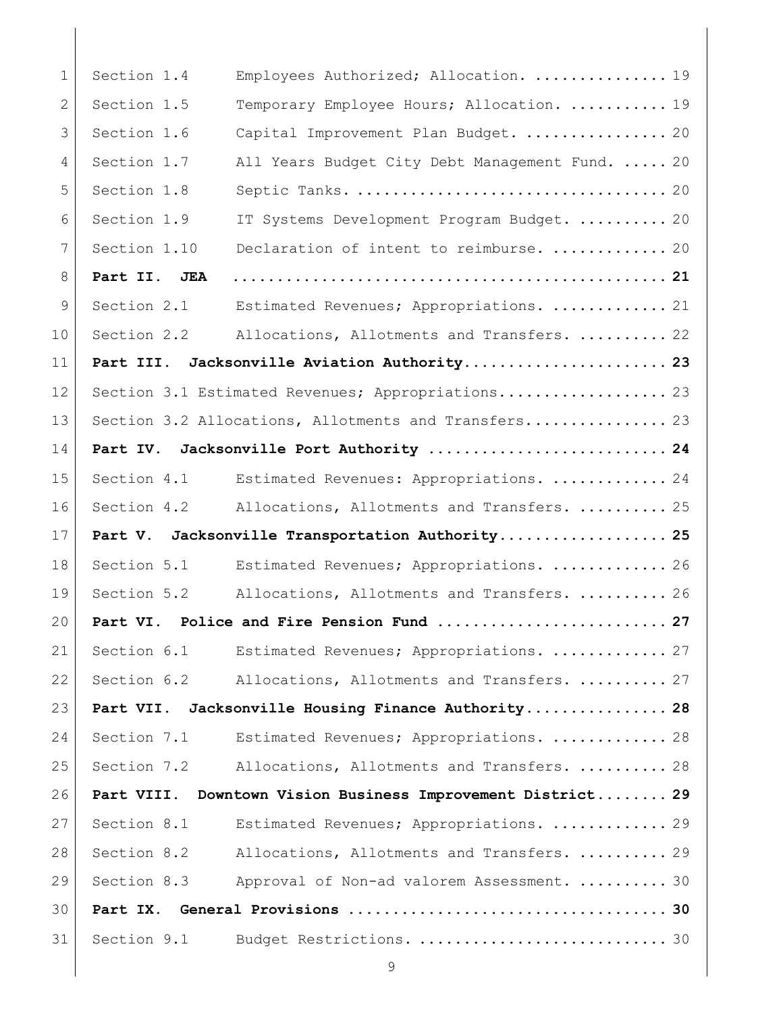| $\mathbf{1}$ | Section 1.4  | Employees Authorized; Allocation.  19                |
|--------------|--------------|------------------------------------------------------|
| 2            | Section 1.5  | Temporary Employee Hours; Allocation.  19            |
| 3            | Section 1.6  | Capital Improvement Plan Budget.  20                 |
| 4            | Section 1.7  | All Years Budget City Debt Management Fund.  20      |
| 5            | Section 1.8  |                                                      |
| 6            | Section 1.9  | IT Systems Development Program Budget.  20           |
| 7            | Section 1.10 | Declaration of intent to reimburse.  20              |
| 8            | Part II. JEA |                                                      |
| 9            | Section 2.1  | Estimated Revenues; Appropriations.  21              |
| 10           | Section 2.2  | Allocations, Allotments and Transfers.  22           |
| 11           | Part III.    | Jacksonville Aviation Authority 23                   |
| 12           |              | Section 3.1 Estimated Revenues; Appropriations 23    |
| 13           |              | Section 3.2 Allocations, Allotments and Transfers 23 |
| 14           | Part IV.     | Jacksonville Port Authority  24                      |
| 15           | Section 4.1  | Estimated Revenues: Appropriations.  24              |
| 16           | Section 4.2  | Allocations, Allotments and Transfers.  25           |
| 17           |              | Part V. Jacksonville Transportation Authority 25     |
| 18           | Section 5.1  | Estimated Revenues; Appropriations.  26              |
| 19           | Section 5.2  | Allocations, Allotments and Transfers.  26           |
| 20           | Part VI.     |                                                      |
| 21           | Section 6.1  | Estimated Revenues; Appropriations.  27              |
| 22           | Section 6.2  | Allocations, Allotments and Transfers.  27           |
| 23           | Part VII.    | Jacksonville Housing Finance Authority 28            |
| 24           | Section 7.1  | Estimated Revenues; Appropriations.  28              |
| 25           | Section 7.2  | Allocations, Allotments and Transfers.  28           |
| 26           | Part VIII.   | Downtown Vision Business Improvement District 29     |
| 27           | Section 8.1  | Estimated Revenues; Appropriations.  29              |
| 28           | Section 8.2  | Allocations, Allotments and Transfers.  29           |
| 29           | Section 8.3  | Approval of Non-ad valorem Assessment.  30           |
| 30           | Part IX.     |                                                      |
| 31           | Section 9.1  | Budget Restrictions.  30                             |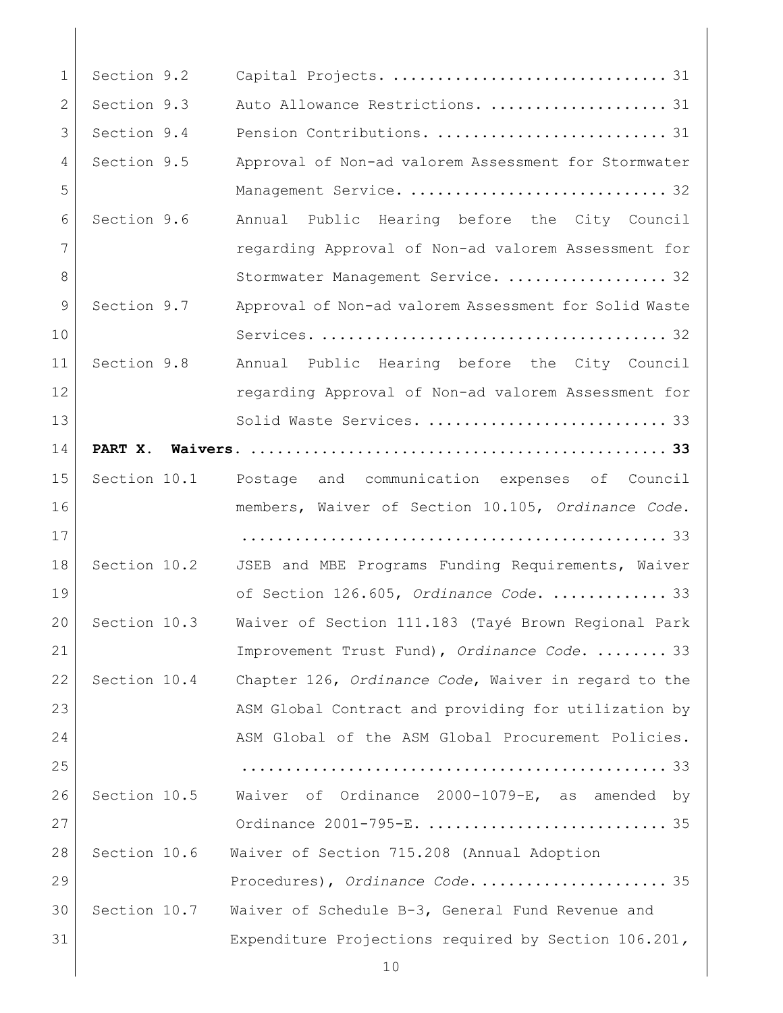| $\mathbf 1$ | Section 9.2  | Capital Projects.  31                                 |
|-------------|--------------|-------------------------------------------------------|
| 2           | Section 9.3  | Auto Allowance Restrictions.  31                      |
| 3           | Section 9.4  | Pension Contributions.  31                            |
| 4           | Section 9.5  | Approval of Non-ad valorem Assessment for Stormwater  |
| 5           |              | Management Service.  32                               |
| 6           | Section 9.6  | Annual Public Hearing before the City Council         |
| 7           |              | regarding Approval of Non-ad valorem Assessment for   |
| 8           |              | Stormwater Management Service.  32                    |
| 9           | Section 9.7  | Approval of Non-ad valorem Assessment for Solid Waste |
| 10          |              |                                                       |
| 11          | Section 9.8  | Annual Public Hearing before the City Council         |
| 12          |              | regarding Approval of Non-ad valorem Assessment for   |
| 13          |              | Solid Waste Services.  33                             |
| 14          |              |                                                       |
| 15          | Section 10.1 | and communication expenses of Council<br>Postage      |
| 16          |              | members, Waiver of Section 10.105, Ordinance Code.    |
| 17          |              |                                                       |
| 18          | Section 10.2 | JSEB and MBE Programs Funding Requirements, Waiver    |
| 19          |              | of Section 126.605, Ordinance Code.  33               |
| 20          | Section 10.3 | Waiver of Section 111.183 (Tayé Brown Regional Park   |
| 21          |              | Improvement Trust Fund), Ordinance Code.  33          |
| 22          | Section 10.4 | Chapter 126, Ordinance Code, Waiver in regard to the  |
| 23          |              | ASM Global Contract and providing for utilization by  |
| 24          |              | ASM Global of the ASM Global Procurement Policies.    |
| 25          |              |                                                       |
| 26          | Section 10.5 | Waiver of Ordinance 2000-1079-E, as amended by        |
| 27          |              | Ordinance 2001-795-E.  35                             |
| 28          | Section 10.6 | Waiver of Section 715.208 (Annual Adoption            |
| 29          |              |                                                       |
| 30          | Section 10.7 | Waiver of Schedule B-3, General Fund Revenue and      |
| 31          |              | Expenditure Projections required by Section 106.201,  |
|             |              | 10                                                    |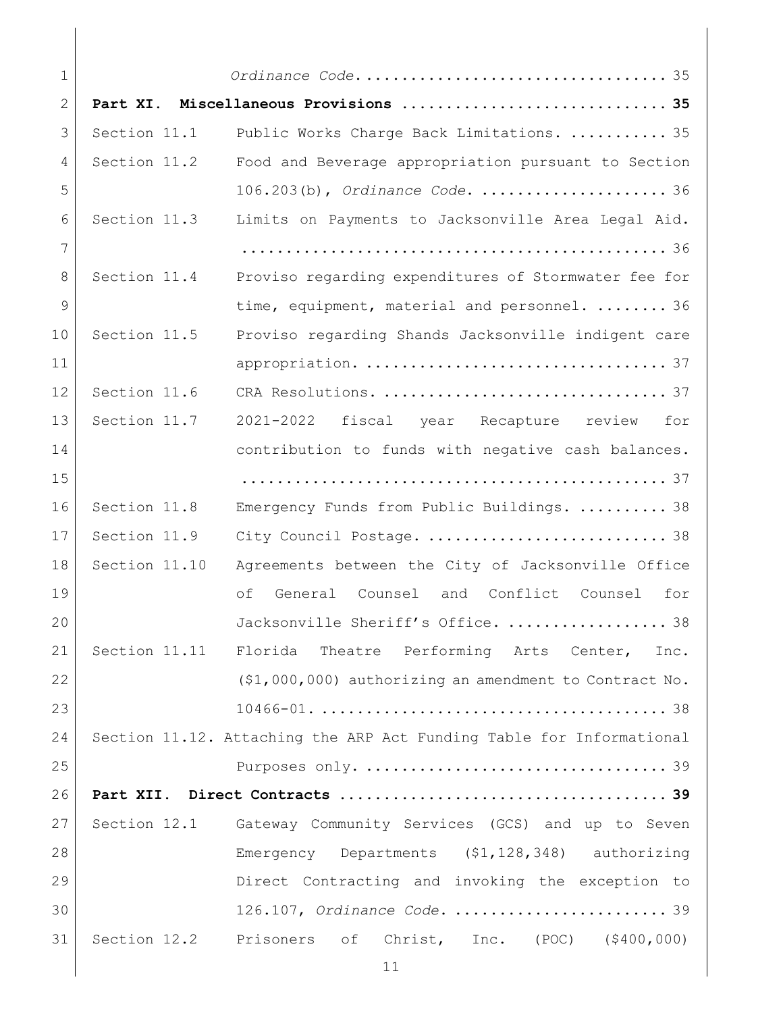| $\mathbf 1$    |               | Ordinance Code 35                                                    |
|----------------|---------------|----------------------------------------------------------------------|
| $\mathbf{2}$   |               | Part XI. Miscellaneous Provisions  35                                |
| 3              | Section 11.1  | Public Works Charge Back Limitations.  35                            |
| 4              | Section 11.2  | Food and Beverage appropriation pursuant to Section                  |
| 5              |               | 106.203(b), Ordinance Code.  36                                      |
| 6              | Section 11.3  | Limits on Payments to Jacksonville Area Legal Aid.                   |
| $\overline{7}$ |               |                                                                      |
| 8              | Section 11.4  | Proviso regarding expenditures of Stormwater fee for                 |
| 9              |               | time, equipment, material and personnel.  36                         |
| 10             | Section 11.5  | Proviso regarding Shands Jacksonville indigent care                  |
| 11             |               |                                                                      |
| 12             | Section 11.6  |                                                                      |
| 13             | Section 11.7  | 2021-2022 fiscal year Recapture review<br>for                        |
| 14             |               | contribution to funds with negative cash balances.                   |
| 15             |               |                                                                      |
| 16             | Section 11.8  | Emergency Funds from Public Buildings.  38                           |
| 17             | Section 11.9  | City Council Postage.  38                                            |
| 18             | Section 11.10 | Agreements between the City of Jacksonville Office                   |
| 19             |               | оf<br>General Counsel and Conflict Counsel<br>for                    |
| 20             |               | 38<br>Jacksonville Sheriff's Office.                                 |
| 21             |               | Section 11.11 Florida Theatre Performing Arts Center,<br>Inc.        |
| 22             |               | (\$1,000,000) authorizing an amendment to Contract No.               |
| 23             |               |                                                                      |
| 24             |               | Section 11.12. Attaching the ARP Act Funding Table for Informational |
| 25             |               |                                                                      |
| 26             |               |                                                                      |
| 27             |               | Section 12.1 Gateway Community Services (GCS) and up to Seven        |
| 28             |               | Emergency Departments (\$1,128,348) authorizing                      |
| 29             |               | Direct Contracting and invoking the exception to                     |
| 30             |               | 126.107, Ordinance Code.  39                                         |
| 31             |               | Section 12.2 Prisoners of Christ, Inc. (POC) (\$400,000)             |
|                |               | 11                                                                   |

 $\overline{\phantom{a}}$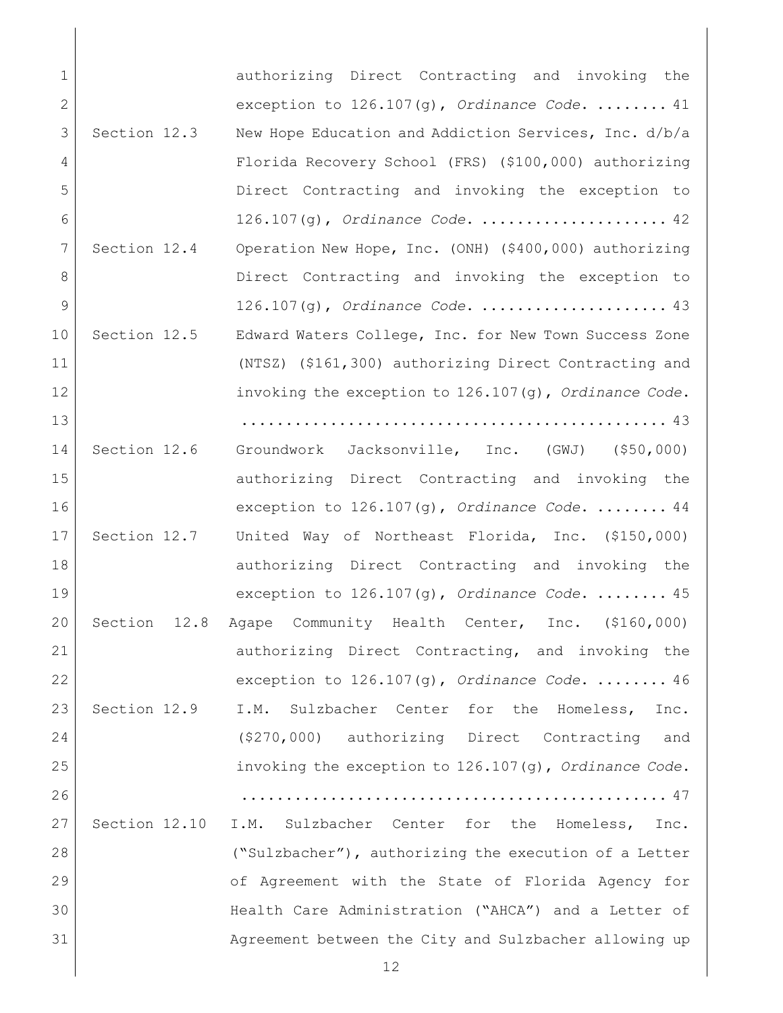| $\mathbf 1$    |                 | authorizing Direct Contracting and invoking the          |
|----------------|-----------------|----------------------------------------------------------|
| $\overline{2}$ |                 | exception to $126.107(q)$ , Ordinance Code.  41          |
| 3              | Section 12.3    | New Hope Education and Addiction Services, Inc. d/b/a    |
| 4              |                 | Florida Recovery School (FRS) (\$100,000) authorizing    |
| 5              |                 | Direct Contracting and invoking the exception to         |
| 6              |                 | $126.107(q)$ , Ordinance Code.  42                       |
| 7              | Section 12.4    | Operation New Hope, Inc. (ONH) (\$400,000) authorizing   |
| 8              |                 | Direct Contracting and invoking the exception to         |
| 9              |                 |                                                          |
| 10             | Section 12.5    | Edward Waters College, Inc. for New Town Success Zone    |
| 11             |                 | (NTSZ) (\$161,300) authorizing Direct Contracting and    |
| 12             |                 | invoking the exception to $126.107(q)$ , Ordinance Code. |
| 13             |                 |                                                          |
| 14             | Section 12.6    | Groundwork Jacksonville, Inc. (GWJ) (\$50,000)           |
| 15             |                 | authorizing Direct Contracting and invoking the          |
| 16             |                 | exception to $126.107(g)$ , Ordinance Code.  44          |
| 17             | Section 12.7    | United Way of Northeast Florida, Inc. (\$150,000)        |
| 18             |                 | authorizing Direct Contracting and invoking the          |
| 19             |                 | exception to $126.107(g)$ , Ordinance Code.  45          |
| 20             | Section<br>12.8 | Agape Community Health Center, Inc. (\$160,000)          |
| 21             |                 | authorizing Direct Contracting, and invoking the         |
| 22             |                 | exception to $126.107(g)$ , Ordinance Code.  46          |
| 23             | Section 12.9    | I.M. Sulzbacher Center for the Homeless, Inc.            |
| 24             |                 | (\$270,000) authorizing Direct Contracting and           |
| 25             |                 | invoking the exception to 126.107(g), Ordinance Code.    |
| 26             |                 |                                                          |
| 27             | Section 12.10   | I.M. Sulzbacher Center for the Homeless, Inc.            |
| 28             |                 | ("Sulzbacher"), authorizing the execution of a Letter    |
| 29             |                 | of Agreement with the State of Florida Agency for        |
| 30             |                 | Health Care Administration ("AHCA") and a Letter of      |
| 31             |                 | Agreement between the City and Sulzbacher allowing up    |
|                |                 | 12                                                       |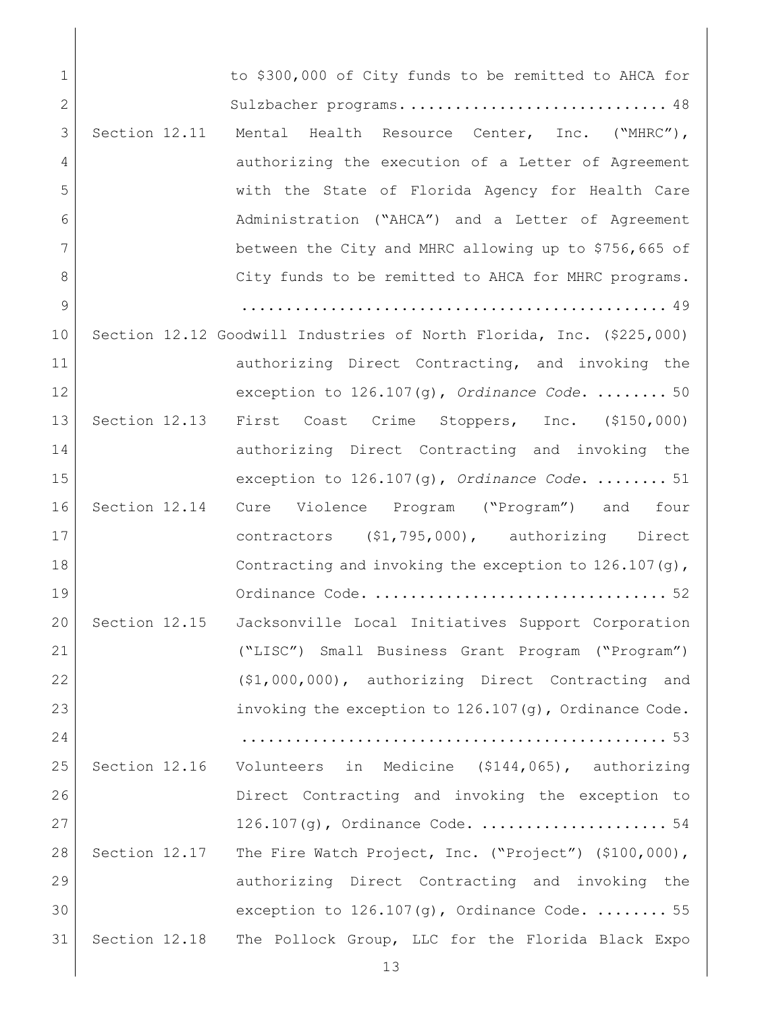| $\mathbf 1$  |               | to \$300,000 of City funds to be remitted to AHCA for                |
|--------------|---------------|----------------------------------------------------------------------|
| $\mathbf{2}$ |               | Sulzbacher programs 48                                               |
| 3            | Section 12.11 | Mental Health Resource Center, Inc. ("MHRC"),                        |
| 4            |               | authorizing the execution of a Letter of Agreement                   |
| 5            |               | with the State of Florida Agency for Health Care                     |
| 6            |               | Administration ("AHCA") and a Letter of Agreement                    |
| 7            |               | between the City and MHRC allowing up to \$756,665 of                |
| 8            |               | City funds to be remitted to AHCA for MHRC programs.                 |
| 9            |               |                                                                      |
| 10           |               | Section 12.12 Goodwill Industries of North Florida, Inc. (\$225,000) |
| 11           |               | authorizing Direct Contracting, and invoking the                     |
| 12           |               | exception to $126.107(g)$ , Ordinance Code.  50                      |
| 13           | Section 12.13 | First Coast Crime Stoppers, Inc. (\$150,000)                         |
| 14           |               | authorizing Direct Contracting and invoking the                      |
| 15           |               | exception to $126.107(g)$ , Ordinance Code.  51                      |
| 16           |               | Section 12.14 Cure Violence Program ("Program") and four             |
| 17           |               | contractors (\$1,795,000), authorizing Direct                        |
| 18           |               | Contracting and invoking the exception to $126.107(q)$ ,             |
| 19           |               |                                                                      |
| 20           | Section 12.15 | Jacksonville Local Initiatives Support Corporation                   |
| 21           |               | ("LISC") Small Business Grant Program ("Program")                    |
| 22           |               | (\$1,000,000), authorizing Direct Contracting and                    |
| 23           |               | invoking the exception to 126.107(g), Ordinance Code.                |
| 24           |               |                                                                      |
| 25           |               | Section 12.16 Volunteers in Medicine (\$144,065), authorizing        |
| 26           |               | Direct Contracting and invoking the exception to                     |
| 27           |               |                                                                      |
| 28           | Section 12.17 | The Fire Watch Project, Inc. ("Project") (\$100,000),                |
| 29           |               | authorizing Direct Contracting and invoking the                      |
| 30           |               | exception to 126.107(g), Ordinance Code.  55                         |
|              | 31            | Section 12.18 The Pollock Group, LLC for the Florida Black Expo      |
|              |               | 13                                                                   |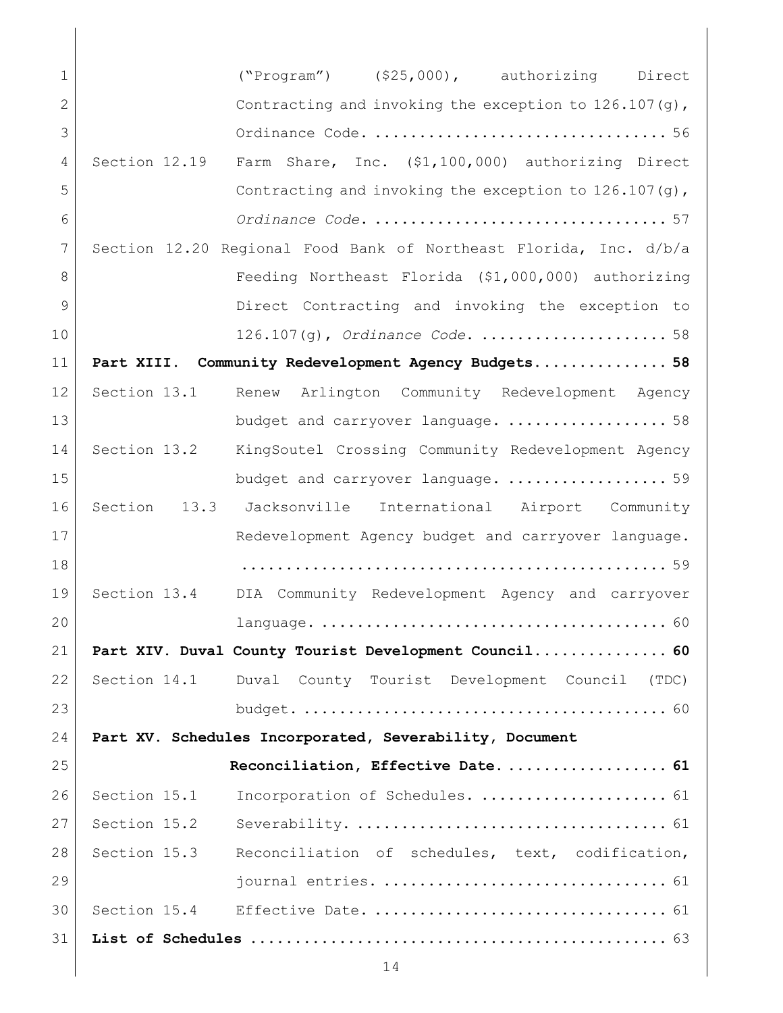| 1            | $("Program")$ $( $25,000)$ , authorizing Direct                    |
|--------------|--------------------------------------------------------------------|
| $\mathbf{2}$ | Contracting and invoking the exception to $126.107(q)$ ,           |
| 3            |                                                                    |
| 4            | Section 12.19<br>Farm Share, Inc. (\$1,100,000) authorizing Direct |
| 5            | Contracting and invoking the exception to $126.107(q)$ ,           |
| 6            |                                                                    |
| 7            | Section 12.20 Regional Food Bank of Northeast Florida, Inc. d/b/a  |
| 8            | Feeding Northeast Florida (\$1,000,000) authorizing                |
| 9            | Direct Contracting and invoking the exception to                   |
| 10           | $126.107$ (g), Ordinance Code.  58                                 |
| 11           | Part XIII. Community Redevelopment Agency Budgets 58               |
| 12           | Arlington Community Redevelopment Agency<br>Section 13.1<br>Renew  |
| 13           | budget and carryover language.  58                                 |
| 14           | Section 13.2<br>KingSoutel Crossing Community Redevelopment Agency |
| 15           | budget and carryover language.  59                                 |
| 16           | Section 13.3 Jacksonville International Airport Community          |
| 17           | Redevelopment Agency budget and carryover language.                |
| 18           |                                                                    |
| 19           | Section 13.4 DIA Community Redevelopment Agency and carryover      |
| 20           |                                                                    |
| 21           | Part XIV. Duval County Tourist Development Council 60              |
| 22           | Section 14.1 Duval County Tourist Development Council (TDC)        |
| 23           |                                                                    |
| 24           | Part XV. Schedules Incorporated, Severability, Document            |
| 25           | Reconciliation, Effective Date 61                                  |
| 26           | Section 15.1<br>Incorporation of Schedules.  61                    |
| 27           | Section 15.2                                                       |
| 28           | Section 15.3<br>Reconciliation of schedules, text, codification,   |
| 29           |                                                                    |
| 30           |                                                                    |
| 31           |                                                                    |
|              | 14                                                                 |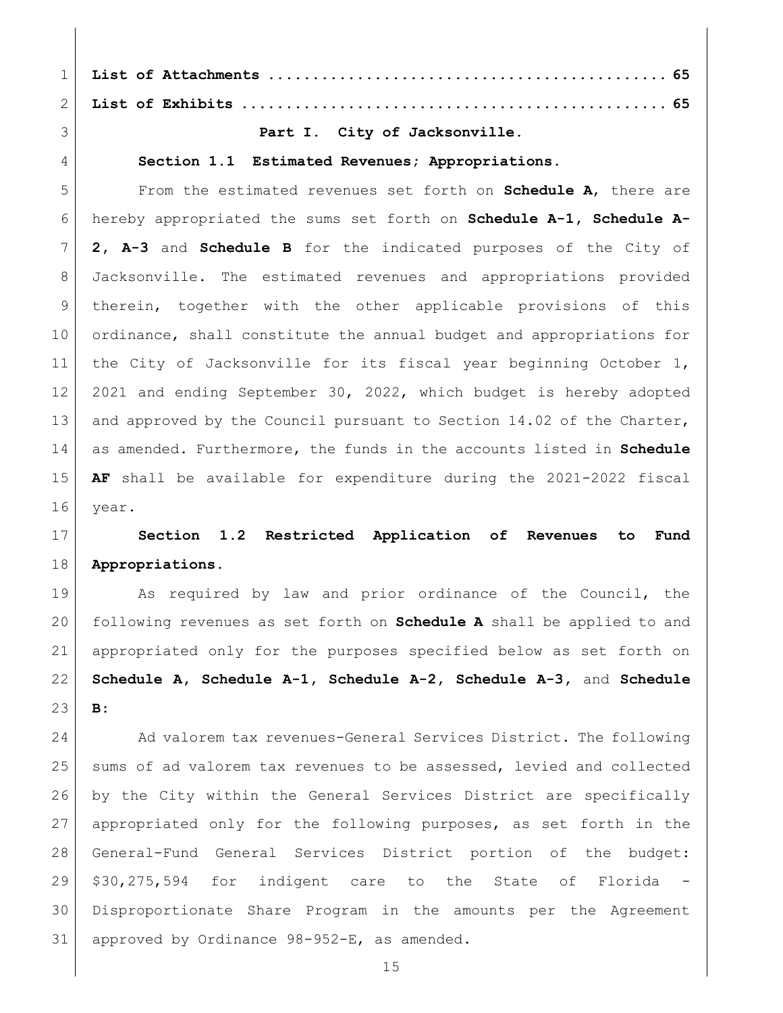**List of Attachments [.............................................](#page-64-0) 65**

**List of Exhibits [................................................](#page-64-1) 65**

# <span id="page-14-0"></span>**Part I. City of Jacksonville.**

# <span id="page-14-1"></span>**Section 1.1 Estimated Revenues; Appropriations.**

 From the estimated revenues set forth on **Schedule A**, there are hereby appropriated the sums set forth on **Schedule A-1, Schedule A- 2, A-3** and **Schedule B** for the indicated purposes of the City of Jacksonville. The estimated revenues and appropriations provided therein, together with the other applicable provisions of this ordinance, shall constitute the annual budget and appropriations for the City of Jacksonville for its fiscal year beginning October 1, 2021 and ending September 30, 2022, which budget is hereby adopted 13 and approved by the Council pursuant to Section 14.02 of the Charter, as amended. Furthermore, the funds in the accounts listed in **Schedule AF** shall be available for expenditure during the 2021-2022 fiscal 16 year.

# <span id="page-14-2"></span> **Section 1.2 Restricted Application of Revenues to Fund Appropriations.**

19 As required by law and prior ordinance of the Council, the following revenues as set forth on **Schedule A** shall be applied to and appropriated only for the purposes specified below as set forth on **Schedule A, Schedule A-1, Schedule A-2, Schedule A-3,** and **Schedule B**:

24 Ad valorem tax revenues-General Services District. The following sums of ad valorem tax revenues to be assessed, levied and collected by the City within the General Services District are specifically appropriated only for the following purposes, as set forth in the General-Fund General Services District portion of the budget: \$30,275,594 for indigent care to the State of Florida Disproportionate Share Program in the amounts per the Agreement approved by Ordinance 98-952-E, as amended.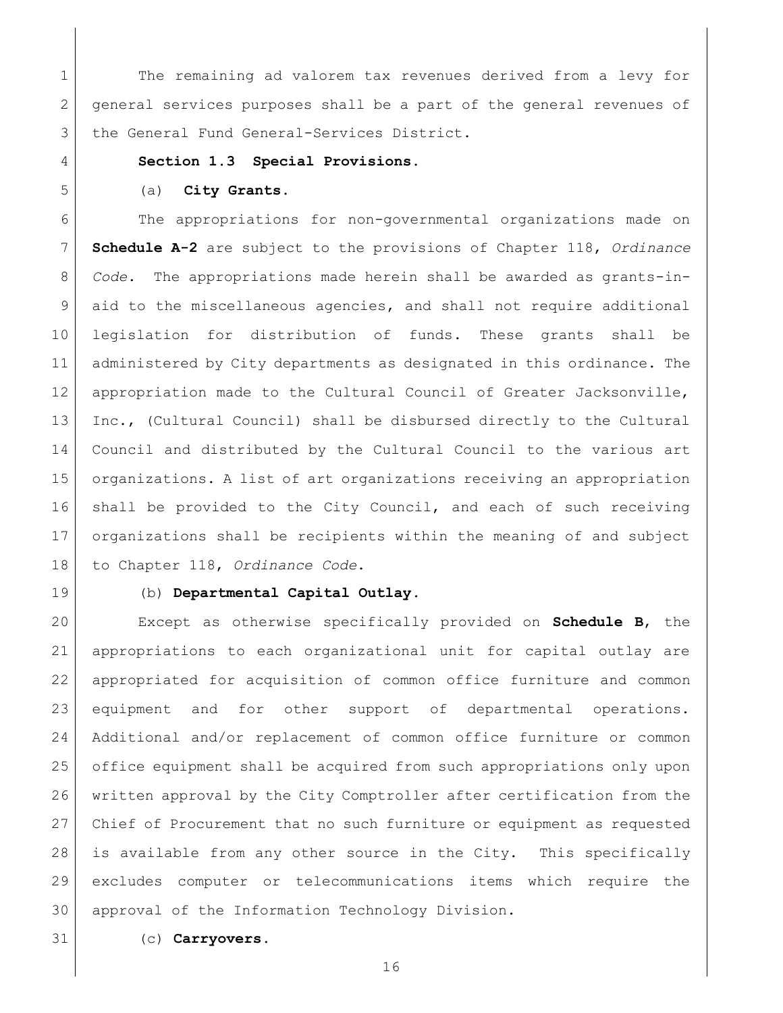1 The remaining ad valorem tax revenues derived from a levy for general services purposes shall be a part of the general revenues of 3 the General Fund General-Services District.

# <span id="page-15-0"></span>**Section 1.3 Special Provisions.**

# <span id="page-15-1"></span>(a) **City Grants.**

 The appropriations for non-governmental organizations made on **Schedule A-2** are subject to the provisions of Chapter 118, *Ordinance Code*. The appropriations made herein shall be awarded as grants-in- aid to the miscellaneous agencies, and shall not require additional legislation for distribution of funds. These grants shall be administered by City departments as designated in this ordinance. The appropriation made to the Cultural Council of Greater Jacksonville, Inc., (Cultural Council) shall be disbursed directly to the Cultural Council and distributed by the Cultural Council to the various art organizations. A list of art organizations receiving an appropriation shall be provided to the City Council, and each of such receiving organizations shall be recipients within the meaning of and subject to Chapter 118, *Ordinance Code*.

<span id="page-15-2"></span>

### (b) **Departmental Capital Outlay**.

 Except as otherwise specifically provided on **Schedule B**, the appropriations to each organizational unit for capital outlay are appropriated for acquisition of common office furniture and common equipment and for other support of departmental operations. Additional and/or replacement of common office furniture or common office equipment shall be acquired from such appropriations only upon written approval by the City Comptroller after certification from the 27 Chief of Procurement that no such furniture or equipment as requested is available from any other source in the City. This specifically excludes computer or telecommunications items which require the approval of the Information Technology Division.

<span id="page-15-3"></span>(c) **Carryovers**.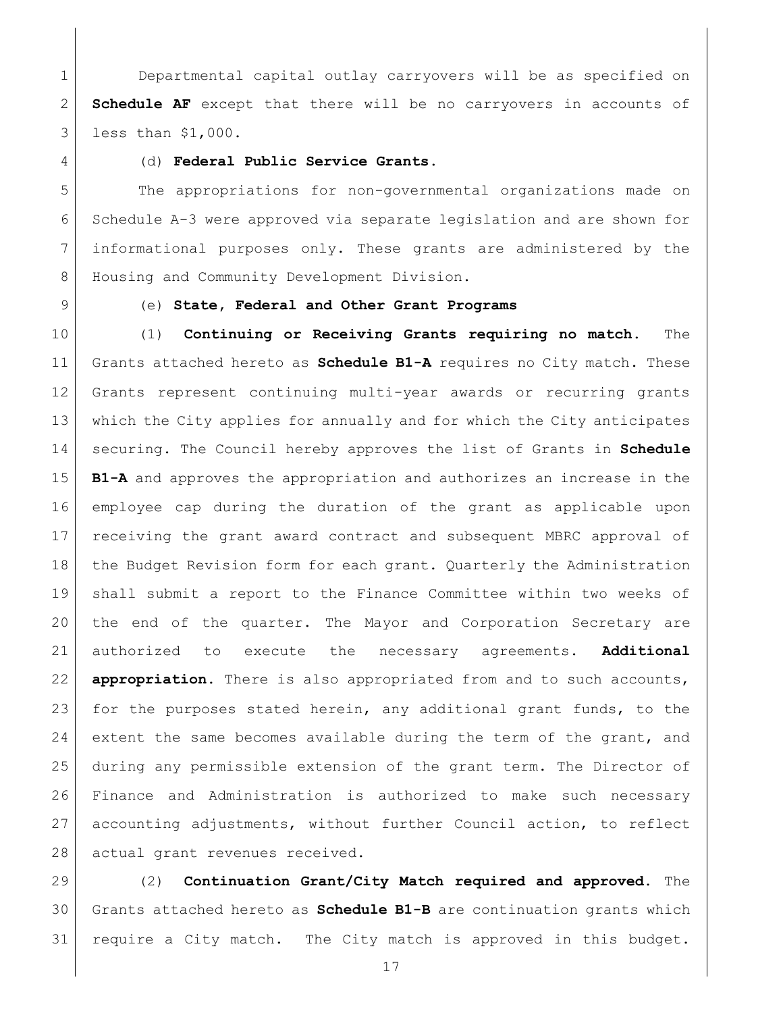1 Departmental capital outlay carryovers will be as specified on **Schedule AF** except that there will be no carryovers in accounts of less than \$1,000.

<span id="page-16-0"></span>

## (d) **Federal Public Service Grants.**

 The appropriations for non-governmental organizations made on Schedule A-3 were approved via separate legislation and are shown for informational purposes only. These grants are administered by the 8 | Housing and Community Development Division.

# <span id="page-16-1"></span>(e) **State, Federal and Other Grant Programs**

 (1) **Continuing or Receiving Grants requiring no match.** The Grants attached hereto as **Schedule B1-A** requires no City match. These Grants represent continuing multi-year awards or recurring grants which the City applies for annually and for which the City anticipates securing. The Council hereby approves the list of Grants in **Schedule B1-A** and approves the appropriation and authorizes an increase in the employee cap during the duration of the grant as applicable upon receiving the grant award contract and subsequent MBRC approval of 18 the Budget Revision form for each grant. Quarterly the Administration shall submit a report to the Finance Committee within two weeks of the end of the quarter. The Mayor and Corporation Secretary are authorized to execute the necessary agreements. **Additional appropriation.** There is also appropriated from and to such accounts, 23 for the purposes stated herein, any additional grant funds, to the 24 extent the same becomes available during the term of the grant, and during any permissible extension of the grant term. The Director of Finance and Administration is authorized to make such necessary accounting adjustments, without further Council action, to reflect 28 actual grant revenues received.

 (2) **Continuation Grant/City Match required and approved.** The Grants attached hereto as **Schedule B1-B** are continuation grants which require a City match. The City match is approved in this budget.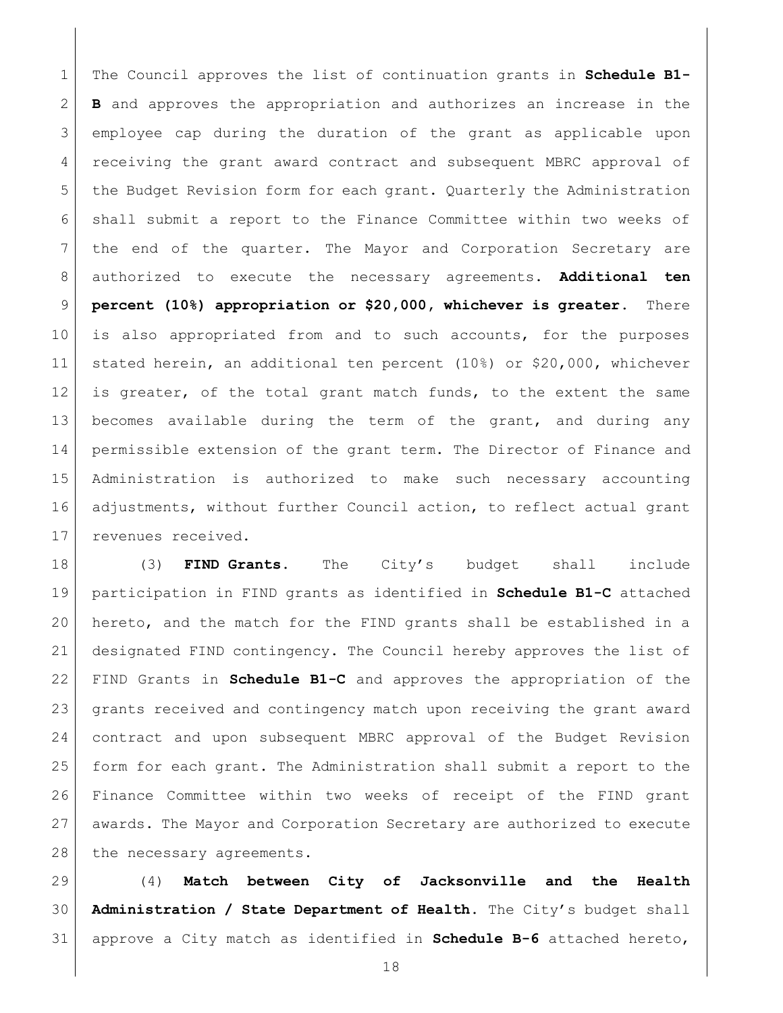The Council approves the list of continuation grants in **Schedule B1- B** and approves the appropriation and authorizes an increase in the employee cap during the duration of the grant as applicable upon receiving the grant award contract and subsequent MBRC approval of 5 the Budget Revision form for each grant. Quarterly the Administration shall submit a report to the Finance Committee within two weeks of the end of the quarter. The Mayor and Corporation Secretary are authorized to execute the necessary agreements. **Additional ten percent (10%) appropriation or \$20,000, whichever is greater.** There is also appropriated from and to such accounts, for the purposes stated herein, an additional ten percent (10%) or \$20,000, whichever 12 is greater, of the total grant match funds, to the extent the same becomes available during the term of the grant, and during any permissible extension of the grant term. The Director of Finance and Administration is authorized to make such necessary accounting adjustments, without further Council action, to reflect actual grant 17 revenues received.

 (3) **FIND Grants.** The City's budget shall include participation in FIND grants as identified in **Schedule B1-C** attached hereto, and the match for the FIND grants shall be established in a designated FIND contingency. The Council hereby approves the list of FIND Grants in **Schedule B1-C** and approves the appropriation of the grants received and contingency match upon receiving the grant award contract and upon subsequent MBRC approval of the Budget Revision form for each grant. The Administration shall submit a report to the Finance Committee within two weeks of receipt of the FIND grant awards. The Mayor and Corporation Secretary are authorized to execute 28 the necessary agreements.

 (4) **Match between City of Jacksonville and the Health Administration / State Department of Health.** The City's budget shall approve a City match as identified in **Schedule B-6** attached hereto,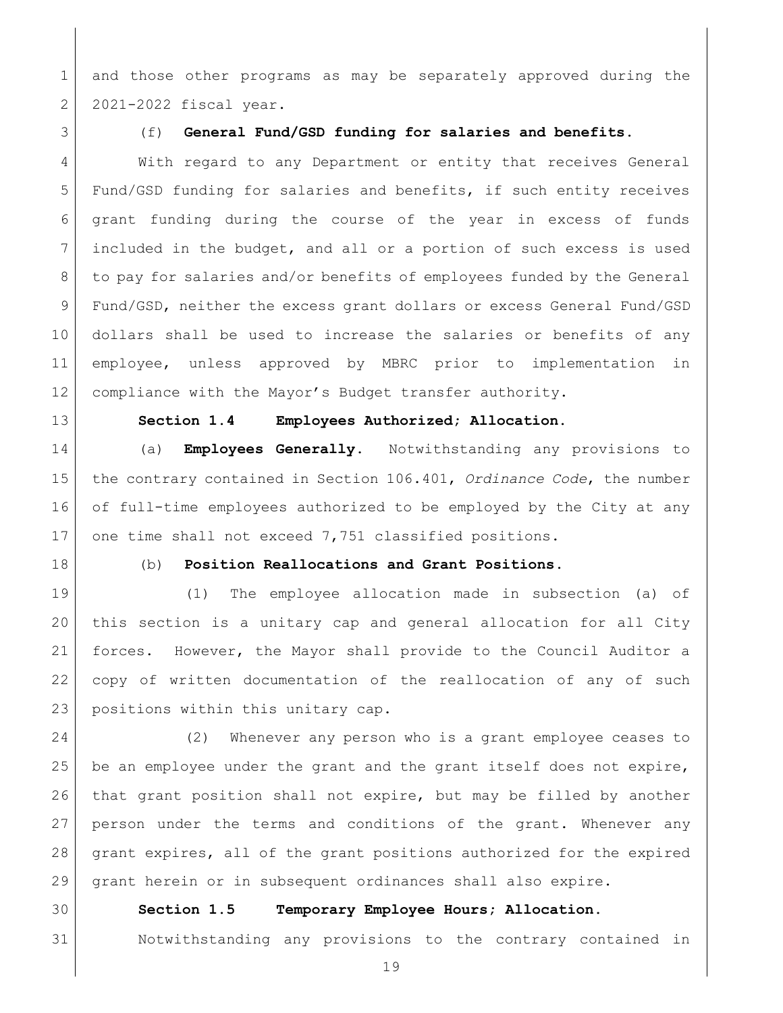1 and those other programs as may be separately approved during the 2 2021-2022 fiscal year.

<span id="page-18-0"></span>

## (f) **General Fund/GSD funding for salaries and benefits.**

 With regard to any Department or entity that receives General 5 Fund/GSD funding for salaries and benefits, if such entity receives grant funding during the course of the year in excess of funds included in the budget, and all or a portion of such excess is used 8 to pay for salaries and/or benefits of employees funded by the General Fund/GSD, neither the excess grant dollars or excess General Fund/GSD dollars shall be used to increase the salaries or benefits of any employee, unless approved by MBRC prior to implementation in compliance with the Mayor's Budget transfer authority.

<span id="page-18-1"></span>

## **Section 1.4 Employees Authorized; Allocation.**

 (a) **Employees Generally**. Notwithstanding any provisions to the contrary contained in Section 106.401, *Ordinance Code*, the number of full-time employees authorized to be employed by the City at any 17 one time shall not exceed 7,751 classified positions.

## (b) **Position Reallocations and Grant Positions**.

 (1) The employee allocation made in subsection (a) of this section is a unitary cap and general allocation for all City forces. However, the Mayor shall provide to the Council Auditor a copy of written documentation of the reallocation of any of such 23 positions within this unitary cap.

 (2) Whenever any person who is a grant employee ceases to 25 be an employee under the grant and the grant itself does not expire, 26 | that grant position shall not expire, but may be filled by another person under the terms and conditions of the grant. Whenever any grant expires, all of the grant positions authorized for the expired grant herein or in subsequent ordinances shall also expire.

## <span id="page-18-2"></span>**Section 1.5 Temporary Employee Hours; Allocation.**

# Notwithstanding any provisions to the contrary contained in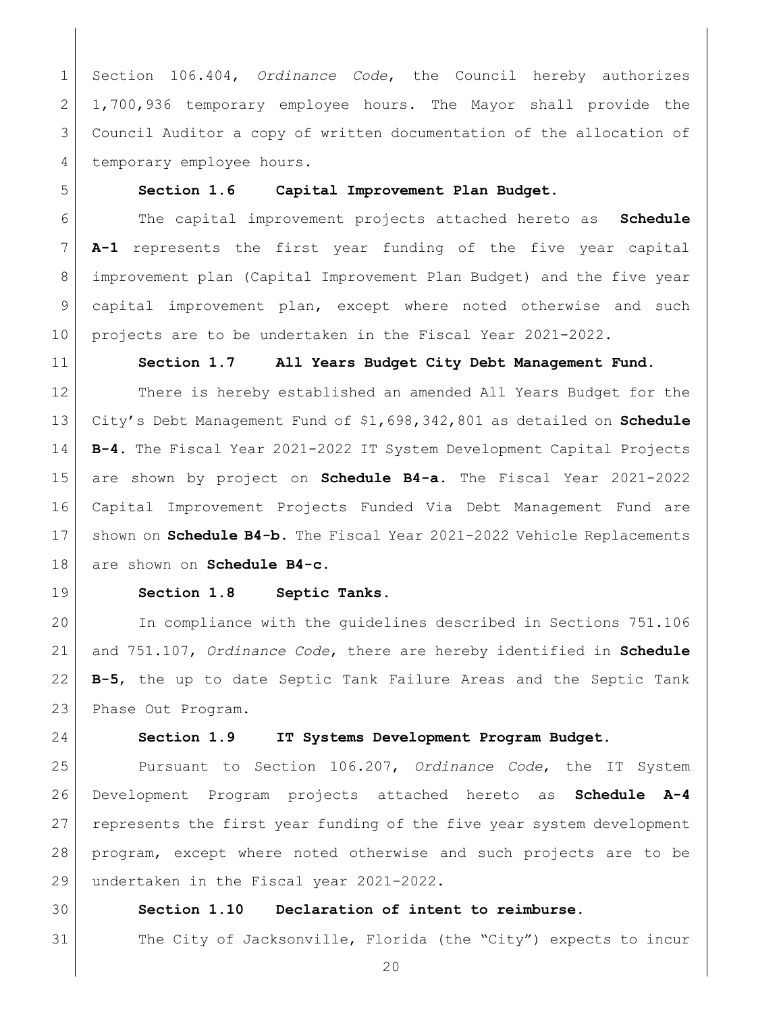Section 106.404, *Ordinance Code*, the Council hereby authorizes 1,700,936 temporary employee hours. The Mayor shall provide the Council Auditor a copy of written documentation of the allocation of 4 temporary employee hours.

<span id="page-19-0"></span>

# **Section 1.6 Capital Improvement Plan Budget.**

 The capital improvement projects attached hereto as **Schedule A-1** represents the first year funding of the five year capital improvement plan (Capital Improvement Plan Budget) and the five year capital improvement plan, except where noted otherwise and such projects are to be undertaken in the Fiscal Year 2021-2022.

<span id="page-19-1"></span>

### **Section 1.7 All Years Budget City Debt Management Fund.**

12 There is hereby established an amended All Years Budget for the City's Debt Management Fund of \$1,698,342,801 as detailed on **Schedule B-4.** The Fiscal Year 2021-2022 IT System Development Capital Projects are shown by project on **Schedule B4-a.** The Fiscal Year 2021-2022 Capital Improvement Projects Funded Via Debt Management Fund are shown on **Schedule B4-b.** The Fiscal Year 2021-2022 Vehicle Replacements are shown on **Schedule B4-c.**

<span id="page-19-2"></span>

## **Section 1.8 Septic Tanks.**

 In compliance with the guidelines described in Sections 751.106 and 751.107, *Ordinance Code*, there are hereby identified in **Schedule B-5**, the up to date Septic Tank Failure Areas and the Septic Tank 23 Phase Out Program.

<span id="page-19-3"></span>

# **Section 1.9 IT Systems Development Program Budget.**

 Pursuant to Section 106.207, *Ordinance Code*, the IT System Development Program projects attached hereto as **Schedule A-4** represents the first year funding of the five year system development program, except where noted otherwise and such projects are to be 29 undertaken in the Fiscal year 2021-2022.

# <span id="page-19-4"></span>**Section 1.10 Declaration of intent to reimburse.**

The City of Jacksonville, Florida (the "City") expects to incur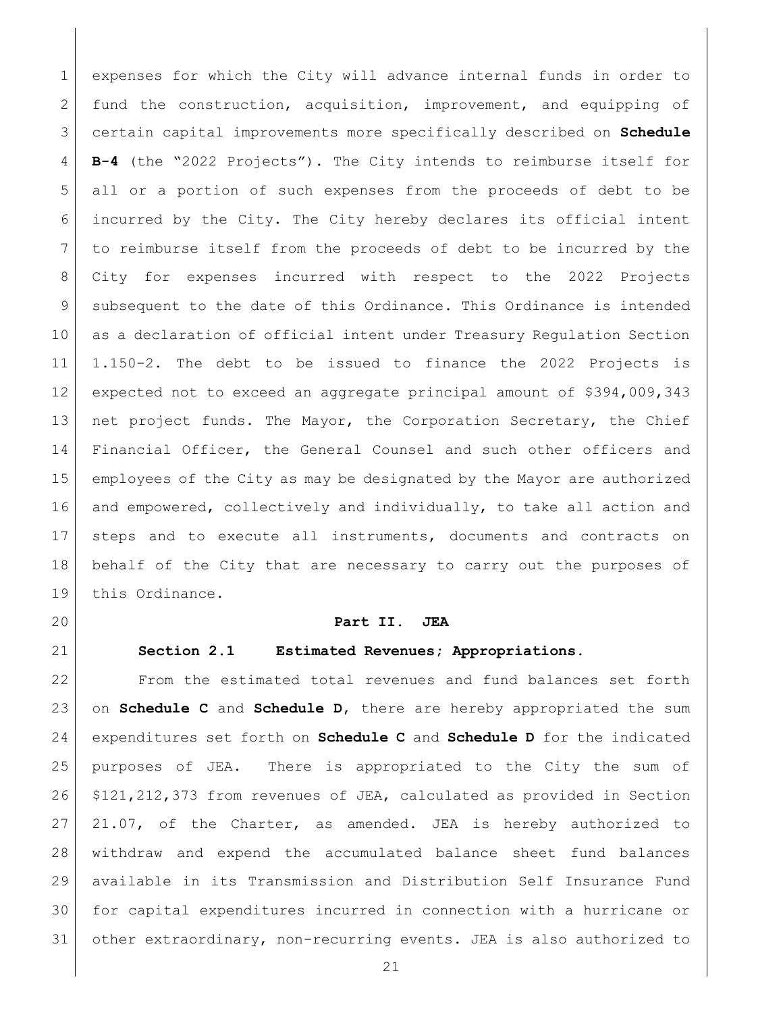expenses for which the City will advance internal funds in order to 2 fund the construction, acquisition, improvement, and equipping of certain capital improvements more specifically described on **Schedule B-4** (the "2022 Projects"). The City intends to reimburse itself for all or a portion of such expenses from the proceeds of debt to be incurred by the City. The City hereby declares its official intent to reimburse itself from the proceeds of debt to be incurred by the City for expenses incurred with respect to the 2022 Projects 9 subsequent to the date of this Ordinance. This Ordinance is intended as a declaration of official intent under Treasury Regulation Section 1.150-2. The debt to be issued to finance the 2022 Projects is expected not to exceed an aggregate principal amount of \$394,009,343 13 net project funds. The Mayor, the Corporation Secretary, the Chief 14 Financial Officer, the General Counsel and such other officers and employees of the City as may be designated by the Mayor are authorized and empowered, collectively and individually, to take all action and steps and to execute all instruments, documents and contracts on behalf of the City that are necessary to carry out the purposes of 19 this Ordinance.

<span id="page-20-0"></span>

#### **Part II. JEA**

<span id="page-20-1"></span>

# **Section 2.1 Estimated Revenues; Appropriations.**

 From the estimated total revenues and fund balances set forth on **Schedule C** and **Schedule D**, there are hereby appropriated the sum expenditures set forth on **Schedule C** and **Schedule D** for the indicated purposes of JEA. There is appropriated to the City the sum of \$121,212,373 from revenues of JEA, calculated as provided in Section 21.07, of the Charter, as amended. JEA is hereby authorized to withdraw and expend the accumulated balance sheet fund balances available in its Transmission and Distribution Self Insurance Fund for capital expenditures incurred in connection with a hurricane or other extraordinary, non-recurring events. JEA is also authorized to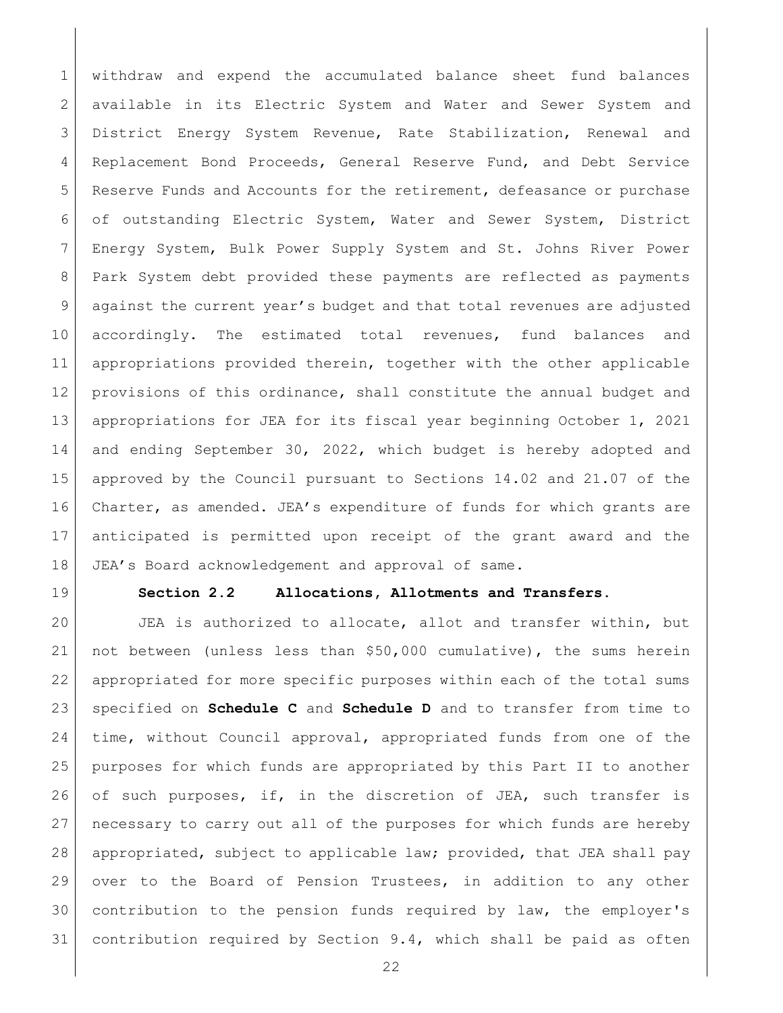withdraw and expend the accumulated balance sheet fund balances available in its Electric System and Water and Sewer System and District Energy System Revenue, Rate Stabilization, Renewal and 4 Replacement Bond Proceeds, General Reserve Fund, and Debt Service 5 Reserve Funds and Accounts for the retirement, defeasance or purchase of outstanding Electric System, Water and Sewer System, District Energy System, Bulk Power Supply System and St. Johns River Power Park System debt provided these payments are reflected as payments against the current year's budget and that total revenues are adjusted 10 accordingly. The estimated total revenues, fund balances and appropriations provided therein, together with the other applicable provisions of this ordinance, shall constitute the annual budget and appropriations for JEA for its fiscal year beginning October 1, 2021 14 and ending September 30, 2022, which budget is hereby adopted and approved by the Council pursuant to Sections 14.02 and 21.07 of the Charter, as amended. JEA's expenditure of funds for which grants are anticipated is permitted upon receipt of the grant award and the 18 JEA's Board acknowledgement and approval of same.

<span id="page-21-0"></span>

## **Section 2.2 Allocations, Allotments and Transfers.**

 JEA is authorized to allocate, allot and transfer within, but not between (unless less than \$50,000 cumulative), the sums herein appropriated for more specific purposes within each of the total sums specified on **Schedule C** and **Schedule D** and to transfer from time to time, without Council approval, appropriated funds from one of the purposes for which funds are appropriated by this Part II to another 26 of such purposes, if, in the discretion of JEA, such transfer is necessary to carry out all of the purposes for which funds are hereby appropriated, subject to applicable law; provided, that JEA shall pay over to the Board of Pension Trustees, in addition to any other contribution to the pension funds required by law, the employer's contribution required by Section 9.4, which shall be paid as often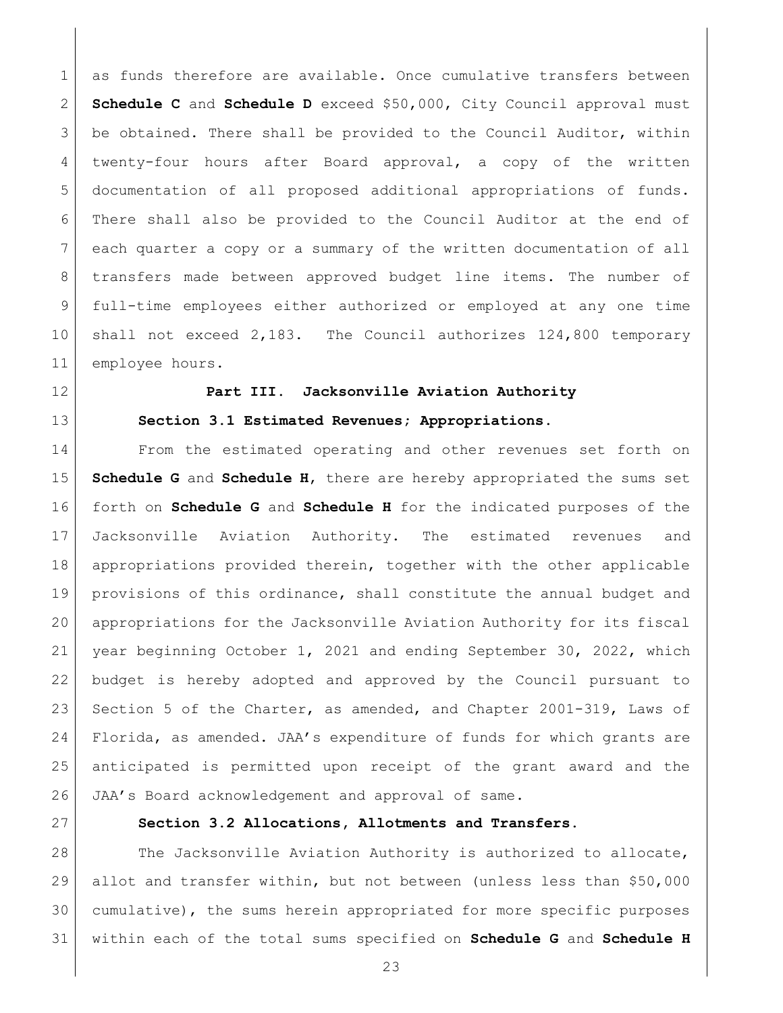1 as funds therefore are available. Once cumulative transfers between **Schedule C** and **Schedule D** exceed \$50,000, City Council approval must be obtained. There shall be provided to the Council Auditor, within 4 twenty-four hours after Board approval, a copy of the written documentation of all proposed additional appropriations of funds. There shall also be provided to the Council Auditor at the end of each quarter a copy or a summary of the written documentation of all transfers made between approved budget line items. The number of full-time employees either authorized or employed at any one time shall not exceed 2,183. The Council authorizes 124,800 temporary 11 employee hours.

<span id="page-22-0"></span>

# **Part III. Jacksonville Aviation Authority**

<span id="page-22-1"></span>**Section 3.1 Estimated Revenues; Appropriations.**

14 From the estimated operating and other revenues set forth on **Schedule G** and **Schedule H**, there are hereby appropriated the sums set forth on **Schedule G** and **Schedule H** for the indicated purposes of the Jacksonville Aviation Authority. The estimated revenues and appropriations provided therein, together with the other applicable provisions of this ordinance, shall constitute the annual budget and appropriations for the Jacksonville Aviation Authority for its fiscal year beginning October 1, 2021 and ending September 30, 2022, which budget is hereby adopted and approved by the Council pursuant to 23 Section 5 of the Charter, as amended, and Chapter 2001-319, Laws of 24 Florida, as amended. JAA's expenditure of funds for which grants are anticipated is permitted upon receipt of the grant award and the JAA's Board acknowledgement and approval of same.

<span id="page-22-2"></span>

# **Section 3.2 Allocations, Allotments and Transfers.**

28 The Jacksonville Aviation Authority is authorized to allocate, allot and transfer within, but not between (unless less than \$50,000 cumulative), the sums herein appropriated for more specific purposes within each of the total sums specified on **Schedule G** and **Schedule H**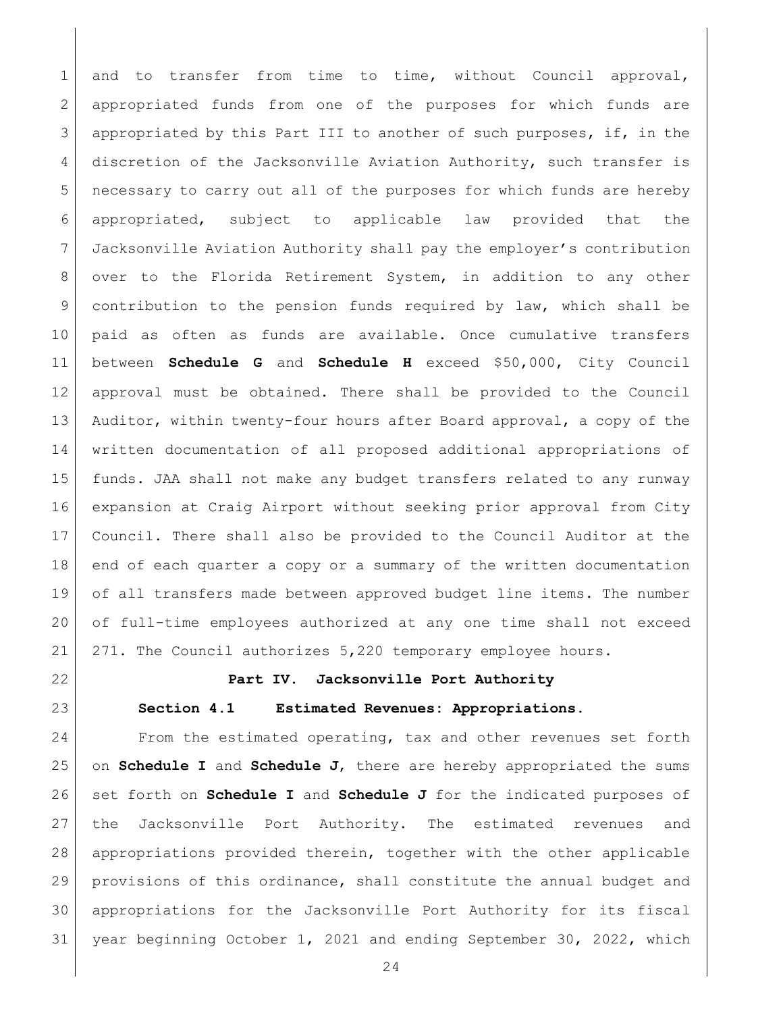1 and to transfer from time to time, without Council approval, appropriated funds from one of the purposes for which funds are appropriated by this Part III to another of such purposes, if, in the discretion of the Jacksonville Aviation Authority, such transfer is necessary to carry out all of the purposes for which funds are hereby appropriated, subject to applicable law provided that the Jacksonville Aviation Authority shall pay the employer's contribution 8 over to the Florida Retirement System, in addition to any other contribution to the pension funds required by law, which shall be paid as often as funds are available. Once cumulative transfers between **Schedule G** and **Schedule H** exceed \$50,000, City Council approval must be obtained. There shall be provided to the Council Auditor, within twenty-four hours after Board approval, a copy of the written documentation of all proposed additional appropriations of funds. JAA shall not make any budget transfers related to any runway expansion at Craig Airport without seeking prior approval from City Council. There shall also be provided to the Council Auditor at the end of each quarter a copy or a summary of the written documentation of all transfers made between approved budget line items. The number of full-time employees authorized at any one time shall not exceed 271. The Council authorizes 5,220 temporary employee hours.

<span id="page-23-1"></span><span id="page-23-0"></span>

### **Part IV. Jacksonville Port Authority**

### **Section 4.1 Estimated Revenues: Appropriations.**

 From the estimated operating, tax and other revenues set forth on **Schedule I** and **Schedule J**, there are hereby appropriated the sums set forth on **Schedule I** and **Schedule J** for the indicated purposes of the Jacksonville Port Authority. The estimated revenues and appropriations provided therein, together with the other applicable provisions of this ordinance, shall constitute the annual budget and appropriations for the Jacksonville Port Authority for its fiscal year beginning October 1, 2021 and ending September 30, 2022, which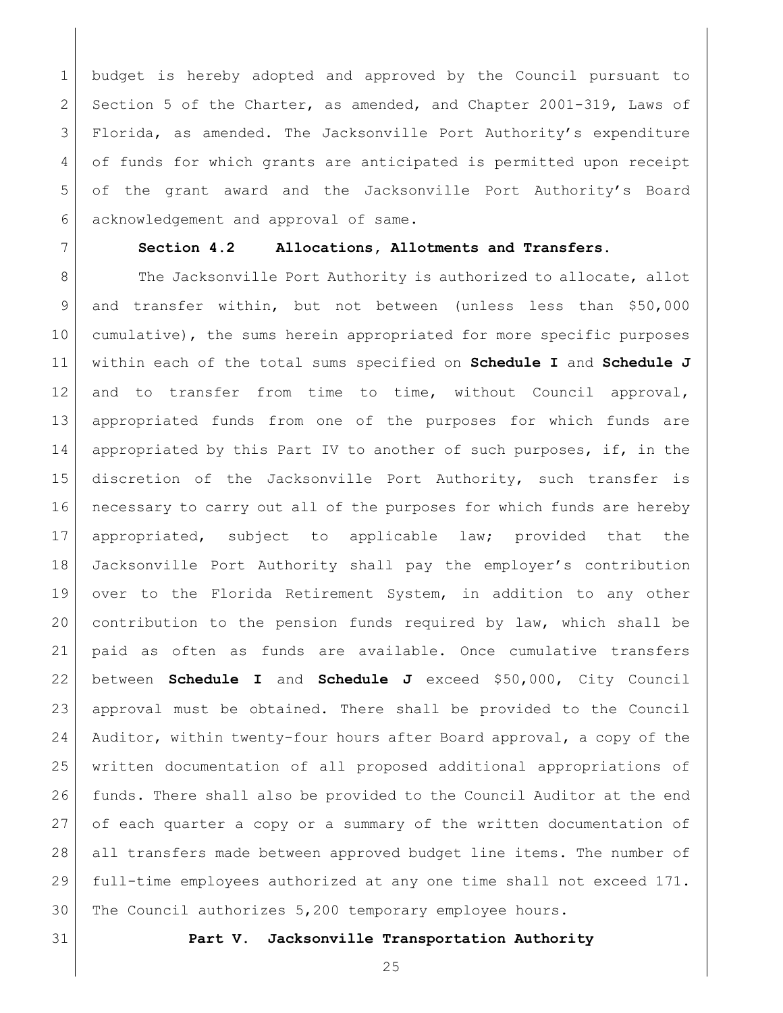budget is hereby adopted and approved by the Council pursuant to 2 Section 5 of the Charter, as amended, and Chapter 2001-319, Laws of Florida, as amended. The Jacksonville Port Authority's expenditure 4 of funds for which grants are anticipated is permitted upon receipt of the grant award and the Jacksonville Port Authority's Board acknowledgement and approval of same.

### <span id="page-24-0"></span>**Section 4.2 Allocations, Allotments and Transfers.**

8 The Jacksonville Port Authority is authorized to allocate, allot and transfer within, but not between (unless less than \$50,000 cumulative), the sums herein appropriated for more specific purposes within each of the total sums specified on **Schedule I** and **Schedule J** and to transfer from time to time, without Council approval, appropriated funds from one of the purposes for which funds are appropriated by this Part IV to another of such purposes, if, in the discretion of the Jacksonville Port Authority, such transfer is necessary to carry out all of the purposes for which funds are hereby appropriated, subject to applicable law; provided that the Jacksonville Port Authority shall pay the employer's contribution over to the Florida Retirement System, in addition to any other contribution to the pension funds required by law, which shall be paid as often as funds are available. Once cumulative transfers between **Schedule I** and **Schedule J** exceed \$50,000, City Council approval must be obtained. There shall be provided to the Council Auditor, within twenty-four hours after Board approval, a copy of the written documentation of all proposed additional appropriations of 26 funds. There shall also be provided to the Council Auditor at the end of each quarter a copy or a summary of the written documentation of all transfers made between approved budget line items. The number of full-time employees authorized at any one time shall not exceed 171. The Council authorizes 5,200 temporary employee hours.

<span id="page-24-1"></span>

#### **Part V. Jacksonville Transportation Authority**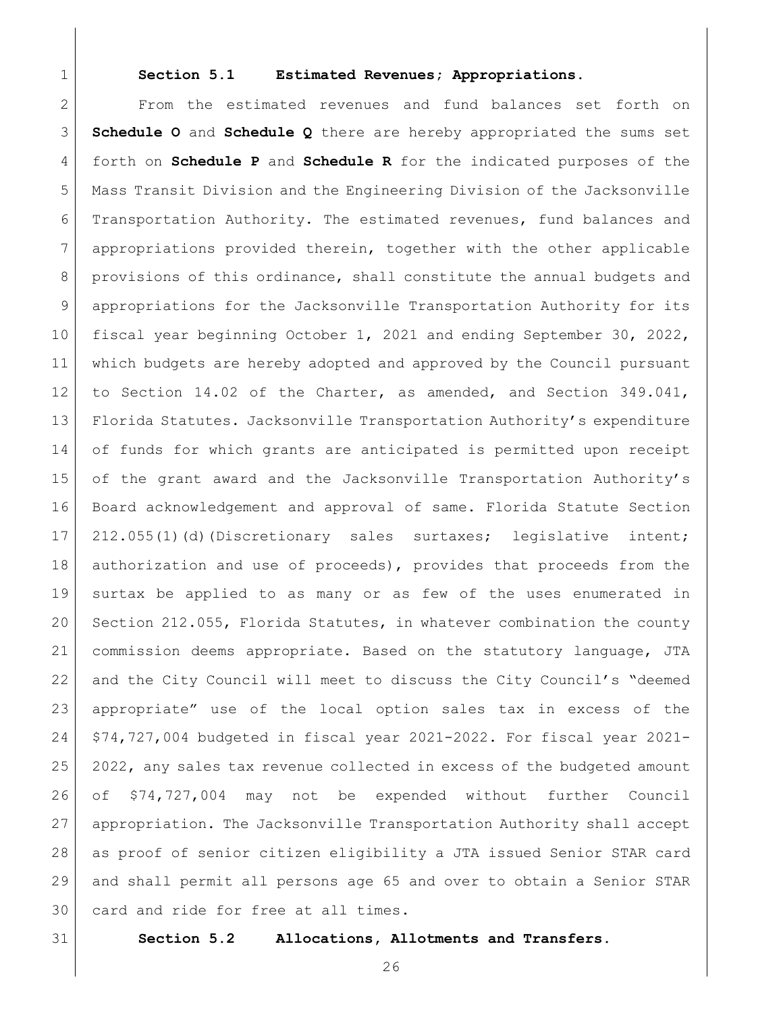<span id="page-25-0"></span>

### **Section 5.1 Estimated Revenues; Appropriations.**

 From the estimated revenues and fund balances set forth on **Schedule O** and **Schedule Q** there are hereby appropriated the sums set forth on **Schedule P** and **Schedule R** for the indicated purposes of the Mass Transit Division and the Engineering Division of the Jacksonville Transportation Authority. The estimated revenues, fund balances and appropriations provided therein, together with the other applicable provisions of this ordinance, shall constitute the annual budgets and appropriations for the Jacksonville Transportation Authority for its fiscal year beginning October 1, 2021 and ending September 30, 2022, which budgets are hereby adopted and approved by the Council pursuant to Section 14.02 of the Charter, as amended, and Section 349.041, Florida Statutes. Jacksonville Transportation Authority's expenditure 14 of funds for which grants are anticipated is permitted upon receipt 15 of the grant award and the Jacksonville Transportation Authority's Board acknowledgement and approval of same. Florida Statute Section 17 212.055(1)(d)(Discretionary sales surtaxes; legislative intent; 18 | authorization and use of proceeds), provides that proceeds from the surtax be applied to as many or as few of the uses enumerated in Section 212.055, Florida Statutes, in whatever combination the county commission deems appropriate. Based on the statutory language, JTA and the City Council will meet to discuss the City Council's "deemed appropriate" use of the local option sales tax in excess of the \$74,727,004 budgeted in fiscal year 2021-2022. For fiscal year 2021- 2022, any sales tax revenue collected in excess of the budgeted amount of \$74,727,004 may not be expended without further Council appropriation. The Jacksonville Transportation Authority shall accept as proof of senior citizen eligibility a JTA issued Senior STAR card and shall permit all persons age 65 and over to obtain a Senior STAR card and ride for free at all times.

<span id="page-25-1"></span>

**Section 5.2 Allocations, Allotments and Transfers.**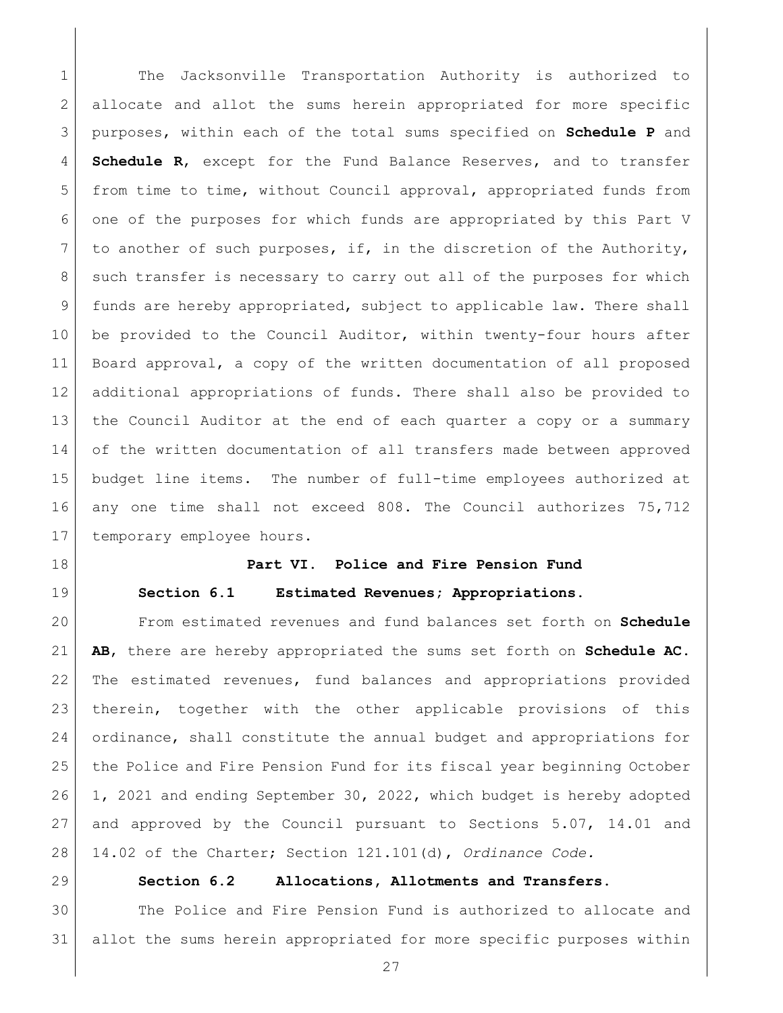1 The Jacksonville Transportation Authority is authorized to allocate and allot the sums herein appropriated for more specific purposes, within each of the total sums specified on **Schedule P** and **Schedule R**, except for the Fund Balance Reserves, and to transfer from time to time, without Council approval, appropriated funds from one of the purposes for which funds are appropriated by this Part V 7 to another of such purposes, if, in the discretion of the Authority, 8 such transfer is necessary to carry out all of the purposes for which funds are hereby appropriated, subject to applicable law. There shall 10 be provided to the Council Auditor, within twenty-four hours after Board approval, a copy of the written documentation of all proposed additional appropriations of funds. There shall also be provided to the Council Auditor at the end of each quarter a copy or a summary 14 of the written documentation of all transfers made between approved budget line items. The number of full-time employees authorized at any one time shall not exceed 808. The Council authorizes 75,712 17 temporary employee hours.

<span id="page-26-0"></span>

<span id="page-26-1"></span>

## **Part VI. Police and Fire Pension Fund**

**Section 6.1 Estimated Revenues; Appropriations.**

 From estimated revenues and fund balances set forth on **Schedule AB**, there are hereby appropriated the sums set forth on **Schedule AC**. The estimated revenues, fund balances and appropriations provided therein, together with the other applicable provisions of this ordinance, shall constitute the annual budget and appropriations for the Police and Fire Pension Fund for its fiscal year beginning October 26 1, 2021 and ending September 30, 2022, which budget is hereby adopted and approved by the Council pursuant to Sections 5.07, 14.01 and 14.02 of the Charter; Section 121.101(d), *Ordinance Code.*

<span id="page-26-2"></span>

### **Section 6.2 Allocations, Allotments and Transfers.**

 The Police and Fire Pension Fund is authorized to allocate and allot the sums herein appropriated for more specific purposes within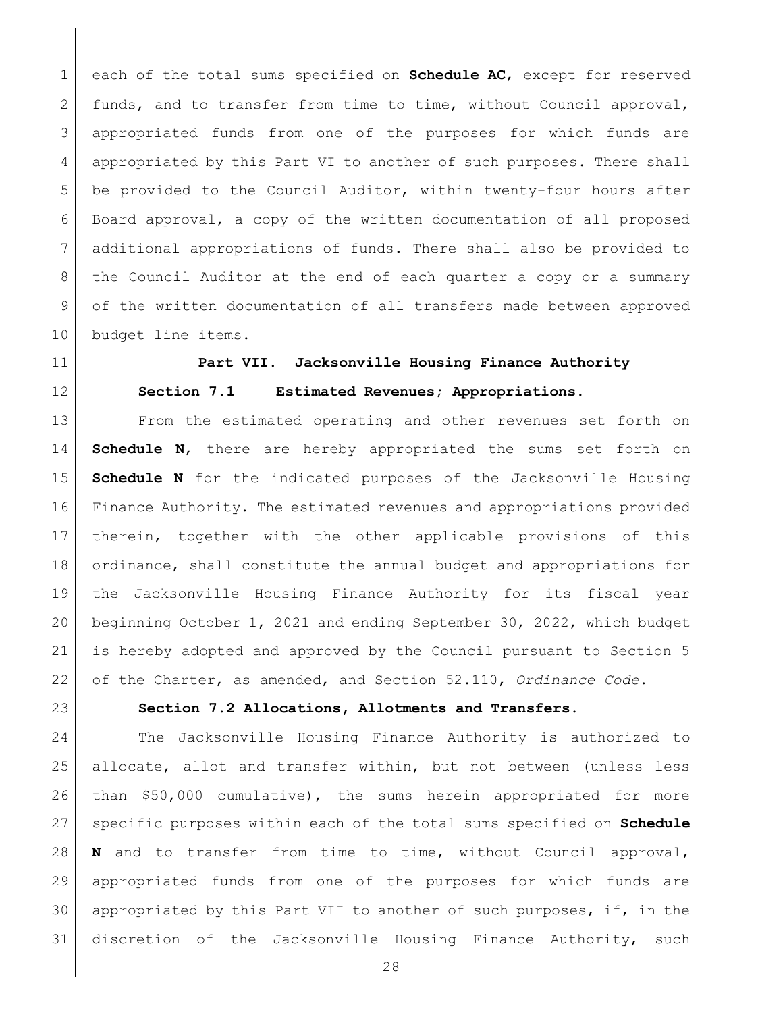each of the total sums specified on **Schedule AC**, except for reserved 2 funds, and to transfer from time to time, without Council approval, appropriated funds from one of the purposes for which funds are appropriated by this Part VI to another of such purposes. There shall be provided to the Council Auditor, within twenty-four hours after Board approval, a copy of the written documentation of all proposed additional appropriations of funds. There shall also be provided to the Council Auditor at the end of each quarter a copy or a summary of the written documentation of all transfers made between approved budget line items.

<span id="page-27-0"></span>

<span id="page-27-1"></span>

# **Part VII. Jacksonville Housing Finance Authority Section 7.1 Estimated Revenues; Appropriations.**

 From the estimated operating and other revenues set forth on **Schedule N**, there are hereby appropriated the sums set forth on **Schedule N** for the indicated purposes of the Jacksonville Housing Finance Authority. The estimated revenues and appropriations provided therein, together with the other applicable provisions of this 18 ordinance, shall constitute the annual budget and appropriations for the Jacksonville Housing Finance Authority for its fiscal year beginning October 1, 2021 and ending September 30, 2022, which budget is hereby adopted and approved by the Council pursuant to Section 5 of the Charter, as amended, and Section 52.110, *Ordinance Code*.

<span id="page-27-2"></span>

# **Section 7.2 Allocations, Allotments and Transfers.**

 The Jacksonville Housing Finance Authority is authorized to allocate, allot and transfer within, but not between (unless less than \$50,000 cumulative), the sums herein appropriated for more specific purposes within each of the total sums specified on **Schedule N** and to transfer from time to time, without Council approval, appropriated funds from one of the purposes for which funds are 30 appropriated by this Part VII to another of such purposes, if, in the discretion of the Jacksonville Housing Finance Authority, such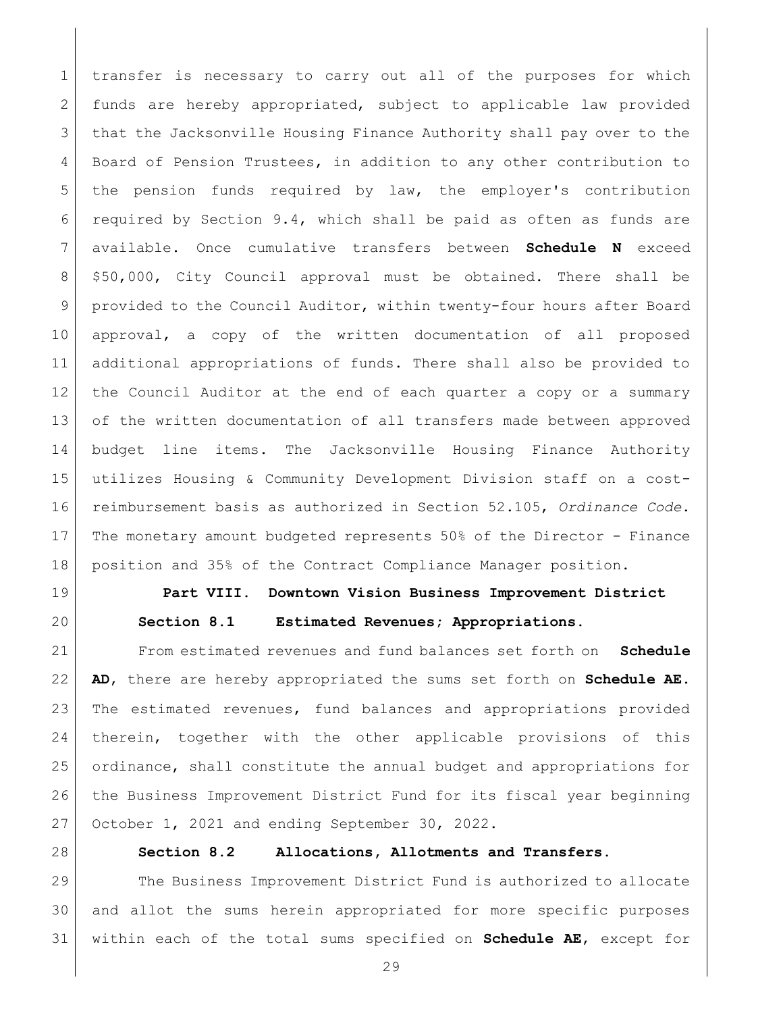transfer is necessary to carry out all of the purposes for which funds are hereby appropriated, subject to applicable law provided that the Jacksonville Housing Finance Authority shall pay over to the 4 Board of Pension Trustees, in addition to any other contribution to the pension funds required by law, the employer's contribution required by Section 9.4, which shall be paid as often as funds are available. Once cumulative transfers between **Schedule N** exceed \$50,000, City Council approval must be obtained. There shall be provided to the Council Auditor, within twenty-four hours after Board approval, a copy of the written documentation of all proposed additional appropriations of funds. There shall also be provided to the Council Auditor at the end of each quarter a copy or a summary 13 of the written documentation of all transfers made between approved budget line items. The Jacksonville Housing Finance Authority utilizes Housing & Community Development Division staff on a cost- reimbursement basis as authorized in Section 52.105, *Ordinance Code*. The monetary amount budgeted represents 50% of the Director - Finance position and 35% of the Contract Compliance Manager position.

<span id="page-28-1"></span>

# <span id="page-28-0"></span> **Part VIII. Downtown Vision Business Improvement District Section 8.1 Estimated Revenues; Appropriations.**

 From estimated revenues and fund balances set forth on **Schedule AD**, there are hereby appropriated the sums set forth on **Schedule AE**. The estimated revenues, fund balances and appropriations provided therein, together with the other applicable provisions of this ordinance, shall constitute the annual budget and appropriations for 26 the Business Improvement District Fund for its fiscal year beginning October 1, 2021 and ending September 30, 2022.

<span id="page-28-2"></span>

### **Section 8.2 Allocations, Allotments and Transfers.**

 The Business Improvement District Fund is authorized to allocate and allot the sums herein appropriated for more specific purposes within each of the total sums specified on **Schedule AE**, except for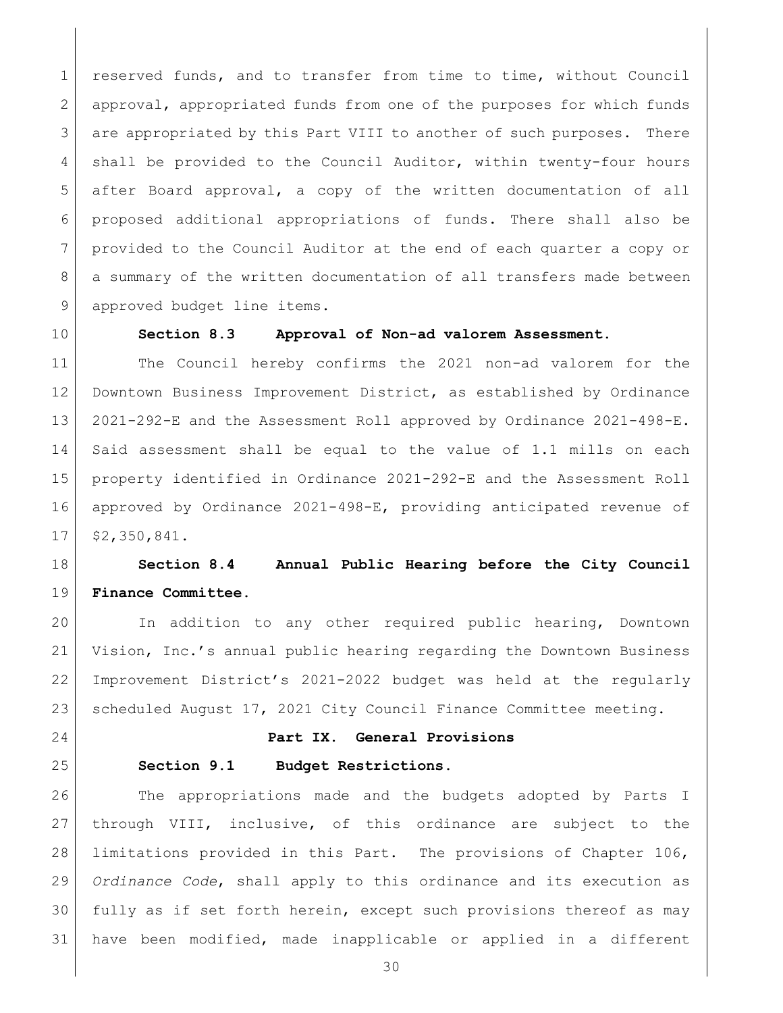reserved funds, and to transfer from time to time, without Council approval, appropriated funds from one of the purposes for which funds 3 are appropriated by this Part VIII to another of such purposes. There shall be provided to the Council Auditor, within twenty-four hours after Board approval, a copy of the written documentation of all proposed additional appropriations of funds. There shall also be 7 provided to the Council Auditor at the end of each quarter a copy or 8 a summary of the written documentation of all transfers made between 9 approved budget line items.

<span id="page-29-0"></span>

#### **Section 8.3 Approval of Non-ad valorem Assessment.**

 The Council hereby confirms the 2021 non-ad valorem for the Downtown Business Improvement District, as established by Ordinance 2021-292-E and the Assessment Roll approved by Ordinance 2021-498-E. Said assessment shall be equal to the value of 1.1 mills on each property identified in Ordinance 2021-292-E and the Assessment Roll approved by Ordinance 2021-498-E, providing anticipated revenue of \$2,350,841.

# **Section 8.4 Annual Public Hearing before the City Council Finance Committee.**

 In addition to any other required public hearing, Downtown Vision, Inc.'s annual public hearing regarding the Downtown Business Improvement District's 2021-2022 budget was held at the regularly 23 | scheduled August 17, 2021 City Council Finance Committee meeting.

<span id="page-29-1"></span>

<span id="page-29-2"></span>

#### **Part IX. General Provisions**

### **Section 9.1 Budget Restrictions.**

26 The appropriations made and the budgets adopted by Parts I through VIII, inclusive, of this ordinance are subject to the limitations provided in this Part. The provisions of Chapter 106, *Ordinance Code*, shall apply to this ordinance and its execution as fully as if set forth herein, except such provisions thereof as may have been modified, made inapplicable or applied in a different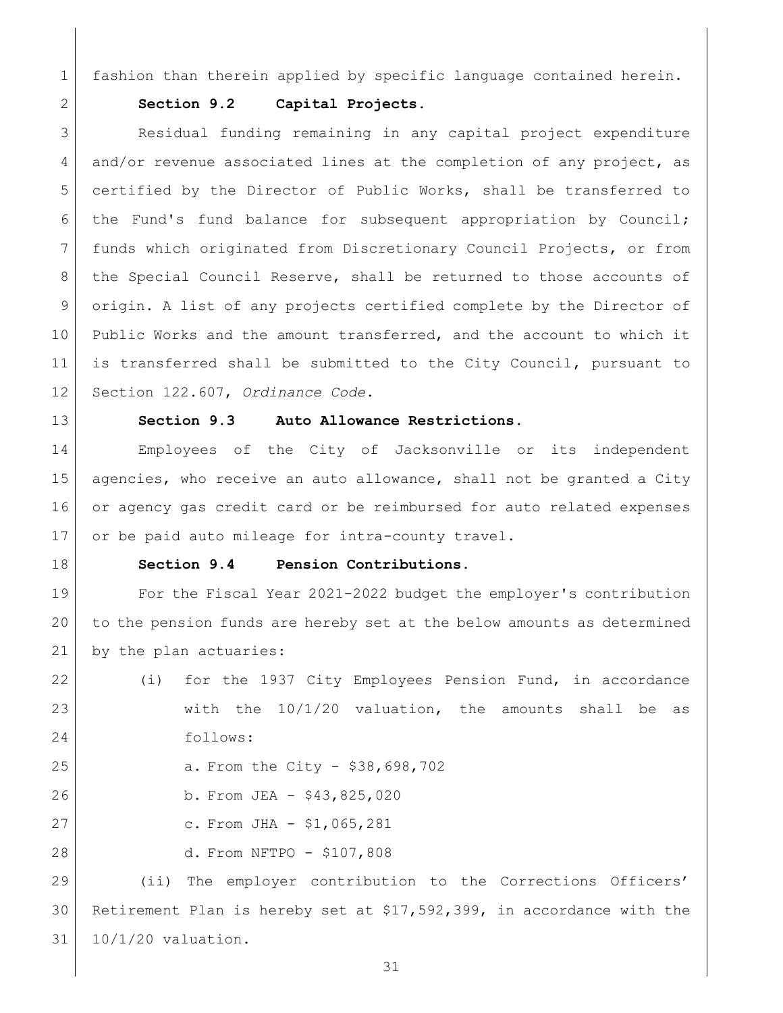fashion than therein applied by specific language contained herein.

<span id="page-30-0"></span>

### **Section 9.2 Capital Projects.**

3 Residual funding remaining in any capital project expenditure and/or revenue associated lines at the completion of any project, as certified by the Director of Public Works, shall be transferred to the Fund's fund balance for subsequent appropriation by Council; funds which originated from Discretionary Council Projects, or from the Special Council Reserve, shall be returned to those accounts of origin. A list of any projects certified complete by the Director of Public Works and the amount transferred, and the account to which it is transferred shall be submitted to the City Council, pursuant to Section 122.607, *Ordinance Code*.

<span id="page-30-1"></span>

### **Section 9.3 Auto Allowance Restrictions.**

 Employees of the City of Jacksonville or its independent 15 agencies, who receive an auto allowance, shall not be granted a City or agency gas credit card or be reimbursed for auto related expenses 17 or be paid auto mileage for intra-county travel.

<span id="page-30-2"></span>

### **Section 9.4 Pension Contributions.**

 For the Fiscal Year 2021-2022 budget the employer's contribution to the pension funds are hereby set at the below amounts as determined 21 by the plan actuaries:

 (i) for the 1937 City Employees Pension Fund, in accordance 23 with the 10/1/20 valuation, the amounts shall be as follows: 25 a. From the City - \$38,698,702 b. From JEA - \$43,825,020 27 c. From JHA - \$1,065,281 d. From NFTPO - \$107,808

 (ii) The employer contribution to the Corrections Officers' Retirement Plan is hereby set at \$17,592,399, in accordance with the 10/1/20 valuation.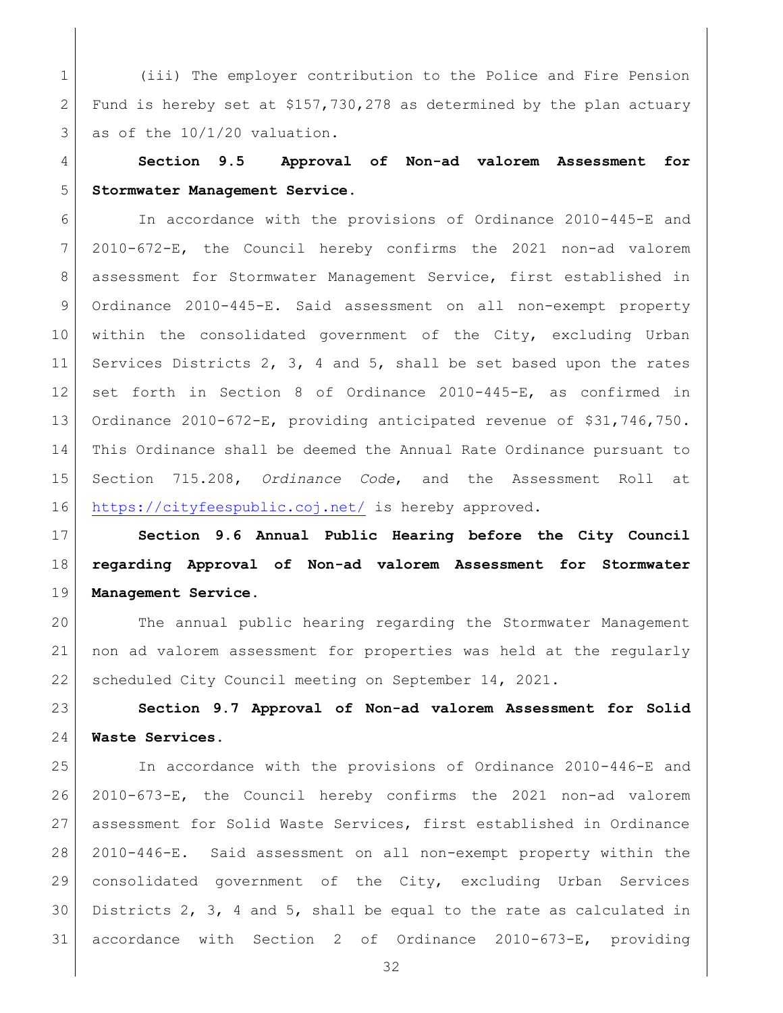(iii) The employer contribution to the Police and Fire Pension 2 Fund is hereby set at  $$157,730,278$  as determined by the plan actuary as of the  $10/1/20$  valuation.

<span id="page-31-0"></span> **Section 9.5 Approval of Non-ad valorem Assessment for Stormwater Management Service.**

 In accordance with the provisions of Ordinance 2010-445-E and 2010-672-E, the Council hereby confirms the 2021 non-ad valorem assessment for Stormwater Management Service, first established in Ordinance 2010-445-E. Said assessment on all non-exempt property within the consolidated government of the City, excluding Urban Services Districts 2, 3, 4 and 5, shall be set based upon the rates set forth in Section 8 of Ordinance 2010-445-E, as confirmed in Ordinance 2010-672-E, providing anticipated revenue of \$31,746,750. This Ordinance shall be deemed the Annual Rate Ordinance pursuant to Section 715.208, *Ordinance Code*, and the Assessment Roll at <https://cityfeespublic.coj.net/> is hereby approved.

<span id="page-31-1"></span> **Section 9.6 Annual Public Hearing before the City Council regarding Approval of Non-ad valorem Assessment for Stormwater Management Service.**

 The annual public hearing regarding the Stormwater Management non ad valorem assessment for properties was held at the regularly scheduled City Council meeting on September 14, 2021.

<span id="page-31-2"></span> **Section 9.7 Approval of Non-ad valorem Assessment for Solid Waste Services.**

 In accordance with the provisions of Ordinance 2010-446-E and 2010-673-E, the Council hereby confirms the 2021 non-ad valorem assessment for Solid Waste Services, first established in Ordinance 2010-446-E. Said assessment on all non-exempt property within the consolidated government of the City, excluding Urban Services Districts 2, 3, 4 and 5, shall be equal to the rate as calculated in accordance with Section 2 of Ordinance 2010-673-E, providing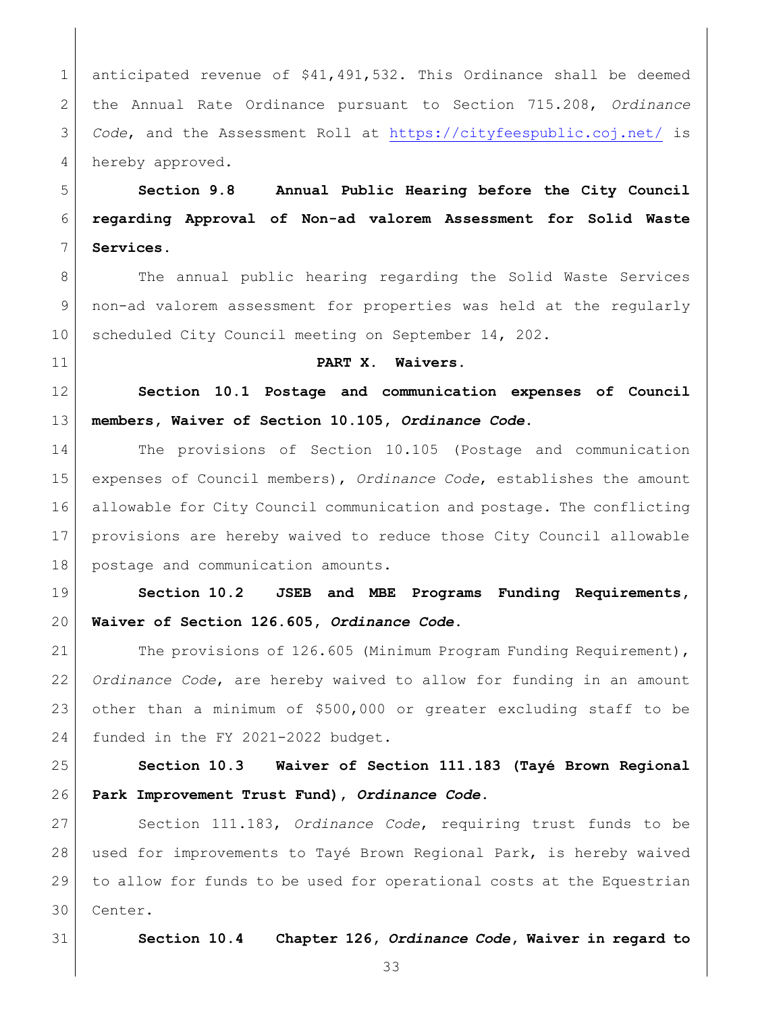anticipated revenue of \$41,491,532**.** This Ordinance shall be deemed the Annual Rate Ordinance pursuant to Section 715.208, *Ordinance Code*, and the Assessment Roll at<https://cityfeespublic.coj.net/> is 4 hereby approved.

<span id="page-32-0"></span> **Section 9.8 Annual Public Hearing before the City Council regarding Approval of Non-ad valorem Assessment for Solid Waste Services.**

8 The annual public hearing regarding the Solid Waste Services non-ad valorem assessment for properties was held at the regularly 10 scheduled City Council meeting on September 14, 202.

<span id="page-32-2"></span><span id="page-32-1"></span>

### **PART X. Waivers.**

 **Section 10.1 Postage and communication expenses of Council members, Waiver of Section 10.105,** *Ordinance Code***.**

 The provisions of Section 10.105 (Postage and communication expenses of Council members), *Ordinance Code*, establishes the amount allowable for City Council communication and postage. The conflicting provisions are hereby waived to reduce those City Council allowable postage and communication amounts.

<span id="page-32-3"></span> **Section 10.2 JSEB and MBE Programs Funding Requirements, Waiver of Section 126.605,** *Ordinance Code***.**

21 The provisions of 126.605 (Minimum Program Funding Requirement), *Ordinance Code*, are hereby waived to allow for funding in an amount other than a minimum of \$500,000 or greater excluding staff to be 24 funded in the FY 2021-2022 budget.

<span id="page-32-4"></span> **Section 10.3 Waiver of Section 111.183 (Tayé Brown Regional Park Improvement Trust Fund),** *Ordinance Code***.**

 Section 111.183, *Ordinance Code*, requiring trust funds to be used for improvements to Tayé Brown Regional Park, is hereby waived to allow for funds to be used for operational costs at the Equestrian Center.

<span id="page-32-5"></span>

**Section 10.4 Chapter 126,** *Ordinance Code***, Waiver in regard to**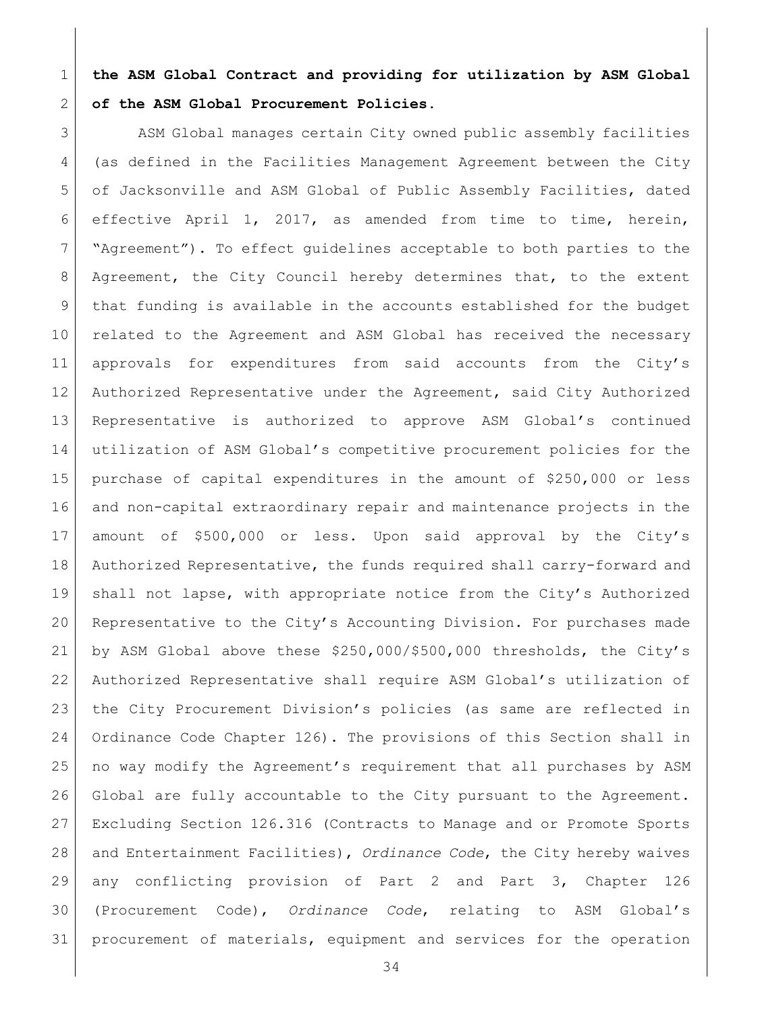**the ASM Global Contract and providing for utilization by ASM Global of the ASM Global Procurement Policies.** 

3 ASM Global manages certain City owned public assembly facilities (as defined in the Facilities Management Agreement between the City 5 of Jacksonville and ASM Global of Public Assembly Facilities, dated effective April 1, 2017, as amended from time to time, herein, "Agreement"). To effect guidelines acceptable to both parties to the Agreement, the City Council hereby determines that, to the extent 9 that funding is available in the accounts established for the budget 10 related to the Agreement and ASM Global has received the necessary approvals for expenditures from said accounts from the City's Authorized Representative under the Agreement, said City Authorized Representative is authorized to approve ASM Global's continued utilization of ASM Global's competitive procurement policies for the purchase of capital expenditures in the amount of \$250,000 or less and non-capital extraordinary repair and maintenance projects in the amount of \$500,000 or less. Upon said approval by the City's Authorized Representative, the funds required shall carry-forward and shall not lapse, with appropriate notice from the City's Authorized Representative to the City's Accounting Division. For purchases made by ASM Global above these \$250,000/\$500,000 thresholds, the City's Authorized Representative shall require ASM Global's utilization of the City Procurement Division's policies (as same are reflected in Ordinance Code Chapter 126). The provisions of this Section shall in no way modify the Agreement's requirement that all purchases by ASM Global are fully accountable to the City pursuant to the Agreement. Excluding Section 126.316 (Contracts to Manage and or Promote Sports and Entertainment Facilities), *Ordinance Code*, the City hereby waives any conflicting provision of Part 2 and Part 3, Chapter 126 (Procurement Code), *Ordinance Code*, relating to ASM Global's procurement of materials, equipment and services for the operation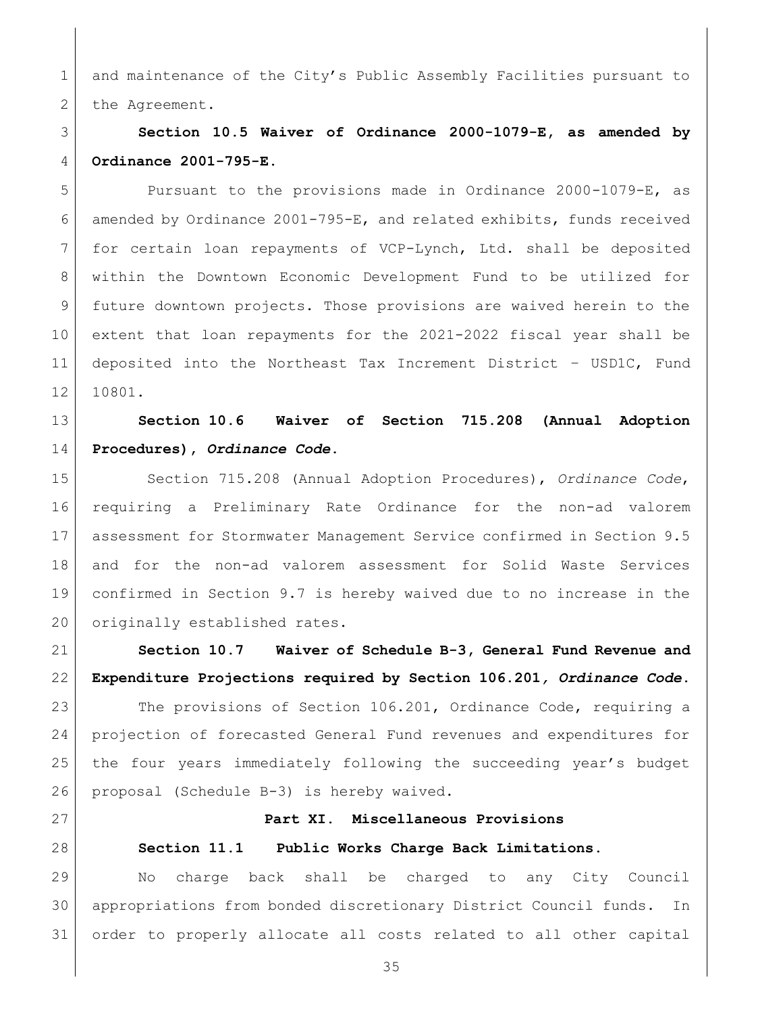1 and maintenance of the City's Public Assembly Facilities pursuant to 2 the Agreement.

# <span id="page-34-0"></span> **Section 10.5 Waiver of Ordinance 2000-1079-E, as amended by Ordinance 2001-795-E.**

 Pursuant to the provisions made in Ordinance 2000-1079-E, as amended by Ordinance 2001-795-E, and related exhibits, funds received for certain loan repayments of VCP-Lynch, Ltd. shall be deposited within the Downtown Economic Development Fund to be utilized for future downtown projects. Those provisions are waived herein to the extent that loan repayments for the 2021-2022 fiscal year shall be deposited into the Northeast Tax Increment District – USD1C, Fund 10801.

# <span id="page-34-1"></span> **Section 10.6 Waiver of Section 715.208 (Annual Adoption Procedures),** *Ordinance Code***.**

 Section 715.208 (Annual Adoption Procedures), *Ordinance Code*, requiring a Preliminary Rate Ordinance for the non-ad valorem assessment for Stormwater Management Service confirmed in Section 9.5 and for the non-ad valorem assessment for Solid Waste Services confirmed in Section 9.7 is hereby waived due to no increase in the 20 originally established rates.

<span id="page-34-2"></span> **Section 10.7 Waiver of Schedule B-3, General Fund Revenue and Expenditure Projections required by Section 106.201***, Ordinance Code***.** 

23 The provisions of Section 106.201, Ordinance Code, requiring a projection of forecasted General Fund revenues and expenditures for the four years immediately following the succeeding year's budget proposal (Schedule B-3) is hereby waived.

<span id="page-34-4"></span><span id="page-34-3"></span>

# **Part XI. Miscellaneous Provisions**

## **Section 11.1 Public Works Charge Back Limitations.**

 No charge back shall be charged to any City Council appropriations from bonded discretionary District Council funds. In order to properly allocate all costs related to all other capital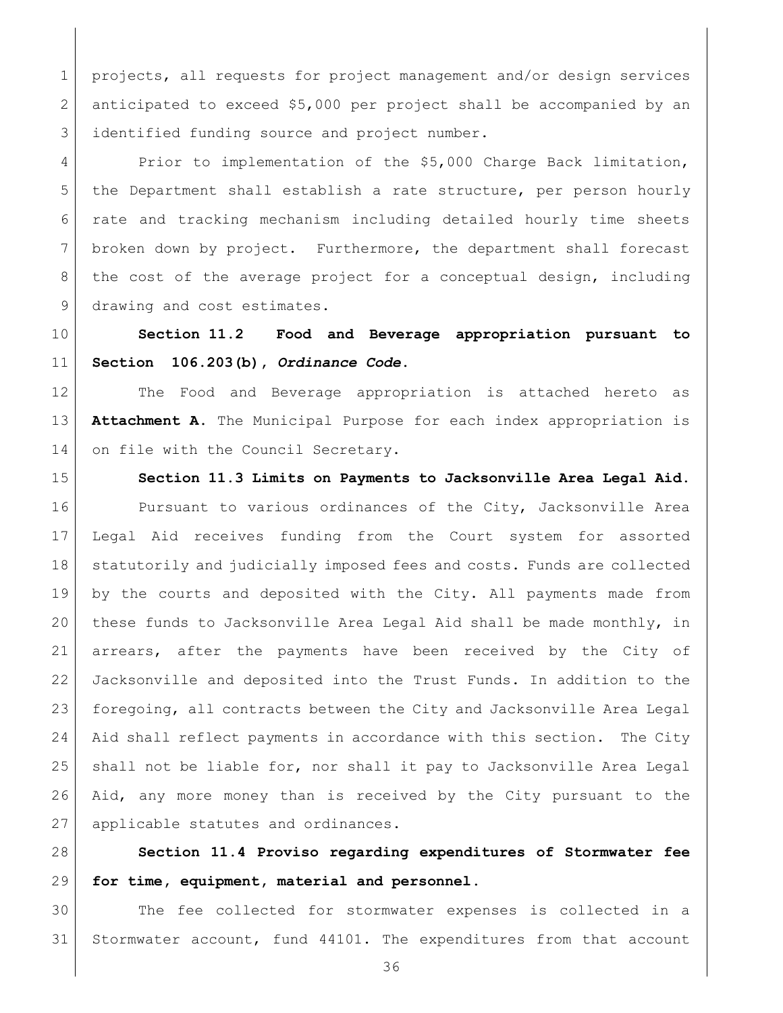projects, all requests for project management and/or design services anticipated to exceed \$5,000 per project shall be accompanied by an 3 identified funding source and project number.

4 Prior to implementation of the \$5,000 Charge Back limitation, 5 the Department shall establish a rate structure, per person hourly rate and tracking mechanism including detailed hourly time sheets broken down by project. Furthermore, the department shall forecast the cost of the average project for a conceptual design, including 9 drawing and cost estimates.

<span id="page-35-0"></span> **Section 11.2 Food and Beverage appropriation pursuant to Section 106.203(b),** *Ordinance Code***.** 

 The Food and Beverage appropriation is attached hereto as **Attachment A**. The Municipal Purpose for each index appropriation is 14 on file with the Council Secretary.

<span id="page-35-1"></span>

**Section 11.3 Limits on Payments to Jacksonville Area Legal Aid.**

16 Pursuant to various ordinances of the City, Jacksonville Area Legal Aid receives funding from the Court system for assorted 18 statutorily and judicially imposed fees and costs. Funds are collected by the courts and deposited with the City. All payments made from these funds to Jacksonville Area Legal Aid shall be made monthly, in arrears, after the payments have been received by the City of Jacksonville and deposited into the Trust Funds. In addition to the foregoing, all contracts between the City and Jacksonville Area Legal 24 | Aid shall reflect payments in accordance with this section. The City shall not be liable for, nor shall it pay to Jacksonville Area Legal Aid, any more money than is received by the City pursuant to the 27 applicable statutes and ordinances.

<span id="page-35-2"></span> **Section 11.4 Proviso regarding expenditures of Stormwater fee for time, equipment, material and personnel.**

 The fee collected for stormwater expenses is collected in a Stormwater account, fund 44101. The expenditures from that account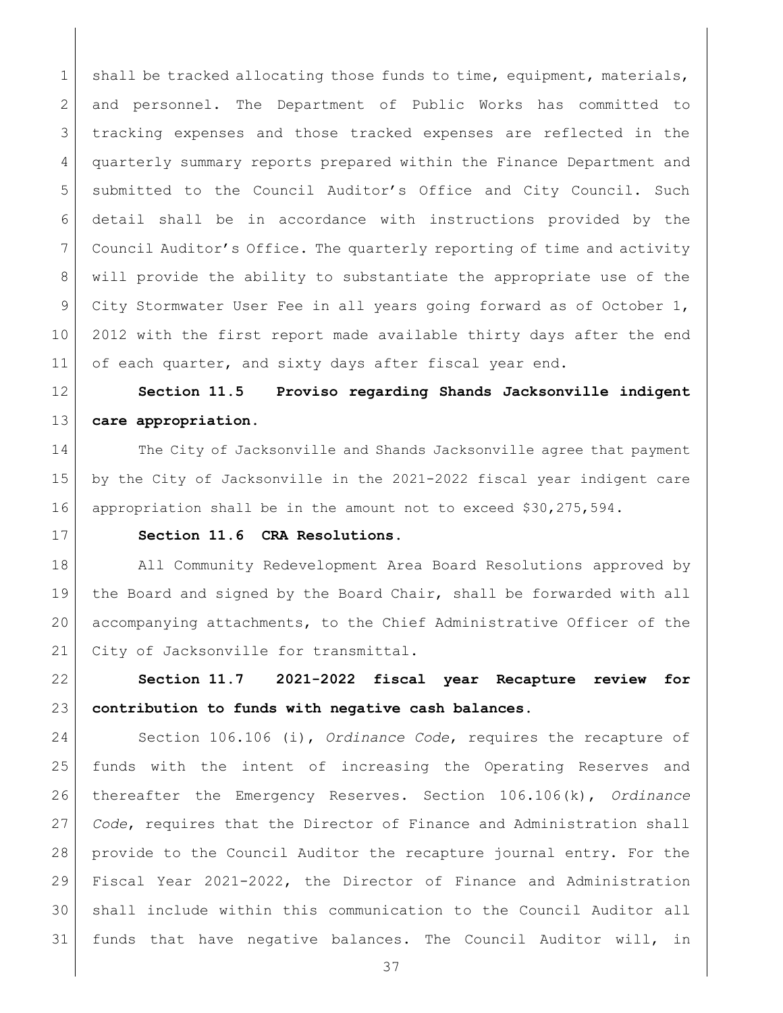1 shall be tracked allocating those funds to time, equipment, materials, and personnel. The Department of Public Works has committed to tracking expenses and those tracked expenses are reflected in the quarterly summary reports prepared within the Finance Department and 5 submitted to the Council Auditor's Office and City Council. Such detail shall be in accordance with instructions provided by the Council Auditor's Office. The quarterly reporting of time and activity 8 | will provide the ability to substantiate the appropriate use of the 9 City Stormwater User Fee in all years going forward as of October 1, 2012 with the first report made available thirty days after the end 11 of each quarter, and sixty days after fiscal year end.

<span id="page-36-0"></span> **Section 11.5 Proviso regarding Shands Jacksonville indigent care appropriation.** 

14 The City of Jacksonville and Shands Jacksonville agree that payment by the City of Jacksonville in the 2021-2022 fiscal year indigent care appropriation shall be in the amount not to exceed \$30,275,594.

<span id="page-36-1"></span>

# **Section 11.6 CRA Resolutions.**

18 All Community Redevelopment Area Board Resolutions approved by the Board and signed by the Board Chair, shall be forwarded with all accompanying attachments, to the Chief Administrative Officer of the 21 | City of Jacksonville for transmittal.

<span id="page-36-2"></span> **Section 11.7 2021-2022 fiscal year Recapture review for contribution to funds with negative cash balances.** 

 Section 106.106 (i), *Ordinance Code*, requires the recapture of funds with the intent of increasing the Operating Reserves and thereafter the Emergency Reserves. Section 106.106(k), *Ordinance Code*, requires that the Director of Finance and Administration shall provide to the Council Auditor the recapture journal entry. For the Fiscal Year 2021-2022, the Director of Finance and Administration shall include within this communication to the Council Auditor all funds that have negative balances. The Council Auditor will, in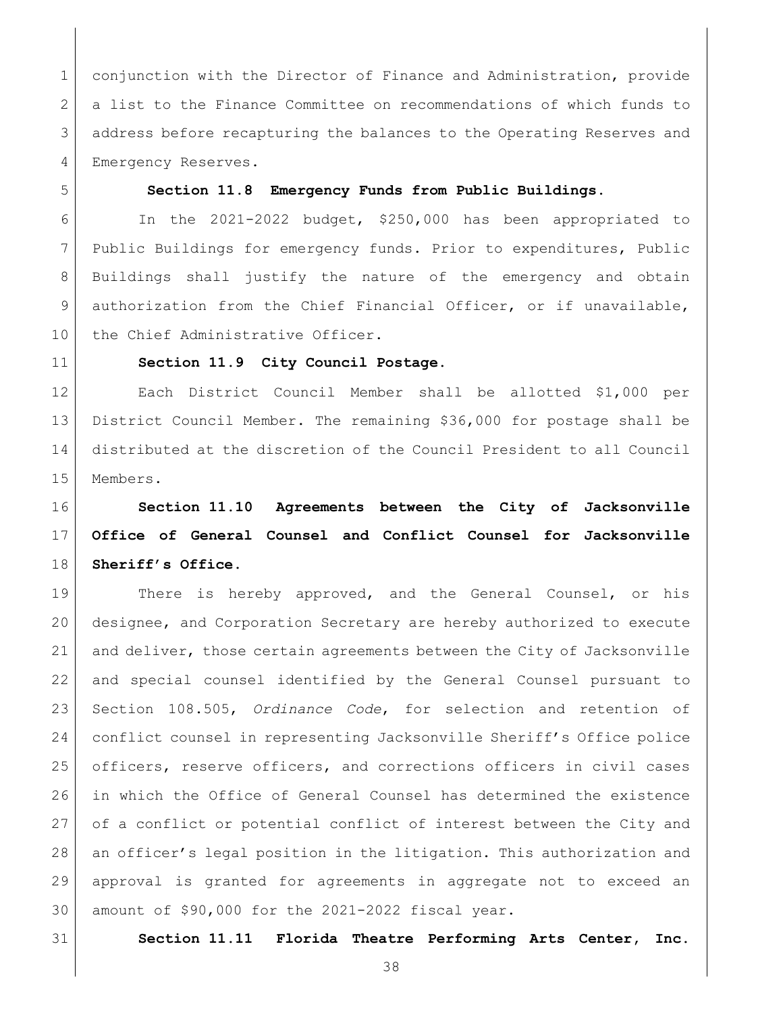conjunction with the Director of Finance and Administration, provide a list to the Finance Committee on recommendations of which funds to address before recapturing the balances to the Operating Reserves and 4 Emergency Reserves.

### <span id="page-37-0"></span>**Section 11.8 Emergency Funds from Public Buildings.**

 In the 2021-2022 budget, \$250,000 has been appropriated to Public Buildings for emergency funds. Prior to expenditures, Public Buildings shall justify the nature of the emergency and obtain 9 authorization from the Chief Financial Officer, or if unavailable, 10 | the Chief Administrative Officer.

<span id="page-37-1"></span>

### **Section 11.9 City Council Postage.**

 Each District Council Member shall be allotted \$1,000 per District Council Member. The remaining \$36,000 for postage shall be distributed at the discretion of the Council President to all Council Members.

# <span id="page-37-2"></span> **Section 11.10 Agreements between the City of Jacksonville Office of General Counsel and Conflict Counsel for Jacksonville Sheriff's Office.**

19 There is hereby approved, and the General Counsel, or his designee, and Corporation Secretary are hereby authorized to execute and deliver, those certain agreements between the City of Jacksonville and special counsel identified by the General Counsel pursuant to Section 108.505, *Ordinance Code*, for selection and retention of conflict counsel in representing Jacksonville Sheriff's Office police officers, reserve officers, and corrections officers in civil cases in which the Office of General Counsel has determined the existence of a conflict or potential conflict of interest between the City and an officer's legal position in the litigation. This authorization and approval is granted for agreements in aggregate not to exceed an amount of \$90,000 for the 2021-2022 fiscal year.

<span id="page-37-3"></span>

**Section 11.11 Florida Theatre Performing Arts Center, Inc.**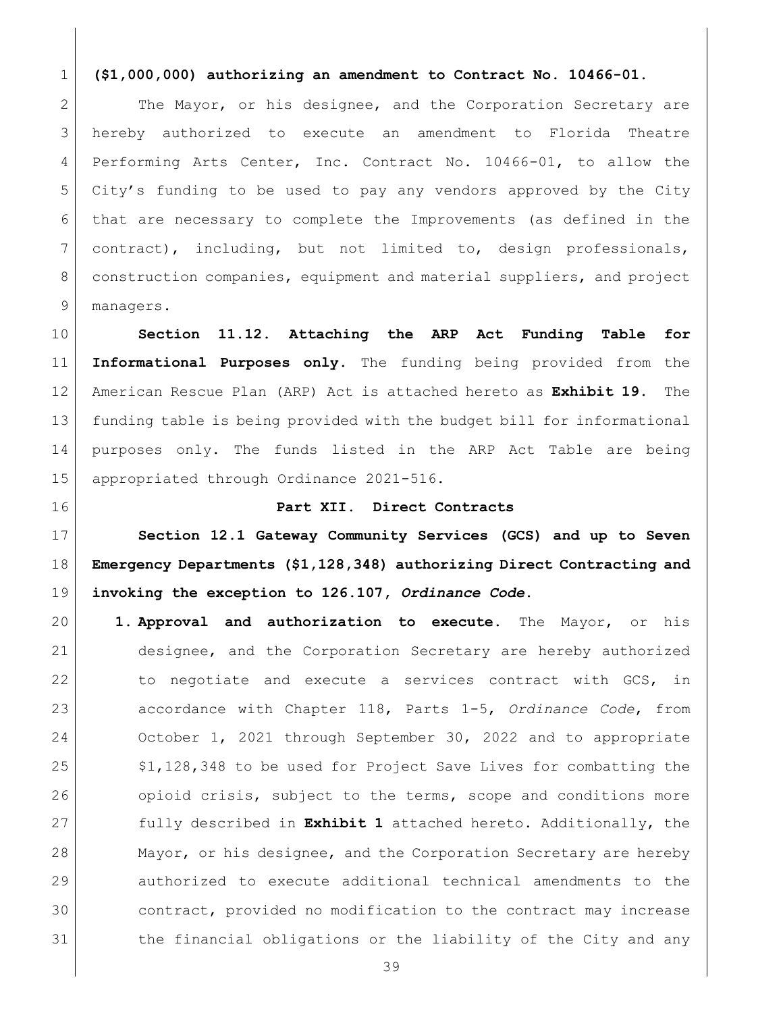### **(\$1,000,000) authorizing an amendment to Contract No. 10466-01.**

2 The Mayor, or his designee, and the Corporation Secretary are hereby authorized to execute an amendment to Florida Theatre Performing Arts Center, Inc. Contract No. 10466-01, to allow the City's funding to be used to pay any vendors approved by the City that are necessary to complete the Improvements (as defined in the contract), including, but not limited to, design professionals, construction companies, equipment and material suppliers, and project 9 managers.

<span id="page-38-0"></span> **Section 11.12. Attaching the ARP Act Funding Table for Informational Purposes only.** The funding being provided from the American Rescue Plan (ARP) Act is attached hereto as **Exhibit 19.** The funding table is being provided with the budget bill for informational purposes only. The funds listed in the ARP Act Table are being 15 appropriated through Ordinance 2021-516.

<span id="page-38-2"></span><span id="page-38-1"></span>

### **Part XII. Direct Contracts**

 **Section 12.1 Gateway Community Services (GCS) and up to Seven Emergency Departments (\$1,128,348) authorizing Direct Contracting and invoking the exception to 126.107,** *Ordinance Code***.** 

 **1. Approval and authorization to execute.** The Mayor, or his designee, and the Corporation Secretary are hereby authorized 22 to negotiate and execute a services contract with GCS, in accordance with Chapter 118, Parts 1-5, *Ordinance Code*, from October 1, 2021 through September 30, 2022 and to appropriate 25 \$1,128,348 to be used for Project Save Lives for combatting the 26 opioid crisis, subject to the terms, scope and conditions more fully described in **Exhibit 1** attached hereto. Additionally, the 28 Mayor, or his designee, and the Corporation Secretary are hereby authorized to execute additional technical amendments to the contract, provided no modification to the contract may increase 31 blue financial obligations or the liability of the City and any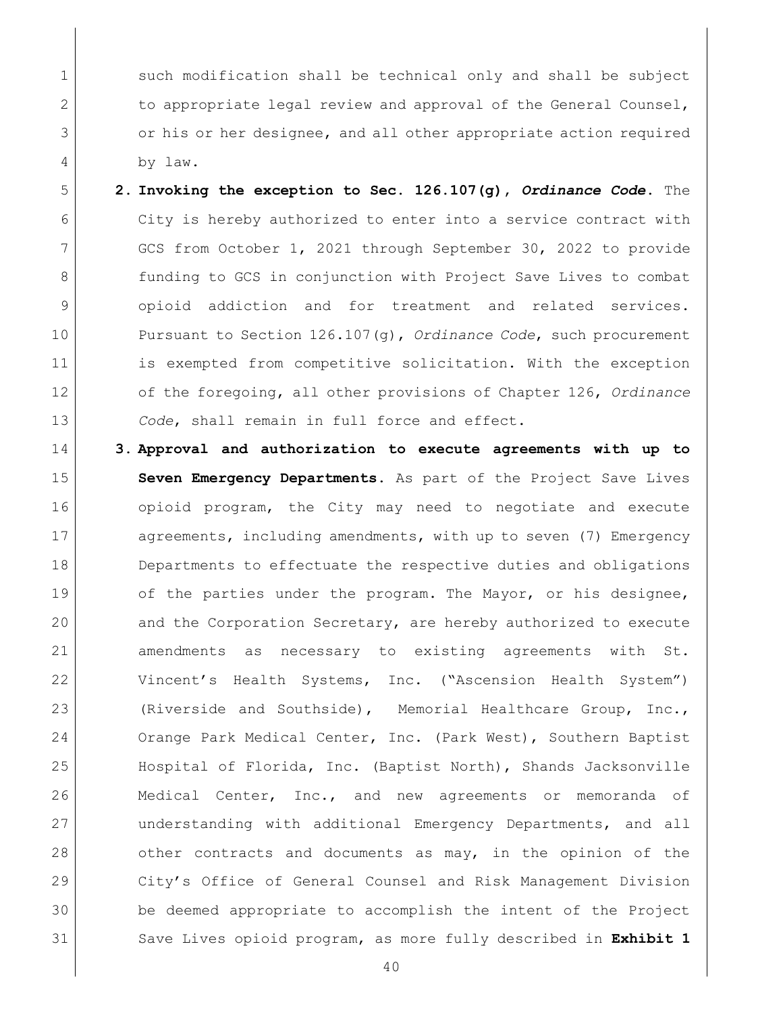1 such modification shall be technical only and shall be subject 2 to appropriate legal review and approval of the General Counsel, 3 or his or her designee, and all other appropriate action required 4 by law.

- 5 **2. Invoking the exception to Sec. 126.107(g),** *Ordinance Code***.** The 6 City is hereby authorized to enter into a service contract with 7 GCS from October 1, 2021 through September 30, 2022 to provide 8 **funding to GCS in conjunction with Project Save Lives to combat** 9 opioid addiction and for treatment and related services. 10 Pursuant to Section 126.107(g), *Ordinance Code*, such procurement 11 is exempted from competitive solicitation. With the exception 12 of the foregoing, all other provisions of Chapter 126, *Ordinance*  13 *Code*, shall remain in full force and effect.
- 14 **3. Approval and authorization to execute agreements with up to**  15 **Seven Emergency Departments.** As part of the Project Save Lives 16 opioid program, the City may need to negotiate and execute 17 agreements, including amendments, with up to seven (7) Emergency 18 Departments to effectuate the respective duties and obligations 19 of the parties under the program. The Mayor, or his designee, 20 and the Corporation Secretary, are hereby authorized to execute 21 amendments as necessary to existing agreements with St. 22 Vincent's Health Systems, Inc. ("Ascension Health System") 23 (Riverside and Southside), Memorial Healthcare Group, Inc., 24 Orange Park Medical Center, Inc. (Park West), Southern Baptist 25 Hospital of Florida, Inc. (Baptist North), Shands Jacksonville 26 Medical Center, Inc., and new agreements or memoranda of 27 understanding with additional Emergency Departments, and all 28 other contracts and documents as may, in the opinion of the 29 City's Office of General Counsel and Risk Management Division 30 be deemed appropriate to accomplish the intent of the Project 31 Save Lives opioid program, as more fully described in **Exhibit 1**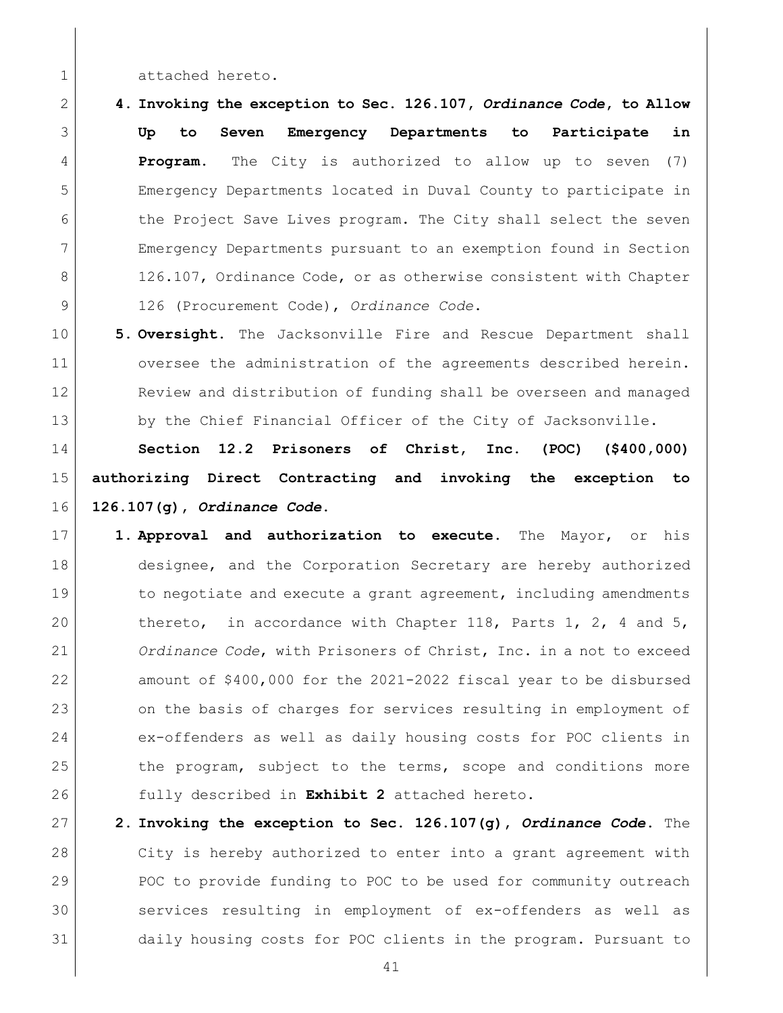1 attached hereto.

 **4. Invoking the exception to Sec. 126.107,** *Ordinance Code***, to Allow Up to Seven Emergency Departments to Participate in Program.** The City is authorized to allow up to seven (7) Emergency Departments located in Duval County to participate in 6 the Project Save Lives program. The City shall select the seven Emergency Departments pursuant to an exemption found in Section 8 126.107, Ordinance Code, or as otherwise consistent with Chapter 126 (Procurement Code), *Ordinance Code*.

 **5. Oversight.** The Jacksonville Fire and Rescue Department shall 11 oversee the administration of the agreements described herein. Review and distribution of funding shall be overseen and managed 13 by the Chief Financial Officer of the City of Jacksonville.

<span id="page-40-0"></span> **Section 12.2 Prisoners of Christ, Inc. (POC) (\$400,000) authorizing Direct Contracting and invoking the exception to 126.107(g),** *Ordinance Code***.** 

 **1. Approval and authorization to execute.** The Mayor, or his designee, and the Corporation Secretary are hereby authorized 19 19 to negotiate and execute a grant agreement, including amendments 20 thereto, in accordance with Chapter 118, Parts 1, 2, 4 and 5, *Ordinance Code*, with Prisoners of Christ, Inc. in a not to exceed amount of \$400,000 for the 2021-2022 fiscal year to be disbursed 23 on the basis of charges for services resulting in employment of 24 ex-offenders as well as daily housing costs for POC clients in 25 the program, subject to the terms, scope and conditions more fully described in **Exhibit 2** attached hereto.

 **2. Invoking the exception to Sec. 126.107(g),** *Ordinance Code***.** The City is hereby authorized to enter into a grant agreement with 29 POC to provide funding to POC to be used for community outreach services resulting in employment of ex-offenders as well as daily housing costs for POC clients in the program. Pursuant to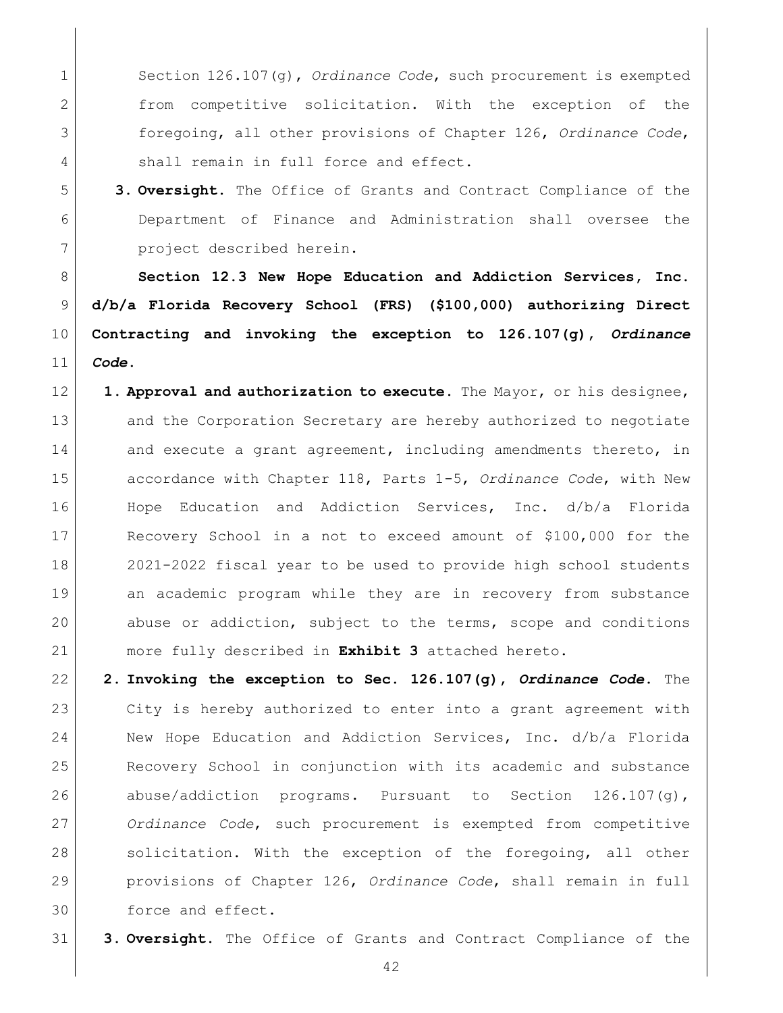Section 126.107(g), *Ordinance Code*, such procurement is exempted from competitive solicitation. With the exception of the foregoing, all other provisions of Chapter 126, *Ordinance Code*, 4 shall remain in full force and effect.

 **3. Oversight.** The Office of Grants and Contract Compliance of the Department of Finance and Administration shall oversee the project described herein.

<span id="page-41-0"></span> **Section 12.3 New Hope Education and Addiction Services, Inc. d/b/a Florida Recovery School (FRS) (\$100,000) authorizing Direct Contracting and invoking the exception to 126.107(g),** *Ordinance Code***.** 

- **1. Approval and authorization to execute.** The Mayor, or his designee, 13 and the Corporation Secretary are hereby authorized to negotiate 14 and execute a grant agreement, including amendments thereto, in accordance with Chapter 118, Parts 1-5, *Ordinance Code*, with New Hope Education and Addiction Services, Inc. d/b/a Florida Recovery School in a not to exceed amount of \$100,000 for the 2021-2022 fiscal year to be used to provide high school students an academic program while they are in recovery from substance abuse or addiction, subject to the terms, scope and conditions more fully described in **Exhibit 3** attached hereto.
- **2. Invoking the exception to Sec. 126.107(g),** *Ordinance Code***.** The City is hereby authorized to enter into a grant agreement with New Hope Education and Addiction Services, Inc. d/b/a Florida Recovery School in conjunction with its academic and substance 26 abuse/addiction programs. Pursuant to Section 126.107(g), *Ordinance Code*, such procurement is exempted from competitive 28 solicitation. With the exception of the foregoing, all other provisions of Chapter 126, *Ordinance Code*, shall remain in full force and effect.
- **3. Oversight.** The Office of Grants and Contract Compliance of the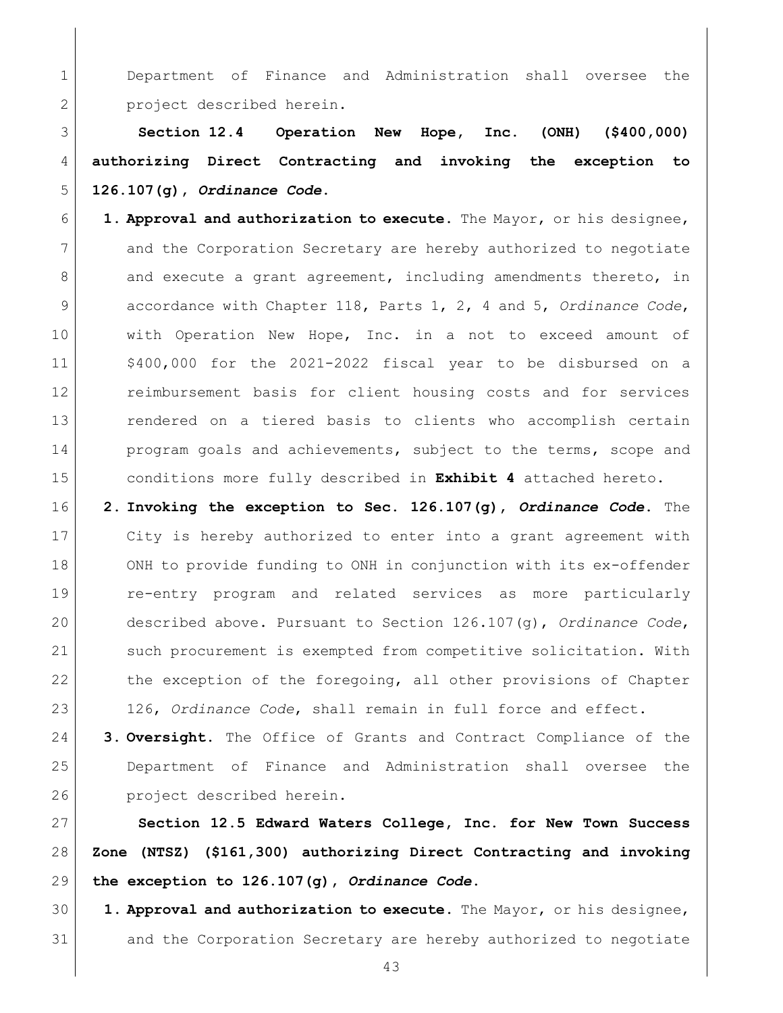Department of Finance and Administration shall oversee the 2 project described herein.

<span id="page-42-0"></span> **Section 12.4 Operation New Hope, Inc. (ONH) (\$400,000) authorizing Direct Contracting and invoking the exception to 126.107(g),** *Ordinance Code***.** 

 **1. Approval and authorization to execute.** The Mayor, or his designee, and the Corporation Secretary are hereby authorized to negotiate 8 and execute a grant agreement, including amendments thereto, in accordance with Chapter 118, Parts 1, 2, 4 and 5, *Ordinance Code*, 10 | with Operation New Hope, Inc. in a not to exceed amount of \$400,000 for the 2021-2022 fiscal year to be disbursed on a **c** reimbursement basis for client housing costs and for services rendered on a tiered basis to clients who accomplish certain 14 program goals and achievements, subject to the terms, scope and conditions more fully described in **Exhibit 4** attached hereto.

 **2. Invoking the exception to Sec. 126.107(g),** *Ordinance Code***.** The City is hereby authorized to enter into a grant agreement with 18 ONH to provide funding to ONH in conjunction with its ex-offender re-entry program and related services as more particularly described above. Pursuant to Section 126.107(g), *Ordinance Code*, such procurement is exempted from competitive solicitation. With 22 the exception of the foregoing, all other provisions of Chapter 126, *Ordinance Code*, shall remain in full force and effect.

 **3. Oversight.** The Office of Grants and Contract Compliance of the Department of Finance and Administration shall oversee the **project** described herein.

<span id="page-42-1"></span> **Section 12.5 Edward Waters College, Inc. for New Town Success Zone (NTSZ) (\$161,300) authorizing Direct Contracting and invoking the exception to 126.107(g),** *Ordinance Code***.** 

 **1. Approval and authorization to execute.** The Mayor, or his designee, and the Corporation Secretary are hereby authorized to negotiate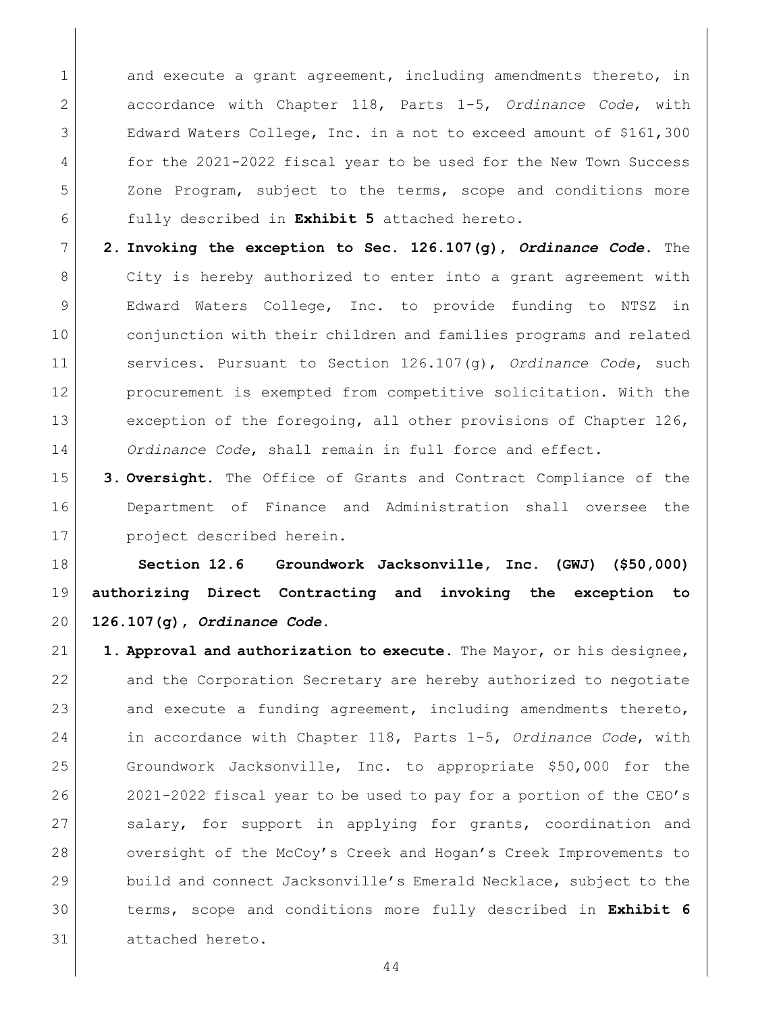1 and execute a grant agreement, including amendments thereto, in accordance with Chapter 118, Parts 1-5, *Ordinance Code*, with Edward Waters College, Inc. in a not to exceed amount of \$161,300 for the 2021-2022 fiscal year to be used for the New Town Success Zone Program, subject to the terms, scope and conditions more fully described in **Exhibit 5** attached hereto.

- **2. Invoking the exception to Sec. 126.107(g),** *Ordinance Code***.** The 8 City is hereby authorized to enter into a grant agreement with Edward Waters College, Inc. to provide funding to NTSZ in conjunction with their children and families programs and related services. Pursuant to Section 126.107(g), *Ordinance Code*, such procurement is exempted from competitive solicitation. With the 13 exception of the foregoing, all other provisions of Chapter 126, *Ordinance Code*, shall remain in full force and effect.
- **3. Oversight.** The Office of Grants and Contract Compliance of the Department of Finance and Administration shall oversee the 17 project described herein.

<span id="page-43-0"></span> **Section 12.6 Groundwork Jacksonville, Inc. (GWJ) (\$50,000) authorizing Direct Contracting and invoking the exception to 126.107(g),** *Ordinance Code***.** 

 **1. Approval and authorization to execute.** The Mayor, or his designee, 22 and the Corporation Secretary are hereby authorized to negotiate 23 and execute a funding agreement, including amendments thereto, in accordance with Chapter 118, Parts 1-5, *Ordinance Code*, with Groundwork Jacksonville, Inc. to appropriate \$50,000 for the 2021-2022 fiscal year to be used to pay for a portion of the CEO's 27 Salary, for support in applying for grants, coordination and oversight of the McCoy's Creek and Hogan's Creek Improvements to 29 build and connect Jacksonville's Emerald Necklace, subject to the terms, scope and conditions more fully described in **Exhibit 6** attached hereto.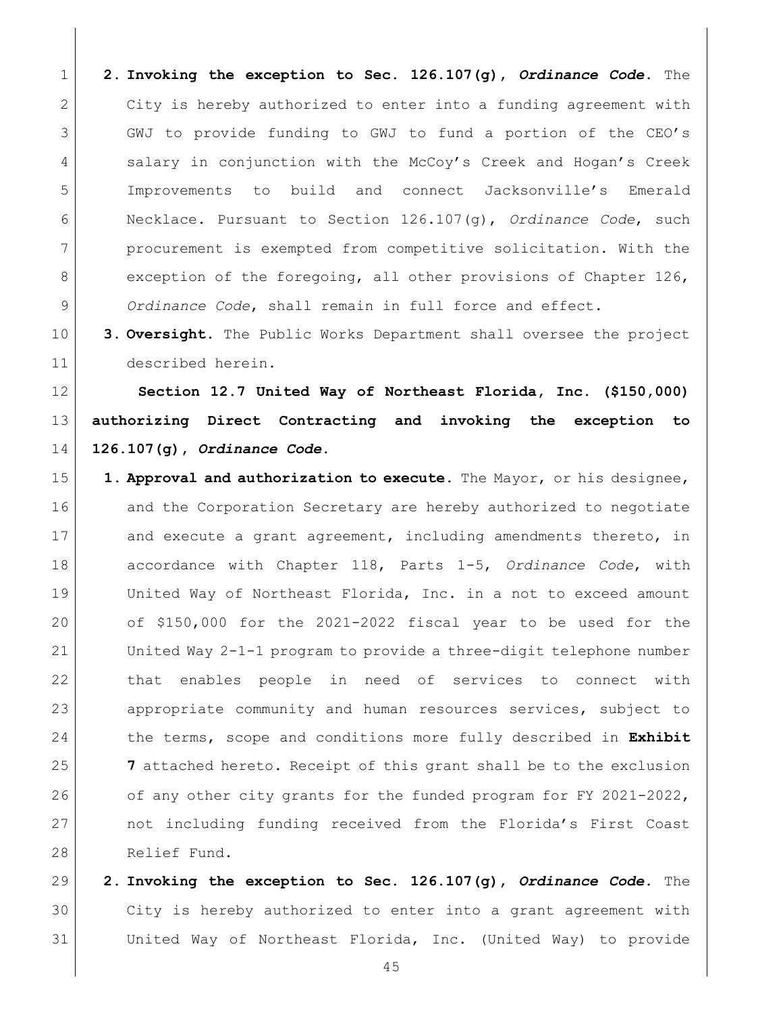**2. Invoking the exception to Sec. 126.107(g),** *Ordinance Code***.** The City is hereby authorized to enter into a funding agreement with GWJ to provide funding to GWJ to fund a portion of the CEO's 4 Salary in conjunction with the McCoy's Creek and Hogan's Creek Improvements to build and connect Jacksonville's Emerald Necklace. Pursuant to Section 126.107(g), *Ordinance Code*, such procurement is exempted from competitive solicitation. With the 8 exception of the foregoing, all other provisions of Chapter 126, *Ordinance Code*, shall remain in full force and effect.

 **3. Oversight.** The Public Works Department shall oversee the project described herein.

<span id="page-44-0"></span> **Section 12.7 United Way of Northeast Florida, Inc. (\$150,000) authorizing Direct Contracting and invoking the exception to 126.107(g),** *Ordinance Code***.** 

 **1. Approval and authorization to execute.** The Mayor, or his designee, 16 and the Corporation Secretary are hereby authorized to negotiate 17 and execute a grant agreement, including amendments thereto, in accordance with Chapter 118, Parts 1-5, *Ordinance Code*, with United Way of Northeast Florida, Inc. in a not to exceed amount of \$150,000 for the 2021-2022 fiscal year to be used for the United Way 2-1-1 program to provide a three-digit telephone number that enables people in need of services to connect with appropriate community and human resources services, subject to the terms, scope and conditions more fully described in **Exhibit 7** attached hereto. Receipt of this grant shall be to the exclusion 26 of any other city grants for the funded program for FY 2021-2022, not including funding received from the Florida's First Coast 28 Relief Fund.

 **2. Invoking the exception to Sec. 126.107(g),** *Ordinance Code***.** The City is hereby authorized to enter into a grant agreement with United Way of Northeast Florida, Inc. (United Way) to provide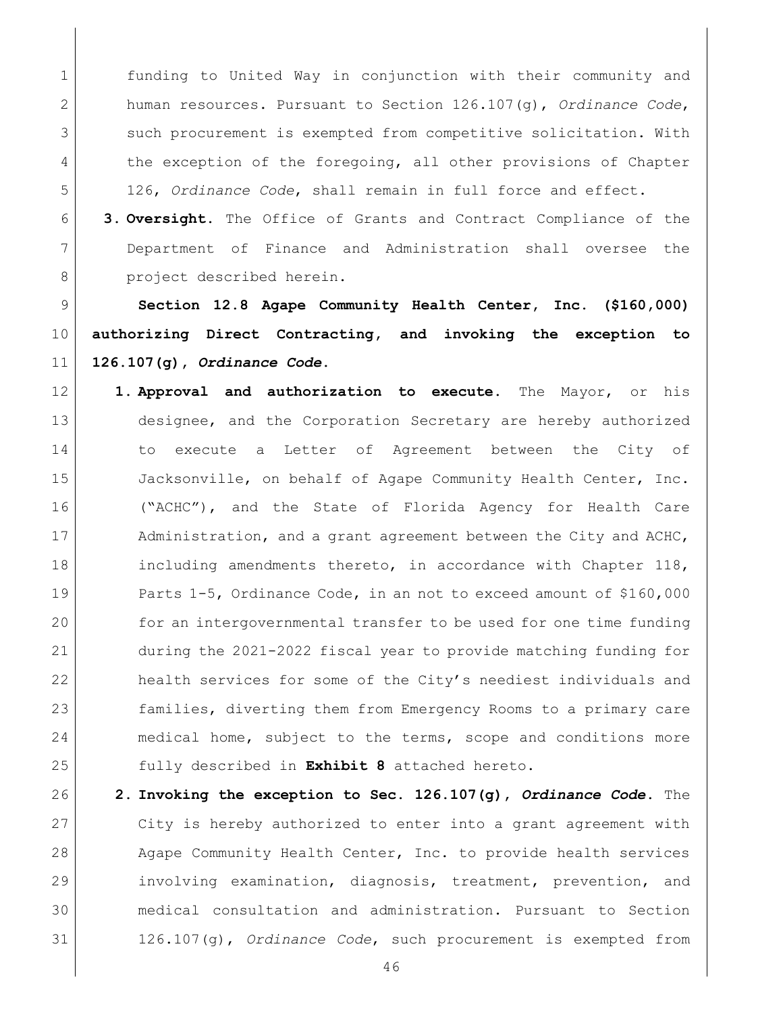funding to United Way in conjunction with their community and human resources. Pursuant to Section 126.107(g), *Ordinance Code*, 3 such procurement is exempted from competitive solicitation. With 4 the exception of the foregoing, all other provisions of Chapter 126, *Ordinance Code*, shall remain in full force and effect.

 **3. Oversight.** The Office of Grants and Contract Compliance of the Department of Finance and Administration shall oversee the 8 project described herein.

<span id="page-45-0"></span> **Section 12.8 Agape Community Health Center, Inc. (\$160,000) authorizing Direct Contracting, and invoking the exception to 126.107(g),** *Ordinance Code***.** 

- **1. Approval and authorization to execute.** The Mayor, or his designee, and the Corporation Secretary are hereby authorized to execute a Letter of Agreement between the City of 15 Jacksonville, on behalf of Agape Community Health Center, Inc. ("ACHC"), and the State of Florida Agency for Health Care 17 Administration, and a grant agreement between the City and ACHC, 18 | including amendments thereto, in accordance with Chapter 118, Parts 1-5, Ordinance Code, in an not to exceed amount of \$160,000 for an intergovernmental transfer to be used for one time funding during the 2021-2022 fiscal year to provide matching funding for 22 health services for some of the City's neediest individuals and 23 families, diverting them from Emergency Rooms to a primary care 24 medical home, subject to the terms, scope and conditions more fully described in **Exhibit 8** attached hereto.
- **2. Invoking the exception to Sec. 126.107(g),** *Ordinance Code***.** The City is hereby authorized to enter into a grant agreement with 28 Agape Community Health Center, Inc. to provide health services involving examination, diagnosis, treatment, prevention, and medical consultation and administration. Pursuant to Section 126.107(g), *Ordinance Code*, such procurement is exempted from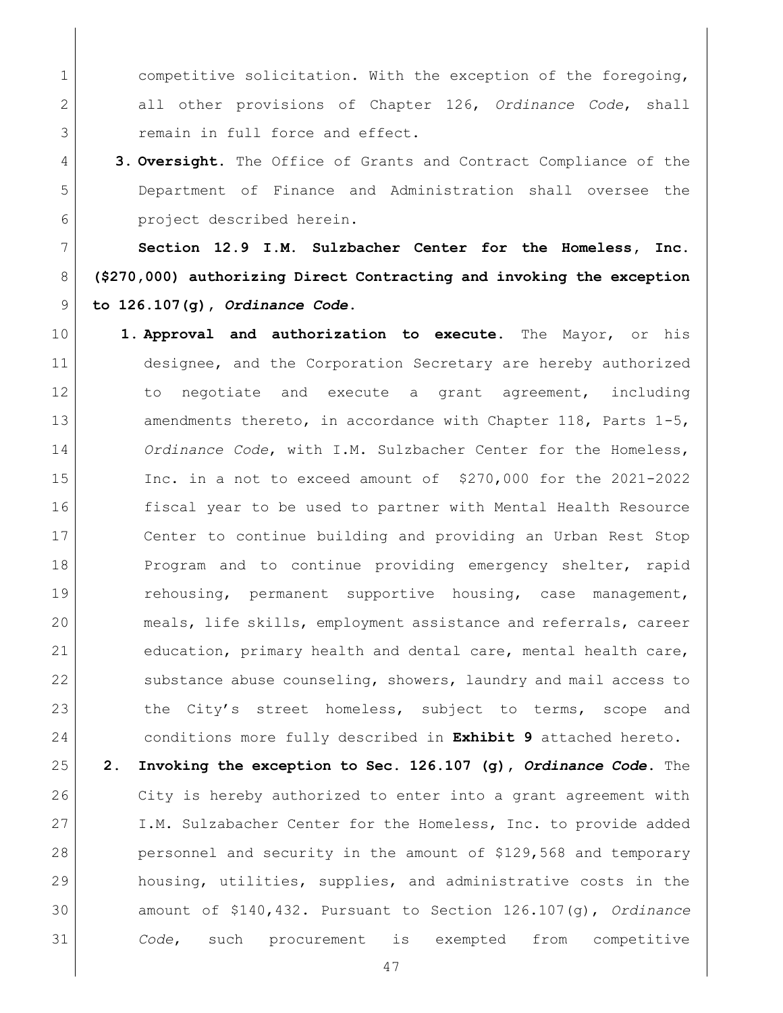1 competitive solicitation. With the exception of the foregoing, all other provisions of Chapter 126, *Ordinance Code*, shall 3 remain in full force and effect.

 **3. Oversight.** The Office of Grants and Contract Compliance of the Department of Finance and Administration shall oversee the project described herein.

<span id="page-46-0"></span> **Section 12.9 I.M. Sulzbacher Center for the Homeless, Inc. (\$270,000) authorizing Direct Contracting and invoking the exception to 126.107(g),** *Ordinance Code***.** 

 **1. Approval and authorization to execute.** The Mayor, or his designee, and the Corporation Secretary are hereby authorized 12 12 to negotiate and execute a grant agreement, including 13 amendments thereto, in accordance with Chapter 118, Parts 1-5, *Ordinance Code*, with I.M. Sulzbacher Center for the Homeless, Inc. in a not to exceed amount of \$270,000 for the 2021-2022 fiscal year to be used to partner with Mental Health Resource Center to continue building and providing an Urban Rest Stop 18 Program and to continue providing emergency shelter, rapid **rehousing, permanent supportive housing, case management,**  meals, life skills, employment assistance and referrals, career education, primary health and dental care, mental health care, 22 substance abuse counseling, showers, laundry and mail access to 23 the City's street homeless, subject to terms, scope and conditions more fully described in **Exhibit 9** attached hereto. **2. Invoking the exception to Sec. 126.107 (g),** *Ordinance Code***.** The 26 City is hereby authorized to enter into a grant agreement with

27 I.M. Sulzabacher Center for the Homeless, Inc. to provide added 28 personnel and security in the amount of \$129,568 and temporary housing, utilities, supplies, and administrative costs in the amount of \$140,432. Pursuant to Section 126.107(g), *Ordinance Code*, such procurement is exempted from competitive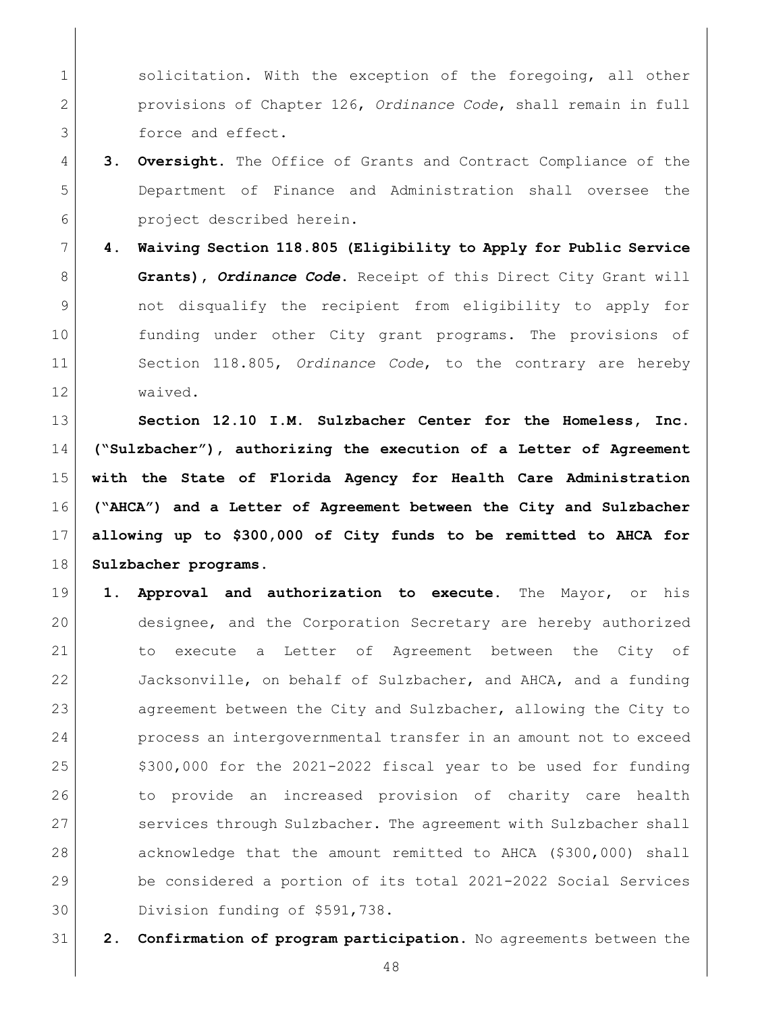1 solicitation. With the exception of the foregoing, all other provisions of Chapter 126, *Ordinance Code*, shall remain in full 3 force and effect.

- **3. Oversight.** The Office of Grants and Contract Compliance of the Department of Finance and Administration shall oversee the **project** described herein.
- **4. Waiving Section 118.805 (Eligibility to Apply for Public Service Grants),** *Ordinance Code***.** Receipt of this Direct City Grant will not disqualify the recipient from eligibility to apply for funding under other City grant programs. The provisions of Section 118.805, *Ordinance Code*, to the contrary are hereby waived.

<span id="page-47-0"></span> **Section 12.10 I.M. Sulzbacher Center for the Homeless, Inc. ("Sulzbacher"), authorizing the execution of a Letter of Agreement with the State of Florida Agency for Health Care Administration ("AHCA") and a Letter of Agreement between the City and Sulzbacher allowing up to \$300,000 of City funds to be remitted to AHCA for Sulzbacher programs.**

- **1. Approval and authorization to execute.** The Mayor, or his designee, and the Corporation Secretary are hereby authorized to execute a Letter of Agreement between the City of Jacksonville, on behalf of Sulzbacher, and AHCA, and a funding 23 agreement between the City and Sulzbacher, allowing the City to 24 process an intergovernmental transfer in an amount not to exceed  $\frac{25}{100}$ ,000 for the 2021-2022 fiscal year to be used for funding 26 1000 to provide an increased provision of charity care health 27 services through Sulzbacher. The agreement with Sulzbacher shall acknowledge that the amount remitted to AHCA (\$300,000) shall be considered a portion of its total 2021-2022 Social Services Division funding of \$591,738.
- **2. Confirmation of program participation.** No agreements between the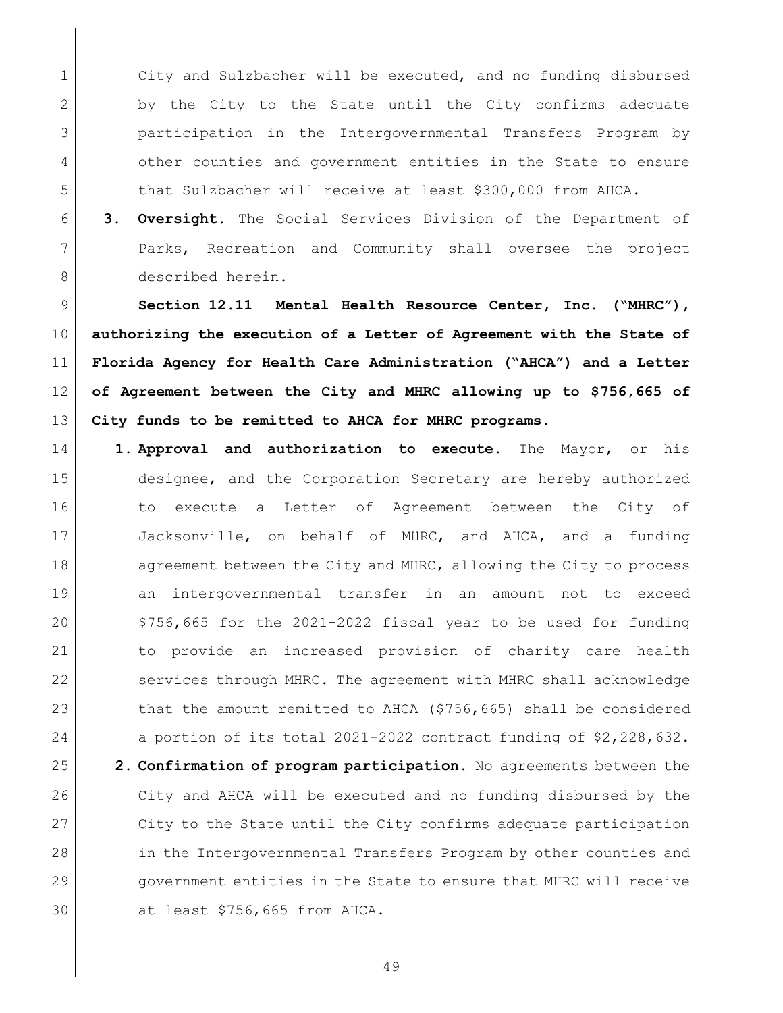1 City and Sulzbacher will be executed, and no funding disbursed by the City to the State until the City confirms adequate participation in the Intergovernmental Transfers Program by 4 other counties and government entities in the State to ensure that Sulzbacher will receive at least \$300,000 from AHCA.

 **3. Oversight.** The Social Services Division of the Department of Parks, Recreation and Community shall oversee the project described herein.

<span id="page-48-0"></span> **Section 12.11 Mental Health Resource Center, Inc. ("MHRC"), authorizing the execution of a Letter of Agreement with the State of Florida Agency for Health Care Administration ("AHCA") and a Letter of Agreement between the City and MHRC allowing up to \$756,665 of City funds to be remitted to AHCA for MHRC programs.**

 **1. Approval and authorization to execute.** The Mayor, or his designee, and the Corporation Secretary are hereby authorized to execute a Letter of Agreement between the City of Jacksonville, on behalf of MHRC, and AHCA, and a funding 18 agreement between the City and MHRC, allowing the City to process an intergovernmental transfer in an amount not to exceed  $\frac{1}{20}$  \$756,665 for the 2021-2022 fiscal year to be used for funding to provide an increased provision of charity care health 22 services through MHRC. The agreement with MHRC shall acknowledge 23 that the amount remitted to AHCA (\$756,665) shall be considered 24 a portion of its total 2021-2022 contract funding of \$2,228,632. **2. Confirmation of program participation.** No agreements between the City and AHCA will be executed and no funding disbursed by the 27 City to the State until the City confirms adequate participation 28 in the Intergovernmental Transfers Program by other counties and government entities in the State to ensure that MHRC will receive at least \$756,665 from AHCA.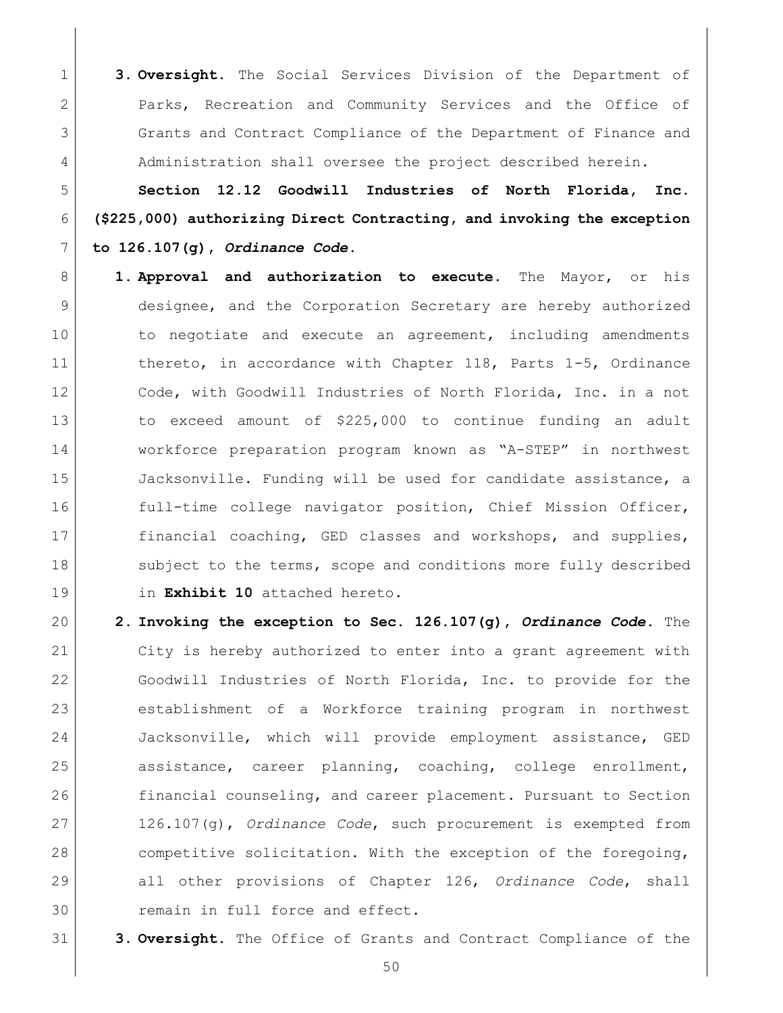**3. Oversight.** The Social Services Division of the Department of Parks, Recreation and Community Services and the Office of Grants and Contract Compliance of the Department of Finance and 4 Administration shall oversee the project described herein.

<span id="page-49-0"></span> **Section 12.12 Goodwill Industries of North Florida, Inc. (\$225,000) authorizing Direct Contracting, and invoking the exception to 126.107(g),** *Ordinance Code***.** 

- **1. Approval and authorization to execute.** The Mayor, or his designee, and the Corporation Secretary are hereby authorized 10 10 to negotiate and execute an agreement, including amendments thereto, in accordance with Chapter 118, Parts 1-5, Ordinance 12 Code, with Goodwill Industries of North Florida, Inc. in a not to exceed amount of \$225,000 to continue funding an adult workforce preparation program known as "A-STEP" in northwest 15 Jacksonville. Funding will be used for candidate assistance, a 16 full-time college navigator position, Chief Mission Officer, 17 financial coaching, GED classes and workshops, and supplies, 18 Subject to the terms, scope and conditions more fully described in **Exhibit 10** attached hereto.
- **2. Invoking the exception to Sec. 126.107(g),** *Ordinance Code***.** The City is hereby authorized to enter into a grant agreement with Goodwill Industries of North Florida, Inc. to provide for the establishment of a Workforce training program in northwest Jacksonville, which will provide employment assistance, GED assistance, career planning, coaching, college enrollment, financial counseling, and career placement. Pursuant to Section 126.107(g), *Ordinance Code*, such procurement is exempted from 28 competitive solicitation. With the exception of the foregoing, all other provisions of Chapter 126, *Ordinance Code*, shall 30 remain in full force and effect.
- **3. Oversight.** The Office of Grants and Contract Compliance of the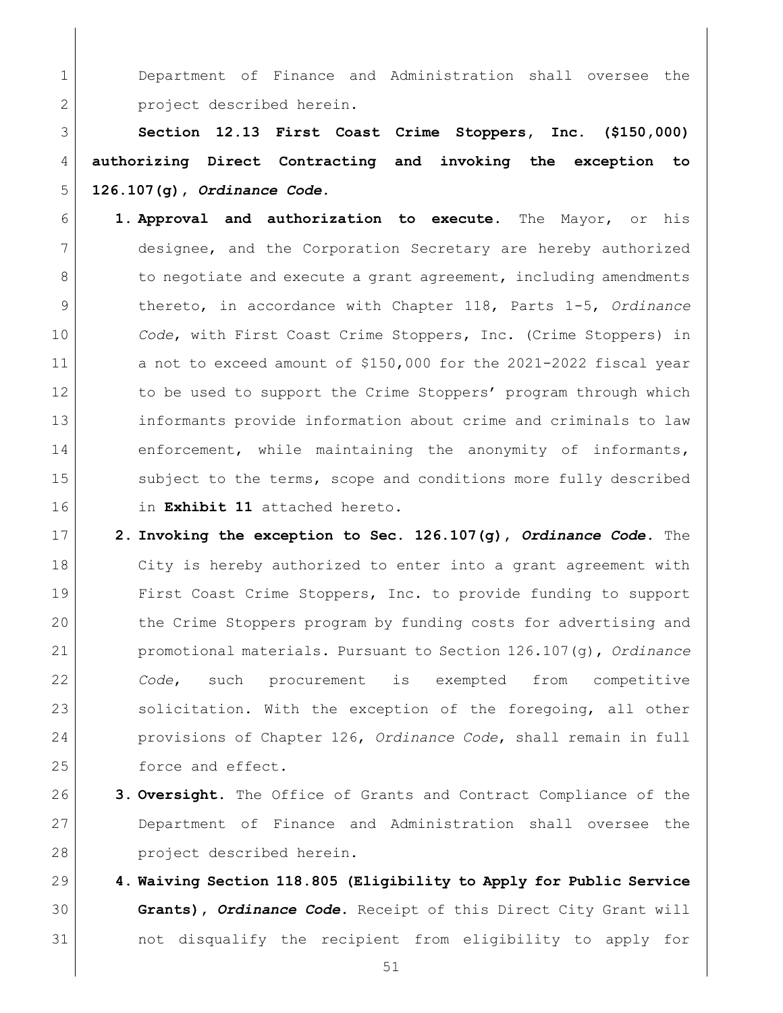Department of Finance and Administration shall oversee the 2 project described herein.

<span id="page-50-0"></span> **Section 12.13 First Coast Crime Stoppers, Inc. (\$150,000) authorizing Direct Contracting and invoking the exception to 126.107(g),** *Ordinance Code***.** 

- **1. Approval and authorization to execute.** The Mayor, or his designee, and the Corporation Secretary are hereby authorized 8 | to negotiate and execute a grant agreement, including amendments thereto, in accordance with Chapter 118, Parts 1-5, *Ordinance Code*, with First Coast Crime Stoppers, Inc. (Crime Stoppers) in 11 a not to exceed amount of \$150,000 for the 2021-2022 fiscal year 12 to be used to support the Crime Stoppers' program through which informants provide information about crime and criminals to law 14 enforcement, while maintaining the anonymity of informants, 15 Subject to the terms, scope and conditions more fully described in **Exhibit 11** attached hereto.
- **2. Invoking the exception to Sec. 126.107(g),** *Ordinance Code***.** The City is hereby authorized to enter into a grant agreement with First Coast Crime Stoppers, Inc. to provide funding to support 20 the Crime Stoppers program by funding costs for advertising and promotional materials. Pursuant to Section 126.107(g), *Ordinance Code*, such procurement is exempted from competitive 23 solicitation. With the exception of the foregoing, all other provisions of Chapter 126, *Ordinance Code*, shall remain in full 25 force and effect.
- **3. Oversight.** The Office of Grants and Contract Compliance of the Department of Finance and Administration shall oversee the project described herein.
- **4. Waiving Section 118.805 (Eligibility to Apply for Public Service Grants),** *Ordinance Code***.** Receipt of this Direct City Grant will not disqualify the recipient from eligibility to apply for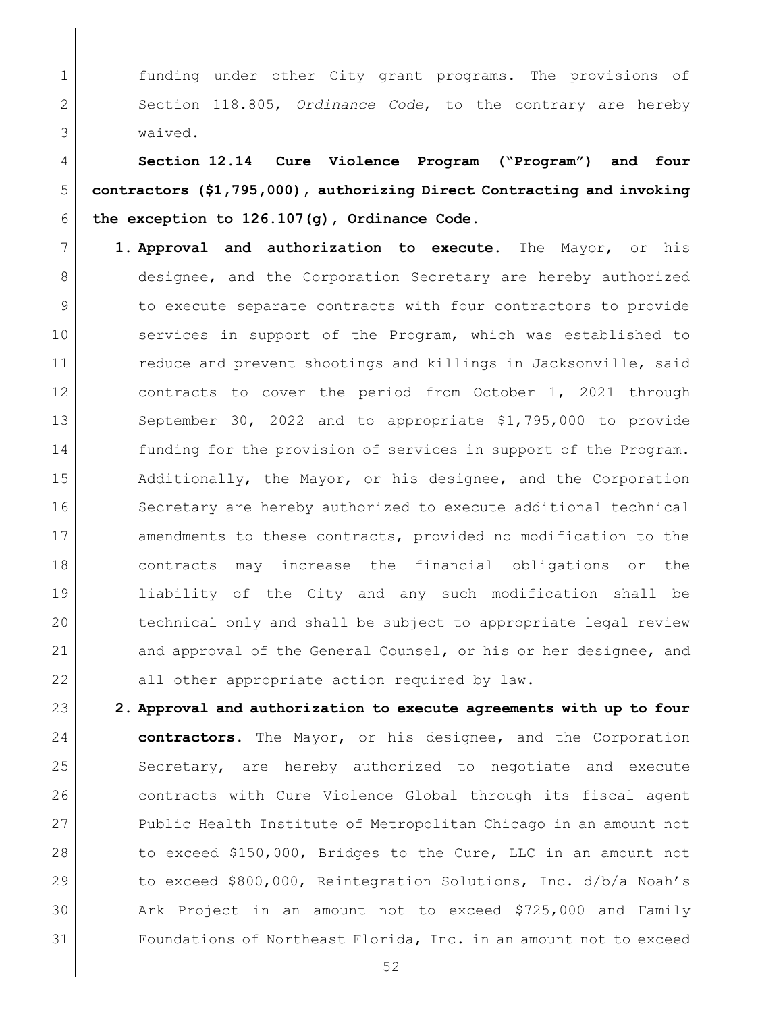1 funding under other City grant programs. The provisions of 2 Section 118.805, *Ordinance Code*, to the contrary are hereby 3 waived.

<span id="page-51-0"></span>4 **Section 12.14 Cure Violence Program ("Program") and four**  5 **contractors (\$1,795,000), authorizing Direct Contracting and invoking**  6 **the exception to 126.107(g), Ordinance Code.**

7 **1. Approval and authorization to execute.** The Mayor, or his 8 designee, and the Corporation Secretary are hereby authorized 9 to execute separate contracts with four contractors to provide 10 Services in support of the Program, which was established to 11 reduce and prevent shootings and killings in Jacksonville, said 12 contracts to cover the period from October 1, 2021 through 13 September 30, 2022 and to appropriate \$1,795,000 to provide 14 funding for the provision of services in support of the Program. 15 Additionally, the Mayor, or his designee, and the Corporation 16 Secretary are hereby authorized to execute additional technical 17 amendments to these contracts, provided no modification to the 18 contracts may increase the financial obligations or the 19 liability of the City and any such modification shall be 20 technical only and shall be subject to appropriate legal review 21 and approval of the General Counsel, or his or her designee, and 22 all other appropriate action required by law.

 **2. Approval and authorization to execute agreements with up to four contractors.** The Mayor, or his designee, and the Corporation Secretary, are hereby authorized to negotiate and execute 26 contracts with Cure Violence Global through its fiscal agent Public Health Institute of Metropolitan Chicago in an amount not 28 to exceed \$150,000, Bridges to the Cure, LLC in an amount not to exceed \$800,000, Reintegration Solutions, Inc. d/b/a Noah's Ark Project in an amount not to exceed \$725,000 and Family Foundations of Northeast Florida, Inc. in an amount not to exceed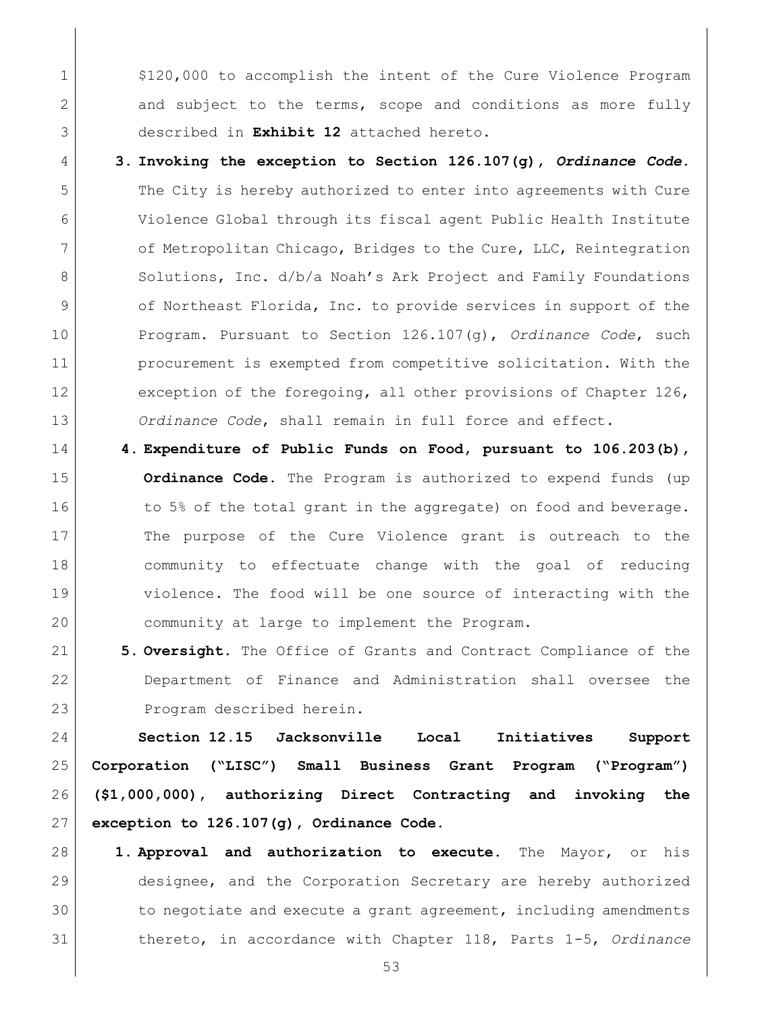1  $\vert$  \$120,000 to accomplish the intent of the Cure Violence Program 2 and subject to the terms, scope and conditions as more fully described in **Exhibit 12** attached hereto.

- **3. Invoking the exception to Section 126.107(g),** *Ordinance Code***.** The City is hereby authorized to enter into agreements with Cure Violence Global through its fiscal agent Public Health Institute 7 of Metropolitan Chicago, Bridges to the Cure, LLC, Reintegration 8 Solutions, Inc. d/b/a Noah's Ark Project and Family Foundations 9 of Northeast Florida, Inc. to provide services in support of the Program. Pursuant to Section 126.107(g), *Ordinance Code*, such procurement is exempted from competitive solicitation. With the 12 exception of the foregoing, all other provisions of Chapter 126, *Ordinance Code*, shall remain in full force and effect.
- **4. Expenditure of Public Funds on Food, pursuant to 106.203(b), Ordinance Code.** The Program is authorized to expend funds (up 16 to 5% of the total grant in the aggregate) on food and beverage. The purpose of the Cure Violence grant is outreach to the community to effectuate change with the goal of reducing violence. The food will be one source of interacting with the community at large to implement the Program.
- **5. Oversight.** The Office of Grants and Contract Compliance of the Department of Finance and Administration shall oversee the Program described herein.

<span id="page-52-0"></span> **Section 12.15 Jacksonville Local Initiatives Support Corporation ("LISC") Small Business Grant Program ("Program") (\$1,000,000), authorizing Direct Contracting and invoking the exception to 126.107(g), Ordinance Code.**

 **1. Approval and authorization to execute.** The Mayor, or his 29 designee, and the Corporation Secretary are hereby authorized to negotiate and execute a grant agreement, including amendments thereto, in accordance with Chapter 118, Parts 1-5, *Ordinance*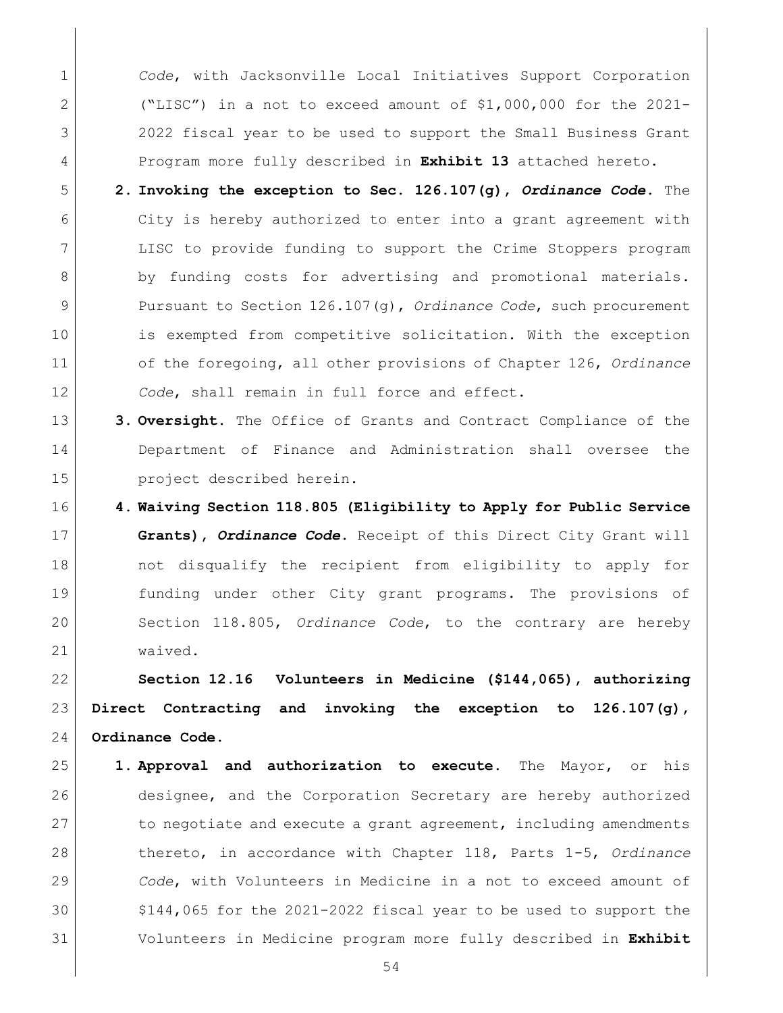*Code*, with Jacksonville Local Initiatives Support Corporation ("LISC") in a not to exceed amount of \$1,000,000 for the 2021- 2022 fiscal year to be used to support the Small Business Grant Program more fully described in **Exhibit 13** attached hereto.

- **2. Invoking the exception to Sec. 126.107(g),** *Ordinance Code***.** The City is hereby authorized to enter into a grant agreement with LISC to provide funding to support the Crime Stoppers program 8 by funding costs for advertising and promotional materials. Pursuant to Section 126.107(g), *Ordinance Code*, such procurement is exempted from competitive solicitation. With the exception of the foregoing, all other provisions of Chapter 126, *Ordinance Code*, shall remain in full force and effect.
- **3. Oversight.** The Office of Grants and Contract Compliance of the Department of Finance and Administration shall oversee the project described herein.
- **4. Waiving Section 118.805 (Eligibility to Apply for Public Service Grants),** *Ordinance Code***.** Receipt of this Direct City Grant will not disqualify the recipient from eligibility to apply for funding under other City grant programs. The provisions of Section 118.805, *Ordinance Code*, to the contrary are hereby waived.

<span id="page-53-0"></span> **Section 12.16 Volunteers in Medicine (\$144,065), authorizing Direct Contracting and invoking the exception to 126.107(g), Ordinance Code.**

 **1. Approval and authorization to execute.** The Mayor, or his 26 designee, and the Corporation Secretary are hereby authorized 27 to negotiate and execute a grant agreement, including amendments thereto, in accordance with Chapter 118, Parts 1-5, *Ordinance Code*, with Volunteers in Medicine in a not to exceed amount of  $$144,065$  for the 2021-2022 fiscal year to be used to support the Volunteers in Medicine program more fully described in **Exhibit**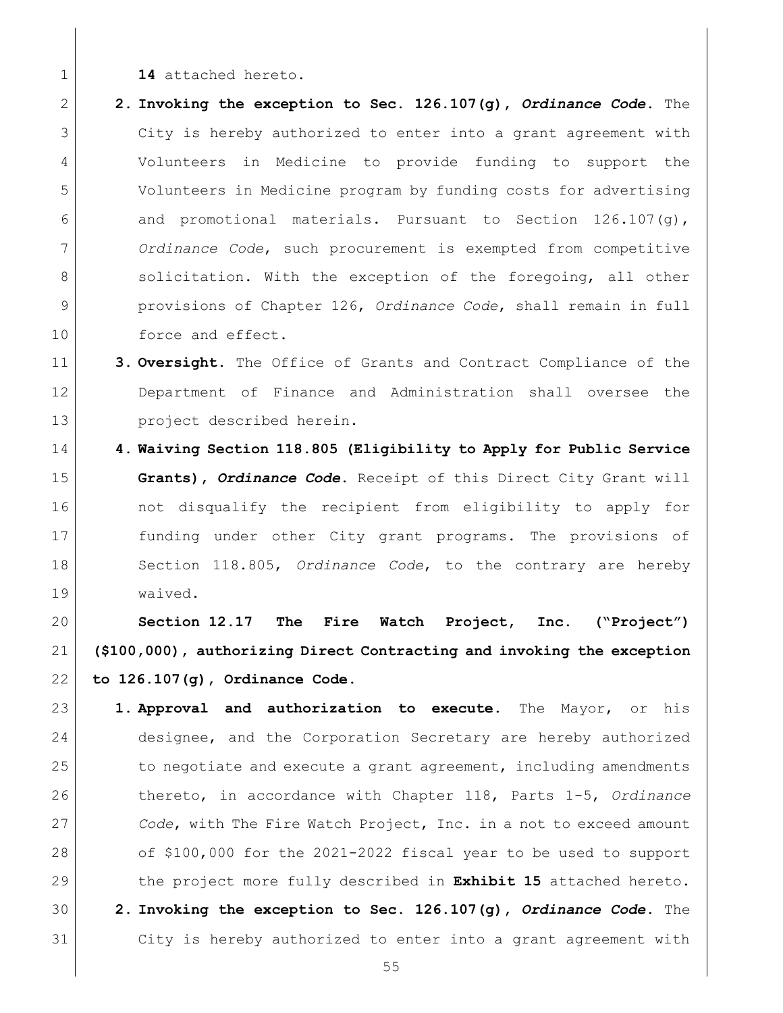- **14** attached hereto.
- **2. Invoking the exception to Sec. 126.107(g),** *Ordinance Code***.** The City is hereby authorized to enter into a grant agreement with Volunteers in Medicine to provide funding to support the Volunteers in Medicine program by funding costs for advertising 6 and promotional materials. Pursuant to Section  $126.107(q)$ , *Ordinance Code*, such procurement is exempted from competitive 8 solicitation. With the exception of the foregoing, all other provisions of Chapter 126, *Ordinance Code*, shall remain in full 10 force and effect.
- **3. Oversight.** The Office of Grants and Contract Compliance of the Department of Finance and Administration shall oversee the project described herein.
- **4. Waiving Section 118.805 (Eligibility to Apply for Public Service Grants),** *Ordinance Code***.** Receipt of this Direct City Grant will 16 and the not disqualify the recipient from eligibility to apply for funding under other City grant programs. The provisions of Section 118.805, *Ordinance Code*, to the contrary are hereby waived.

<span id="page-54-0"></span> **Section 12.17 The Fire Watch Project, Inc. ("Project") (\$100,000), authorizing Direct Contracting and invoking the exception to 126.107(g), Ordinance Code.**

- **1. Approval and authorization to execute.** The Mayor, or his designee, and the Corporation Secretary are hereby authorized 25 to negotiate and execute a grant agreement, including amendments thereto, in accordance with Chapter 118, Parts 1-5, *Ordinance Code*, with The Fire Watch Project, Inc. in a not to exceed amount 28 of \$100,000 for the 2021-2022 fiscal year to be used to support the project more fully described in **Exhibit 15** attached hereto. **2. Invoking the exception to Sec. 126.107(g),** *Ordinance Code***.** The
- City is hereby authorized to enter into a grant agreement with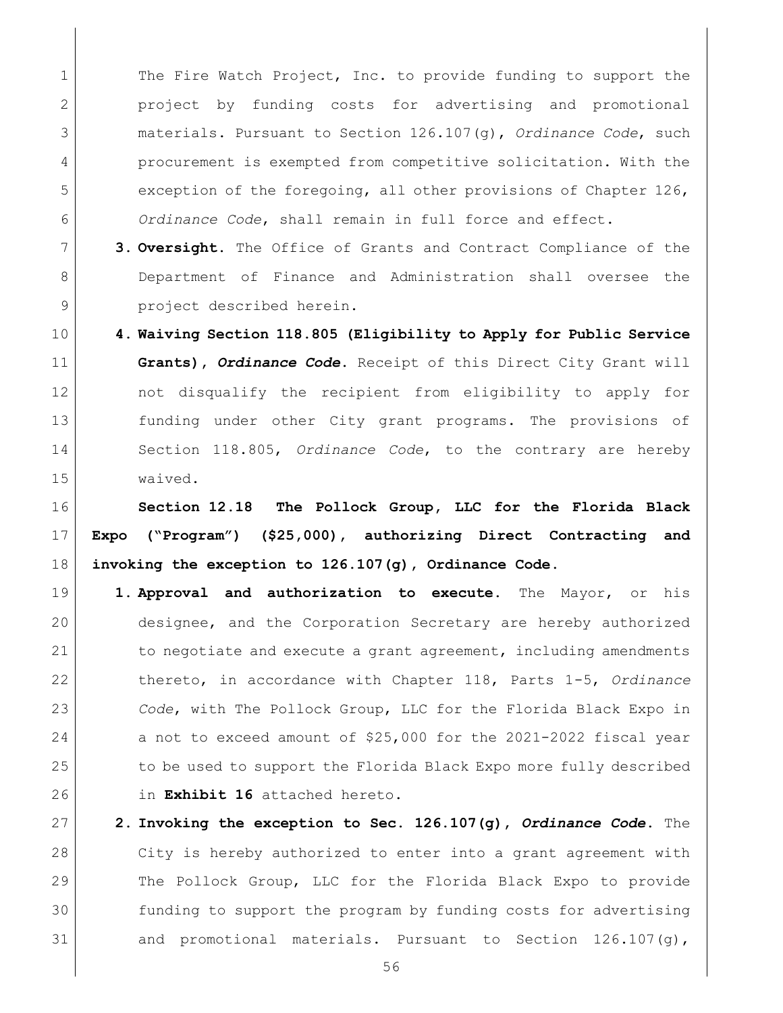1 The Fire Watch Project, Inc. to provide funding to support the project by funding costs for advertising and promotional materials. Pursuant to Section 126.107(g), *Ordinance Code*, such procurement is exempted from competitive solicitation. With the 5 exception of the foregoing, all other provisions of Chapter 126, *Ordinance Code*, shall remain in full force and effect.

- **3. Oversight.** The Office of Grants and Contract Compliance of the 8 Department of Finance and Administration shall oversee the **project** described herein.
- **4. Waiving Section 118.805 (Eligibility to Apply for Public Service Grants),** *Ordinance Code***.** Receipt of this Direct City Grant will not disqualify the recipient from eligibility to apply for funding under other City grant programs. The provisions of Section 118.805, *Ordinance Code*, to the contrary are hereby waived.

<span id="page-55-0"></span> **Section 12.18 The Pollock Group, LLC for the Florida Black Expo ("Program") (\$25,000), authorizing Direct Contracting and invoking the exception to 126.107(g), Ordinance Code.**

- **1. Approval and authorization to execute.** The Mayor, or his designee, and the Corporation Secretary are hereby authorized 21 to negotiate and execute a grant agreement, including amendments thereto, in accordance with Chapter 118, Parts 1-5, *Ordinance Code*, with The Pollock Group, LLC for the Florida Black Expo in a not to exceed amount of \$25,000 for the 2021-2022 fiscal year 25 to be used to support the Florida Black Expo more fully described in **Exhibit 16** attached hereto.
- **2. Invoking the exception to Sec. 126.107(g),** *Ordinance Code***.** The City is hereby authorized to enter into a grant agreement with The Pollock Group, LLC for the Florida Black Expo to provide funding to support the program by funding costs for advertising 31 and promotional materials. Pursuant to Section  $126.107(g)$ ,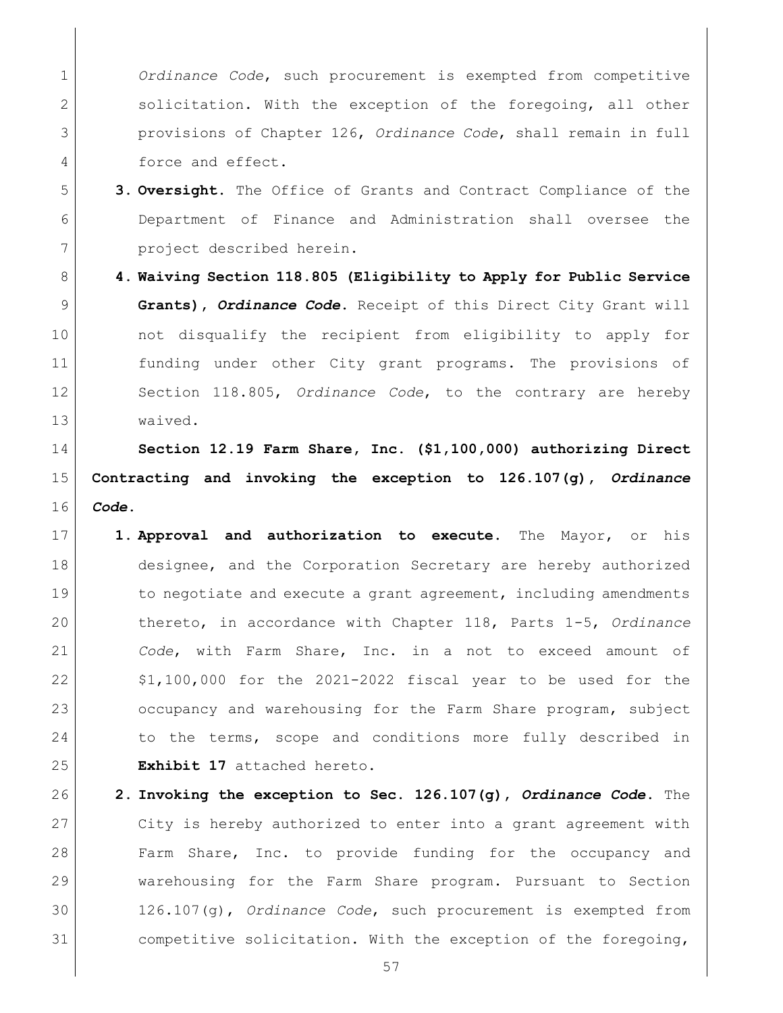*Ordinance Code*, such procurement is exempted from competitive 2 | solicitation. With the exception of the foregoing, all other provisions of Chapter 126, *Ordinance Code*, shall remain in full force and effect.

- **3. Oversight.** The Office of Grants and Contract Compliance of the Department of Finance and Administration shall oversee the project described herein.
- **4. Waiving Section 118.805 (Eligibility to Apply for Public Service Grants),** *Ordinance Code***.** Receipt of this Direct City Grant will not disqualify the recipient from eligibility to apply for funding under other City grant programs. The provisions of Section 118.805, *Ordinance Code*, to the contrary are hereby waived.

<span id="page-56-0"></span> **Section 12.19 Farm Share, Inc. (\$1,100,000) authorizing Direct Contracting and invoking the exception to 126.107(g),** *Ordinance Code***.** 

- **1. Approval and authorization to execute.** The Mayor, or his 18 designee, and the Corporation Secretary are hereby authorized 19 to negotiate and execute a grant agreement, including amendments thereto, in accordance with Chapter 118, Parts 1-5, *Ordinance Code*, with Farm Share, Inc. in a not to exceed amount of  $\mid$  \$1,100,000 for the 2021-2022 fiscal year to be used for the 23 occupancy and warehousing for the Farm Share program, subject 24 to the terms, scope and conditions more fully described in **Exhibit 17** attached hereto.
- **2. Invoking the exception to Sec. 126.107(g),** *Ordinance Code***.** The City is hereby authorized to enter into a grant agreement with 28 Farm Share, Inc. to provide funding for the occupancy and warehousing for the Farm Share program. Pursuant to Section 126.107(g), *Ordinance Code*, such procurement is exempted from competitive solicitation. With the exception of the foregoing,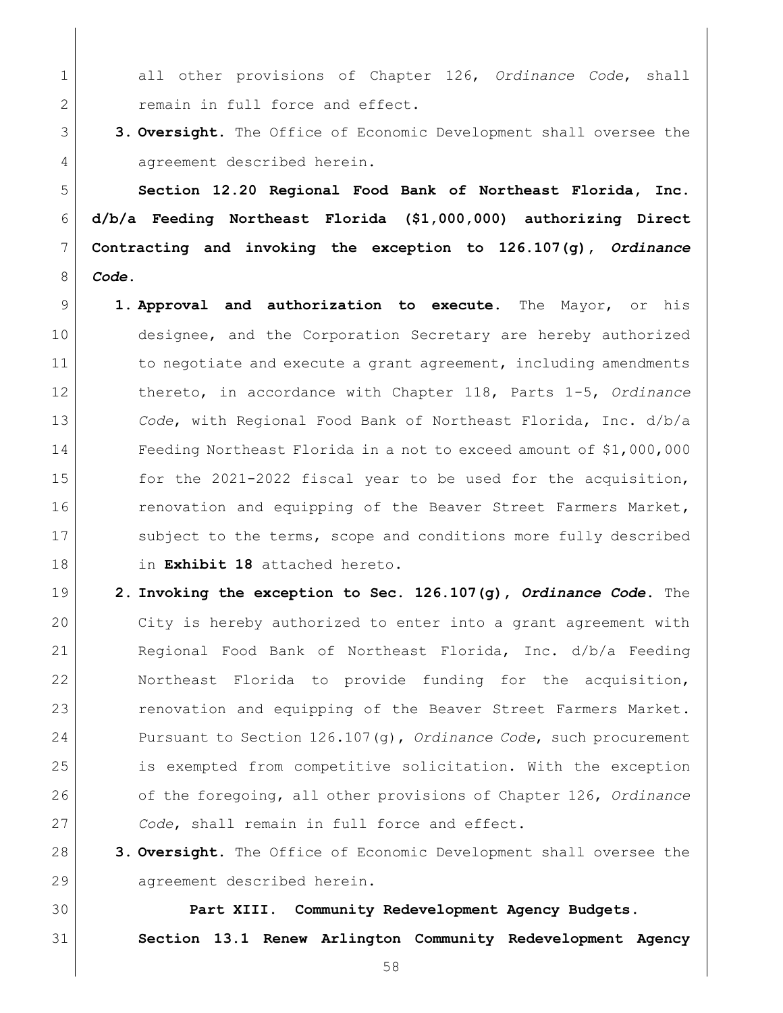all other provisions of Chapter 126, *Ordinance Code*, shall 2 remain in full force and effect.

 **3. Oversight.** The Office of Economic Development shall oversee the 4 agreement described herein.

<span id="page-57-0"></span> **Section 12.20 Regional Food Bank of Northeast Florida, Inc. d/b/a Feeding Northeast Florida (\$1,000,000) authorizing Direct Contracting and invoking the exception to 126.107(g),** *Ordinance Code***.** 

- **1. Approval and authorization to execute.** The Mayor, or his designee, and the Corporation Secretary are hereby authorized 11 to negotiate and execute a grant agreement, including amendments thereto, in accordance with Chapter 118, Parts 1-5, *Ordinance Code*, with Regional Food Bank of Northeast Florida, Inc. d/b/a Feeding Northeast Florida in a not to exceed amount of \$1,000,000 15 for the 2021-2022 fiscal year to be used for the acquisition, 16 16 renovation and equipping of the Beaver Street Farmers Market, 17 Subject to the terms, scope and conditions more fully described in **Exhibit 18** attached hereto.
- **2. Invoking the exception to Sec. 126.107(g),** *Ordinance Code***.** The City is hereby authorized to enter into a grant agreement with Regional Food Bank of Northeast Florida, Inc. d/b/a Feeding Northeast Florida to provide funding for the acquisition, 23 renovation and equipping of the Beaver Street Farmers Market. Pursuant to Section 126.107(g), *Ordinance Code*, such procurement is exempted from competitive solicitation. With the exception of the foregoing, all other provisions of Chapter 126, *Ordinance Code*, shall remain in full force and effect.
- **3. Oversight.** The Office of Economic Development shall oversee the 29 agreement described herein.

<span id="page-57-2"></span><span id="page-57-1"></span> **Part XIII. Community Redevelopment Agency Budgets. Section 13.1 Renew Arlington Community Redevelopment Agency**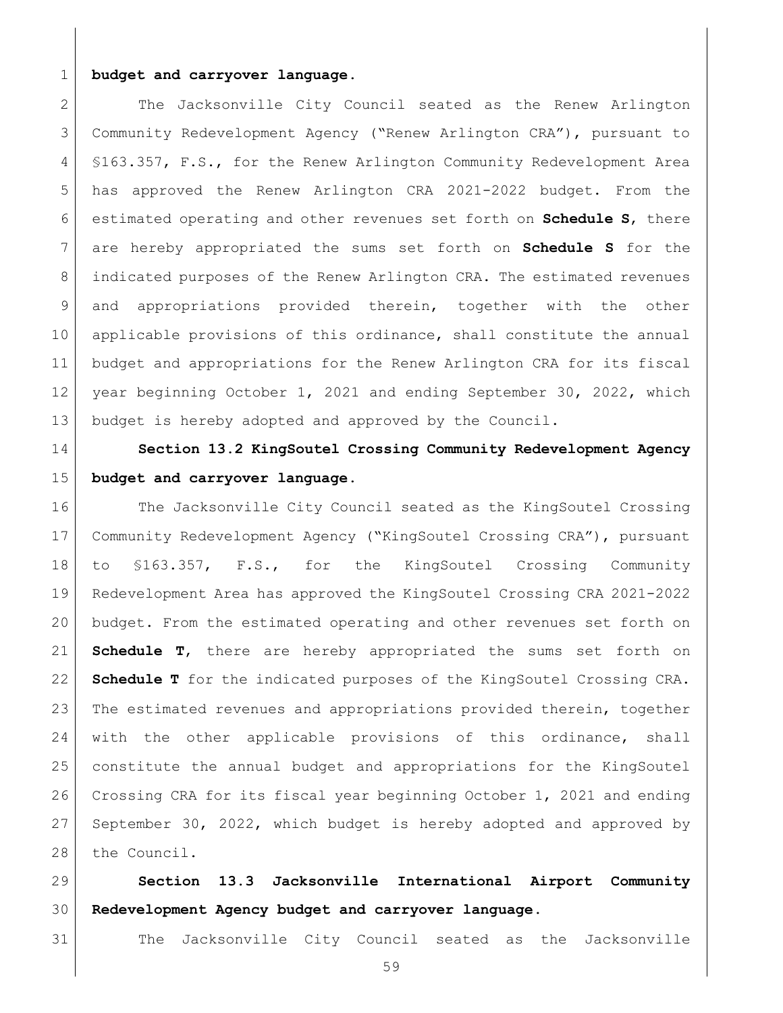### **budget and carryover language.**

2 The Jacksonville City Council seated as the Renew Arlington Community Redevelopment Agency ("Renew Arlington CRA"), pursuant to §163.357, F.S., for the Renew Arlington Community Redevelopment Area has approved the Renew Arlington CRA 2021-2022 budget. From the estimated operating and other revenues set forth on **Schedule S**, there are hereby appropriated the sums set forth on **Schedule S** for the indicated purposes of the Renew Arlington CRA. The estimated revenues and appropriations provided therein, together with the other applicable provisions of this ordinance, shall constitute the annual budget and appropriations for the Renew Arlington CRA for its fiscal year beginning October 1, 2021 and ending September 30, 2022, which budget is hereby adopted and approved by the Council.

<span id="page-58-0"></span> **Section 13.2 KingSoutel Crossing Community Redevelopment Agency budget and carryover language.**

16 The Jacksonville City Council seated as the KingSoutel Crossing Community Redevelopment Agency ("KingSoutel Crossing CRA"), pursuant to §163.357, F.S., for the KingSoutel Crossing Community Redevelopment Area has approved the KingSoutel Crossing CRA 2021-2022 budget. From the estimated operating and other revenues set forth on **Schedule T**, there are hereby appropriated the sums set forth on **Schedule T** for the indicated purposes of the KingSoutel Crossing CRA. The estimated revenues and appropriations provided therein, together with the other applicable provisions of this ordinance, shall constitute the annual budget and appropriations for the KingSoutel Crossing CRA for its fiscal year beginning October 1, 2021 and ending September 30, 2022, which budget is hereby adopted and approved by 28 the Council.

<span id="page-58-1"></span> **Section 13.3 Jacksonville International Airport Community Redevelopment Agency budget and carryover language.**

The Jacksonville City Council seated as the Jacksonville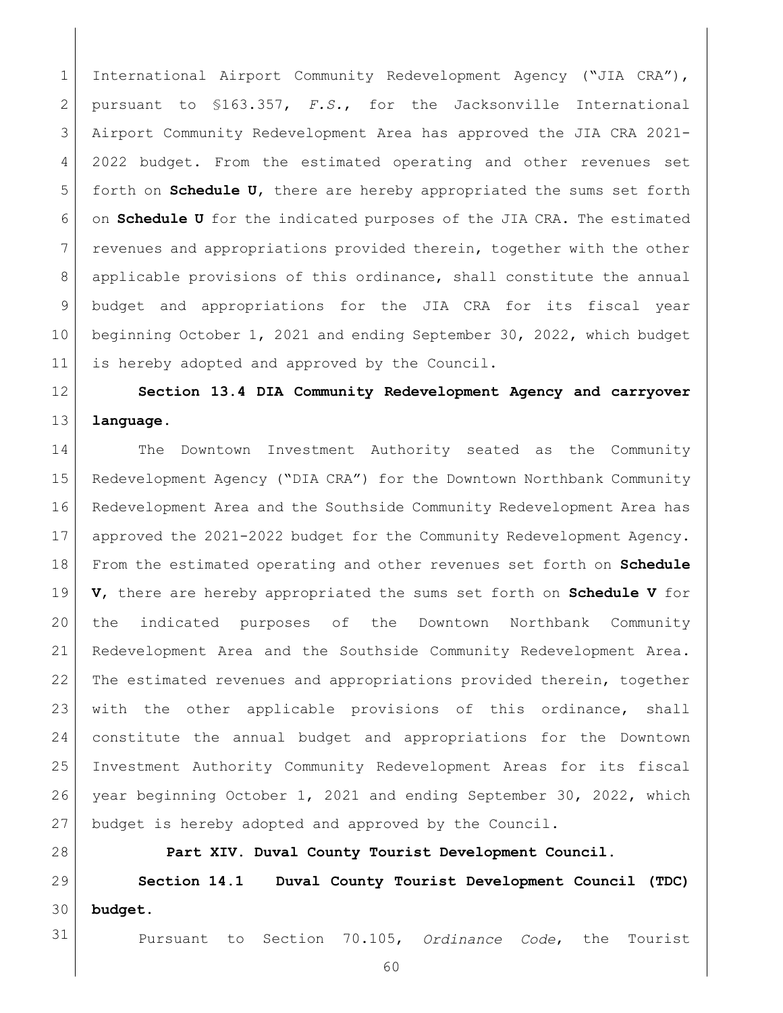International Airport Community Redevelopment Agency ("JIA CRA"), pursuant to §163.357, *F.S.*, for the Jacksonville International Airport Community Redevelopment Area has approved the JIA CRA 2021- 4 2022 budget. From the estimated operating and other revenues set forth on **Schedule U**, there are hereby appropriated the sums set forth on **Schedule U** for the indicated purposes of the JIA CRA. The estimated 7 revenues and appropriations provided therein, together with the other applicable provisions of this ordinance, shall constitute the annual budget and appropriations for the JIA CRA for its fiscal year beginning October 1, 2021 and ending September 30, 2022, which budget 11 is hereby adopted and approved by the Council.

<span id="page-59-0"></span> **Section 13.4 DIA Community Redevelopment Agency and carryover language.**

 The Downtown Investment Authority seated as the Community Redevelopment Agency ("DIA CRA") for the Downtown Northbank Community Redevelopment Area and the Southside Community Redevelopment Area has approved the 2021-2022 budget for the Community Redevelopment Agency. From the estimated operating and other revenues set forth on **Schedule V**, there are hereby appropriated the sums set forth on **Schedule V** for the indicated purposes of the Downtown Northbank Community Redevelopment Area and the Southside Community Redevelopment Area. The estimated revenues and appropriations provided therein, together with the other applicable provisions of this ordinance, shall constitute the annual budget and appropriations for the Downtown Investment Authority Community Redevelopment Areas for its fiscal year beginning October 1, 2021 and ending September 30, 2022, which budget is hereby adopted and approved by the Council.

<span id="page-59-2"></span><span id="page-59-1"></span> **Part XIV. Duval County Tourist Development Council. Section 14.1 Duval County Tourist Development Council (TDC) budget.**

Pursuant to Section 70.105, *Ordinance Code*, the Tourist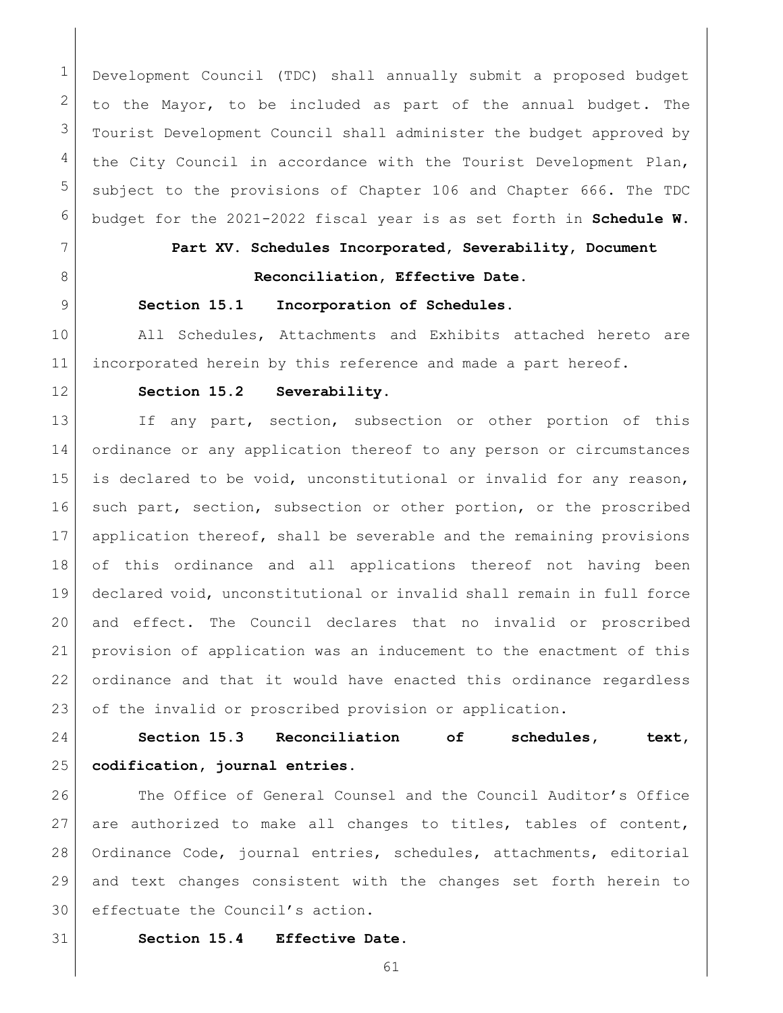Development Council (TDC) shall annually submit a proposed budget  $2 \mid$  to the Mayor, to be included as part of the annual budget. The Tourist Development Council shall administer the budget approved by the City Council in accordance with the Tourist Development Plan, subject to the provisions of [Chapter 106](https://library.municode.com/fl/jacksonville/codes/code_of_ordinances?nodeId=TITVADPE_CH106BUACCO) and [Chapter 666.](https://library.municode.com/fl/jacksonville/codes/code_of_ordinances?nodeId=TITXVIIILIRE_CH666DUCOTODEPL) The TDC budget for the 2021-2022 fiscal year is as set forth in **Schedule W**.

# <span id="page-60-0"></span>**Part XV. Schedules Incorporated, Severability, Document**

# **Reconciliation, Effective Date.**

# <span id="page-60-1"></span>**Section 15.1 Incorporation of Schedules.**

10 | All Schedules, Attachments and Exhibits attached hereto are incorporated herein by this reference and made a part hereof.

<span id="page-60-2"></span>

### **Section 15.2 Severability.**

13 If any part, section, subsection or other portion of this ordinance or any application thereof to any person or circumstances is declared to be void, unconstitutional or invalid for any reason, 16 such part, section, subsection or other portion, or the proscribed application thereof, shall be severable and the remaining provisions of this ordinance and all applications thereof not having been declared void, unconstitutional or invalid shall remain in full force and effect. The Council declares that no invalid or proscribed provision of application was an inducement to the enactment of this ordinance and that it would have enacted this ordinance regardless 23 of the invalid or proscribed provision or application.

<span id="page-60-3"></span> **Section 15.3 Reconciliation of schedules, text, codification, journal entries.**

26 The Office of General Counsel and the Council Auditor's Office 27 are authorized to make all changes to titles, tables of content, Ordinance Code, journal entries, schedules, attachments, editorial and text changes consistent with the changes set forth herein to effectuate the Council's action.

- <span id="page-60-4"></span> **Section 15.4 Effective Date.** 
	-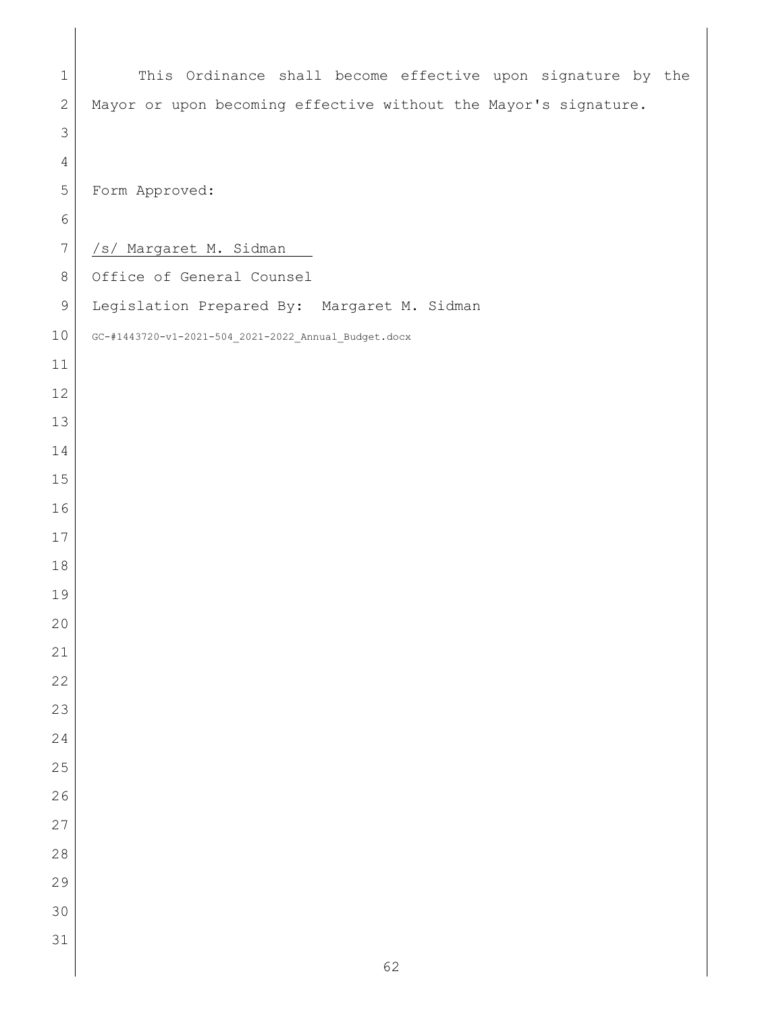| $\mathbf 1$    | This Ordinance shall become effective upon signature by the     |
|----------------|-----------------------------------------------------------------|
| $\sqrt{2}$     | Mayor or upon becoming effective without the Mayor's signature. |
| $\mathcal{S}$  |                                                                 |
| $\overline{4}$ |                                                                 |
| 5              | Form Approved:                                                  |
| $\sqrt{6}$     |                                                                 |
| $\overline{7}$ | /s/ Margaret M. Sidman                                          |
| $\,8\,$        | Office of General Counsel                                       |
| $\overline{9}$ | Legislation Prepared By: Margaret M. Sidman                     |
| 10             | GC-#1443720-v1-2021-504_2021-2022_Annual_Budget.docx            |
| 11             |                                                                 |
| 12             |                                                                 |
| 13             |                                                                 |
| 14             |                                                                 |
| 15             |                                                                 |
| 16             |                                                                 |
| $17$           |                                                                 |
| 18             |                                                                 |
| 19             |                                                                 |
| 20             |                                                                 |
| $21\,$         |                                                                 |
| 22             |                                                                 |
| 23             |                                                                 |
| 24             |                                                                 |
| 25             |                                                                 |
| 26             |                                                                 |
| 27             |                                                                 |
| 28             |                                                                 |
| 29             |                                                                 |
| 30             |                                                                 |
| 31             |                                                                 |
|                | 62                                                              |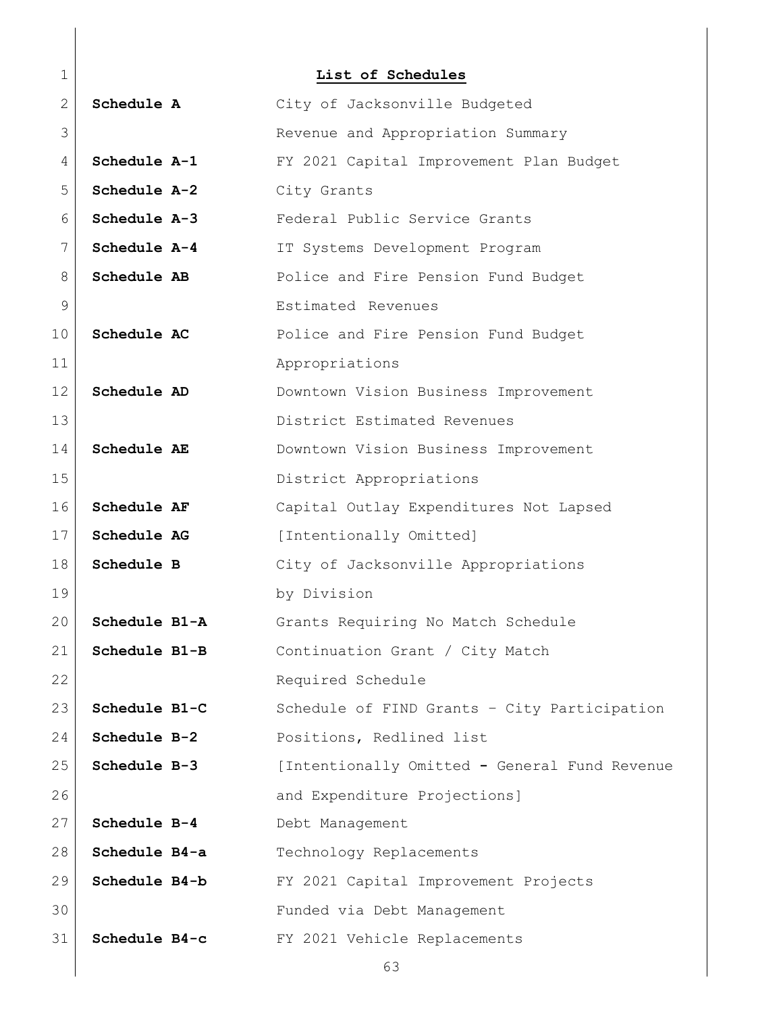<span id="page-62-0"></span>

| $\mathbf 1$   |               | List of Schedules                             |
|---------------|---------------|-----------------------------------------------|
| 2             | Schedule A    | City of Jacksonville Budgeted                 |
| 3             |               | Revenue and Appropriation Summary             |
| 4             | Schedule A-1  | FY 2021 Capital Improvement Plan Budget       |
| 5             | Schedule A-2  | City Grants                                   |
| 6             | Schedule A-3  | Federal Public Service Grants                 |
| 7             | Schedule A-4  | IT Systems Development Program                |
| 8             | Schedule AB   | Police and Fire Pension Fund Budget           |
| $\mathcal{G}$ |               | Estimated Revenues                            |
| 10            | Schedule AC   | Police and Fire Pension Fund Budget           |
| 11            |               | Appropriations                                |
| 12            | Schedule AD   | Downtown Vision Business Improvement          |
| 13            |               | District Estimated Revenues                   |
| 14            | Schedule AE   | Downtown Vision Business Improvement          |
| 15            |               | District Appropriations                       |
| 16            | Schedule AF   | Capital Outlay Expenditures Not Lapsed        |
| 17            | Schedule AG   | [Intentionally Omitted]                       |
| 18            | Schedule B    | City of Jacksonville Appropriations           |
| 19            |               | by Division                                   |
| 20            | Schedule B1-A | Grants Requiring No Match Schedule            |
| 21            | Schedule B1-B | Continuation Grant / City Match               |
| 22            |               | Required Schedule                             |
| 23            | Schedule B1-C | Schedule of FIND Grants - City Participation  |
| 24            | Schedule B-2  | Positions, Redlined list                      |
| 25            | Schedule B-3  | [Intentionally Omitted - General Fund Revenue |
| 26            |               | and Expenditure Projections]                  |
| 27            | Schedule B-4  | Debt Management                               |
| 28            | Schedule B4-a | Technology Replacements                       |
| 29            | Schedule B4-b | FY 2021 Capital Improvement Projects          |
| 30            |               | Funded via Debt Management                    |
| 31            | Schedule B4-c | FY 2021 Vehicle Replacements                  |
|               |               | 63                                            |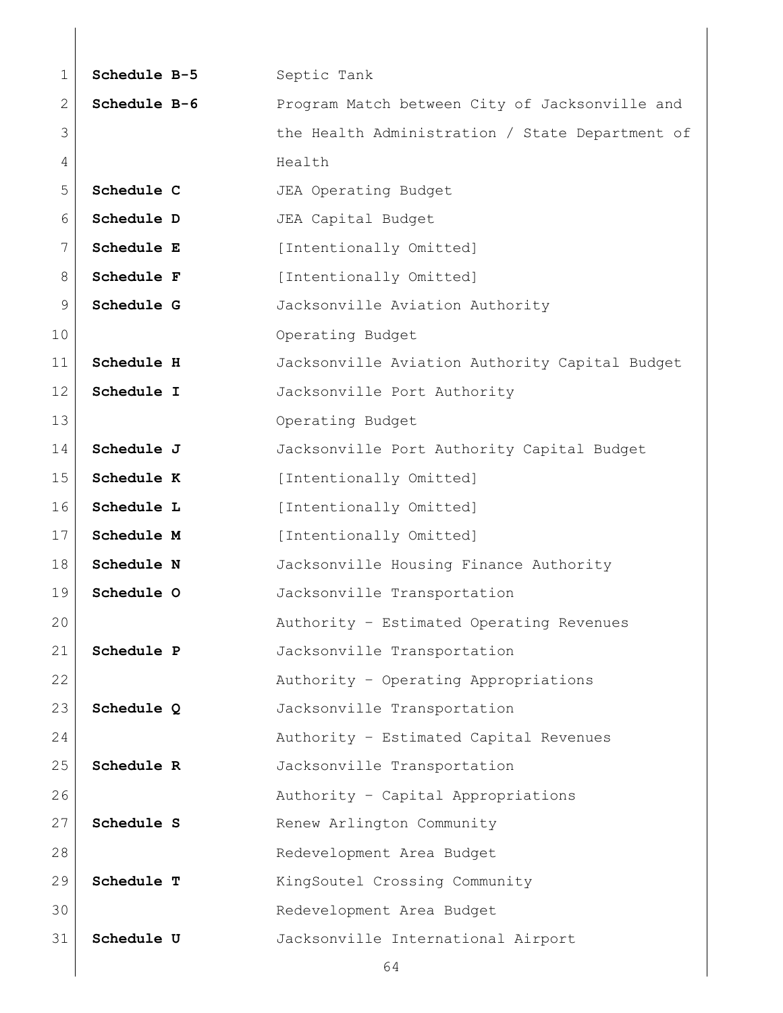| $\mathbf 1$  | Schedule B-5 | Septic Tank                                     |
|--------------|--------------|-------------------------------------------------|
| $\mathbf{2}$ | Schedule B-6 | Program Match between City of Jacksonville and  |
| 3            |              | the Health Administration / State Department of |
| 4            |              | Health                                          |
| 5            | Schedule C   | JEA Operating Budget                            |
| 6            | Schedule D   | JEA Capital Budget                              |
| 7            | Schedule E   | [Intentionally Omitted]                         |
| 8            | Schedule F   | [Intentionally Omitted]                         |
| 9            | Schedule G   | Jacksonville Aviation Authority                 |
| 10           |              | Operating Budget                                |
| 11           | Schedule H   | Jacksonville Aviation Authority Capital Budget  |
| 12           | Schedule I   | Jacksonville Port Authority                     |
| 13           |              | Operating Budget                                |
| 14           | Schedule J   | Jacksonville Port Authority Capital Budget      |
| 15           | Schedule K   | [Intentionally Omitted]                         |
| 16           | Schedule L   | [Intentionally Omitted]                         |
| 17           | Schedule M   | [Intentionally Omitted]                         |
| 18           | Schedule N   | Jacksonville Housing Finance Authority          |
| 19           | Schedule O   | Jacksonville Transportation                     |
| 20           |              | Authority - Estimated Operating Revenues        |
| 21           | Schedule P   | Jacksonville Transportation                     |
| 22           |              | Authority - Operating Appropriations            |
| 23           | Schedule Q   | Jacksonville Transportation                     |
| 24           |              | Authority - Estimated Capital Revenues          |
| 25           | Schedule R   | Jacksonville Transportation                     |
| 26           |              | Authority - Capital Appropriations              |
| 27           | Schedule S   | Renew Arlington Community                       |
| 28           |              | Redevelopment Area Budget                       |
| 29           | Schedule T   | KingSoutel Crossing Community                   |
| 30           |              | Redevelopment Area Budget                       |
| 31           | Schedule U   | Jacksonville International Airport              |
|              |              | 64                                              |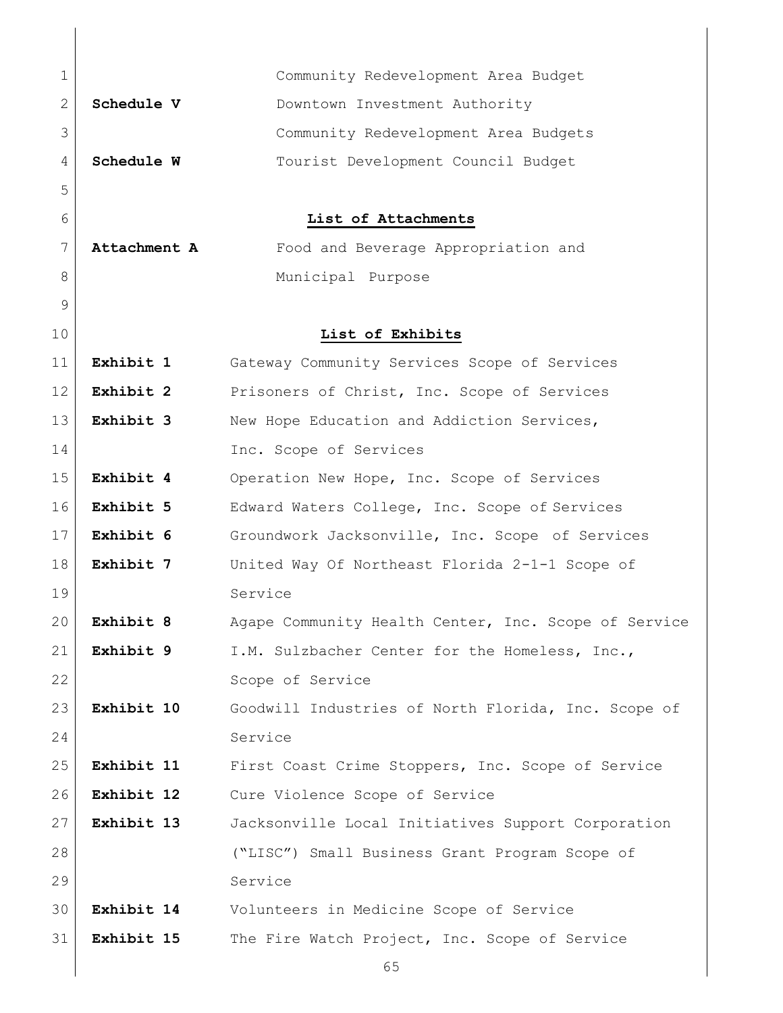<span id="page-64-1"></span><span id="page-64-0"></span>

| $\mathbf 1$  |              | Community Redevelopment Area Budget                  |
|--------------|--------------|------------------------------------------------------|
| $\mathbf{2}$ | Schedule V   | Downtown Investment Authority                        |
| 3            |              | Community Redevelopment Area Budgets                 |
| 4            | Schedule W   | Tourist Development Council Budget                   |
| 5            |              |                                                      |
| 6            |              | List of Attachments                                  |
| 7            | Attachment A | Food and Beverage Appropriation and                  |
| 8            |              | Municipal Purpose                                    |
| 9            |              |                                                      |
| 10           |              | List of Exhibits                                     |
| 11           | Exhibit 1    | Gateway Community Services Scope of Services         |
| 12           | Exhibit 2    | Prisoners of Christ, Inc. Scope of Services          |
| 13           | Exhibit 3    | New Hope Education and Addiction Services,           |
| 14           |              | Inc. Scope of Services                               |
| 15           | Exhibit 4    | Operation New Hope, Inc. Scope of Services           |
| 16           | Exhibit 5    | Edward Waters College, Inc. Scope of Services        |
| 17           | Exhibit 6    | Groundwork Jacksonville, Inc. Scope of Services      |
| 18           | Exhibit 7    | United Way Of Northeast Florida 2-1-1 Scope of       |
| 19           |              | Service                                              |
| 20           | Exhibit 8    | Agape Community Health Center, Inc. Scope of Service |
| 21           | Exhibit 9    | I.M. Sulzbacher Center for the Homeless, Inc.,       |
| 22           |              | Scope of Service                                     |
| 23           | Exhibit 10   | Goodwill Industries of North Florida, Inc. Scope of  |
| 24           |              | Service                                              |
| 25           | Exhibit 11   | First Coast Crime Stoppers, Inc. Scope of Service    |
| 26           | Exhibit 12   | Cure Violence Scope of Service                       |
| 27           | Exhibit 13   | Jacksonville Local Initiatives Support Corporation   |
| 28           |              | ("LISC") Small Business Grant Program Scope of       |
| 29           |              | Service                                              |
| 30           | Exhibit 14   | Volunteers in Medicine Scope of Service              |
| 31           | Exhibit 15   | The Fire Watch Project, Inc. Scope of Service        |
|              |              | 65                                                   |

 $\begin{array}{c} \hline \end{array}$